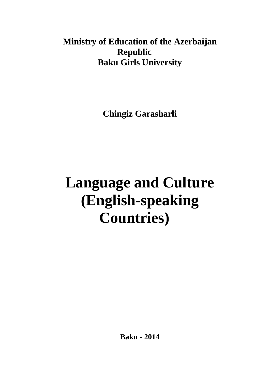**Ministry of Education of the Azerbaijan Republic Baku Girls University**

**Chingiz Garasharli**

# **Language and Culture (English-speaking Countries)**

**Baku - 2014**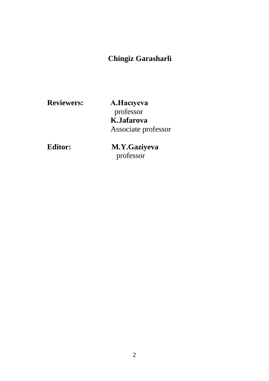### **Chingiz Garasharli**

**Reviewers: A.Hacıyeva**

professor  **K.Jafarova** Associate professor

**Editor: M.Y.Gaziyeva** professor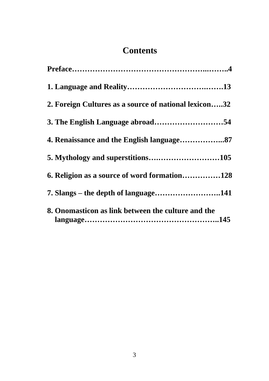# **Contents**

| 2. Foreign Cultures as a source of national lexicon32 |  |
|-------------------------------------------------------|--|
| 3. The English Language abroad54                      |  |
|                                                       |  |
|                                                       |  |
| 6. Religion as a source of word formation128          |  |
| 7. Slangs – the depth of language141                  |  |
| 8. Onomasticon as link between the culture and the    |  |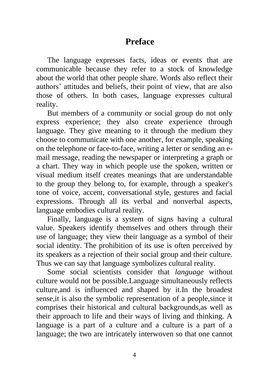# **Preface**

The language expresses facts, ideas or events that are communicable because they refer to a stock of knowledge about the world that other people share. Words also reflect their authors' attitudes and beliefs, their point of view, that are also those of others. In both cases, language expresses cultural reality.

But members of a community or social group do not only express experience; they also create experience through language. They give meaning to it through the medium they choose to communicate with one another, for example, speaking on the telephone or face-to-face, writing a letter or sending an email message, reading the newspaper or interpreting a graph or a chart. They way in which people use the spoken, written or visual medium itself creates meanings that are understandable to the group they belong to, for example, through a speaker's tone of voice, accent, conversational style, gestures and facial expressions. Through all its verbal and nonverbal aspects, language embodies cultural reality.

Finally, language is a system of signs having a cultural value. Speakers identify themselves and others through their use of language; they view their language as a symbol of their social identity. The prohibition of its use is often perceived by its speakers as a rejection of their social group and their culture. Thus we can say that language symbolizes cultural reality.

Some social scientists consider that *language* without culture would not be possible.Language simultaneously reflects culture,and is influenced and shaped by it.In the broadest sense,it is also the symbolic representation of a people,since it comprises their historical and cultural backgrounds,as well as their approach to life and their ways of living and thinking. A language is a part of a culture and a culture is a part of a language; the two are intricately interwoven so that one cannot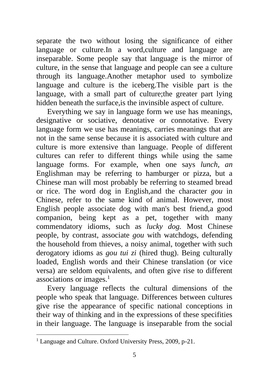separate the two without losing the significance of either language or culture.In a word,culture and language are inseparable. Some people say that language is the mirror of culture, in the sense that language and people can see a culture through its language.Another metaphor used to symbolize language and culture is the iceberg.The visible part is the language, with a small part of culture;the greater part lying hidden beneath the surface,is the invinsible aspect of culture.

Everything we say in language form we use has meanings, designative or sociative, denotative or connotative. Every language form we use has meanings, carries meanings that are not in the same sense because it is associated with culture and culture is more extensive than language. People of different cultures can refer to different things while using the same language forms. For example, when one says *lunch, an*  Englishman may be referring to hamburger or pizza, but a Chinese man will most probably be referring to steamed bread or rice. The word dog in English,and the character *gou* in Chinese, refer to the same kind of animal. However, most English people associate dog with man's best friend,a good companion, being kept as a pet, together with many commendatory idioms, such as *lucky dog.* Most Chinese people, by contrast, associate *gou* with watchdogs, defending the household from thieves, a noisy animal, together with such derogatory idioms as *gou tui zi* (hired thug). Being culturally loaded, English words and their Chinese translation (or vice versa) are seldom equivalents, and often give rise to different associations or images. $<sup>1</sup>$ </sup>

Every language reflects the cultural dimensions of the people who speak that language. Differences between cultures give rise the appearance of specific national conceptions in their way of thinking and in the expressions of these specifities in their language. The language is inseparable from the social

<sup>&</sup>lt;sup>1</sup> Language and Culture. Oxford University Press, 2009, p-21.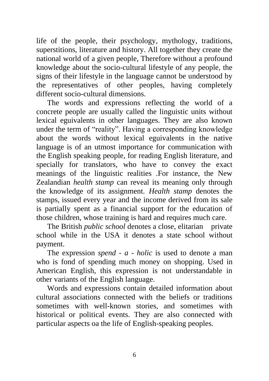life of the people, their psychology, mythology, traditions, superstitions, literature and history. All together they create the national world of a given people, Therefore without a profound knowledge about the socio-cultural lifestyle of any people, the signs of their lifestyle in the language cannot be understood by the representatives of other peoples, having completely different socio-cultural dimensions.

The words and expressions reflecting the world of a concrete people are usually called the linguistic units without lexical eguivalents in other languages. They are also known under the term of "reality". Having a corresponding knowledge about the words without lexical eguivalents in the native language is of an utmost importance for communication with the English speaking people, for reading English literature, and specially for translators, who have to convey the exact meanings of the linguistic realities .For instance, the New Zealandian *health stamp* can reveal its meaning only through the knowledge of its assignment. *Health stamp* denotes the stamps, issued every year and the income derived from its sale is partially spent as a financial support for the education of those children, whose training is hard and requires much care.

The British *public school* denotes a close, elitarian private school while in the USA it denotes a state school without payment.

The expression *spend - a - holic* is used to denote a man who is fond of spending much money on shopping. Used in American English, this expression is not understandable in other variants of the English language.

Words and expressions contain detailed information about cultural associations connected with the beliefs or traditions sometimes with well-known stories, and sometimes with historical or political events. They are also connected with particular aspects oa the life of English-speaking peoples.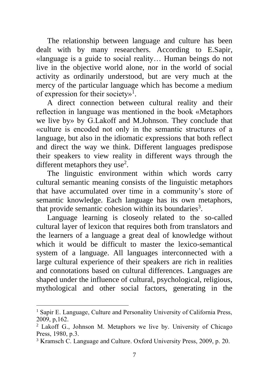The relationship between language and culture has been dealt with by many researchers. According to E.Sapir, «language is a guide to social reality… Human beings do not live in the objective world alone, nor in the world of social activity as ordinarily understood, but are very much at the mercy of the particular language which has become a medium of expression for their society»<sup>1</sup>.

A direct connection between cultural reality and their reflection in language was mentioned in the book «Metaphors we live by» by G.Lakoff and M.Johnson. They conclude that «culture is encoded not only in the semantic structures of a language, but also in the idiomatic expressions that both reflect and direct the way we think. Different languages predispose their speakers to view reality in different ways through the different metaphors they use<sup>2</sup>.

The linguistic environment within which words carry cultural semantic meaning consists of the linguistic metaphors that have accumulated over time in a community's store of semantic knowledge. Each language has its own metaphors, that provide semantic cohesion within its boundaries<sup>3</sup>.

Language learning is closeoly related to the so-called cultural layer of lexicon that requires both from translators and the learners of a language a great deal of knowledge without which it would be difficult to master the lexico-semantical system of a language. All languages interconnected with a large cultural experience of their speakers are rich in realities and connotations based on cultural differences. Languages are shaped under the influence of cultural, psychological, religious, mythological and other social factors, generating in the

<sup>&</sup>lt;sup>1</sup> Sapir E. Language, Culture and Personality University of California Press, 2009, п,162.

<sup>&</sup>lt;sup>2</sup> Lakoff G., Johnson M. Metaphors we live by. University of Chicago Press, 1980, p.3.

<sup>&</sup>lt;sup>3</sup> Kramsch C. Language and Culture. Oxford University Press, 2009, p. 20.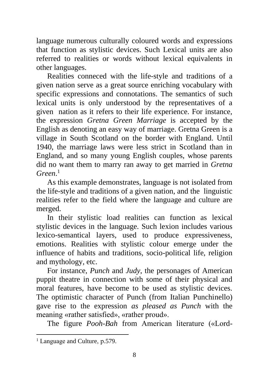language numerous culturally coloured words and expressions that function as stylistic devices. Such Lexical units are also referred to realities or words without lexical equivalents in other languages.

Realities conneced with the life-style and traditions of a given nation serve as a great source enriching vocabulary with specific expressions and connotations. The semantics of such lexical units is only understood by the representatives of a given nation as it refers to their life experience. For instance, the expression *Gretna Green Marriage* is accepted by the English as denoting an easy way of marriage. Gretna Green is a village in South Scotland on the border with England. Until 1940, the marriage laws were less strict in Scotland than in England, and so many young English couples, whose parents did no want them to marry ran away to get married in *Gretna Green*. 1

As this example demonstrates, language is not isolated from the life-style and traditions of a given nation, and the linguistic realities refer to the field where the language and culture are merged.

In their stylistic load realities can function as lexical stylistic devices in the language. Such lexion includes various lexico-semantical layers, used to produce expressiveness, emotions. Realities with stylistic colour emerge under the influence of habits and traditions, socio-political life, religion and mythology, etc.

For instance, *Punch* and *Judy*, the personages of American puppit theatre in connection with some of their physical and moral features, have become to be used as stylistic devices. The optimistic character of Punch (from Italian Punchinello) gave rise to the expression *as pleased as Punch* with the meaning «rather satisfied», «rather proud».

The figure *Pooh-Bah* from American literature («Lord-

<sup>&</sup>lt;sup>1</sup> Language and Culture, p.579.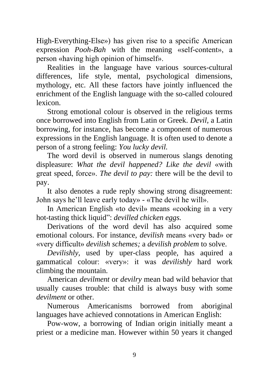High-Everything-Else») has given rise to a specific American expression *Pooh-Bah* with the meaning «self-content», a person «having high opinion of himself».

Realities in the language have various sources-cultural differences, life style, mental, psychological dimensions, mythology, etc. All these factors have jointly influenced the enrichment of the English language with the so-called coloured lexicon.

Strong emotional colour is observed in the religious terms once borrowed into English from Latin or Greek. *Devil,* a Latin borrowing, for instance, has become a component of numerous expressions in the English language. It is often used to denote a person of a strong feeling: *You lucky devil.*

The word devil is observed in numerous slangs denoting displeasure: *What the devil happened? Like the devil* «with great speed, force». *The devil to pay:* there will be the devil to pay.

It also denotes a rude reply showing strong disagreement: John says he'll leave early today» - «The devil he will».

In American English «to devil» means «cooking in a very hot-tasting thick liquid": *devilled chicken eggs.*

Derivations of the word devil has also acquired some emotional colours. For instance, *devilish* means «very bad» or «very difficult» *devilish schemes;* a *devilish problem* to solve.

*Devilishly,* used by uper-class people, has aquired a gammatical colour: «very»: it was *devilishly* hard work climbing the mountain.

American *devilment* or *devilry* mean bad wild behavior that usually causes trouble: that child is always busy with some *devilment* or other.

Numerous Americanisms borrowed from aboriginal languages have achieved connotations in American English:

Pow-wow, a borrowing of Indian origin initially meant a priest or a medicine man. However within 50 years it changed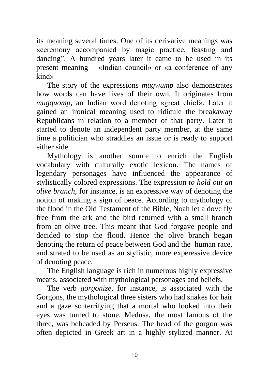its meaning several times. One of its derivative meanings was «ceremony accompanied by magic practice, feasting and dancing". A hundred years later it came to be used in its present meaning – «Indian council» or «a conference of any kind»

The story of the expressions *mugwump* also demonstrates how words can have lives of their own. It originates from *mugquomp,* an Indian word denoting «great chief». Later it gained an ironical meaning used to ridicule the breakaway Republicans in relation to a member of that party. Later it started to denote an independent party member, at the same time a politician who straddles an issue or is ready to support either side.

Mythology is another source to enrich the English vocabulary with culturally exotic lexicon. The names of legendary personages have influenced the appearance of stylistically colored expressions. The expression *to hold out an olive branch,* for instance, is an expressive way of denoting the notion of making a sign of peace. According to mythology of the flood in the Old Testament of the Bible, Noah let a dove fly free from the ark and the bird returned with a small branch from an olive tree. This meant that God forgave people and decided to stop the flood. Hence the olive branch began denoting the return of peace between God and the human race, and strated to be used as an stylistic, more experessive device of denoting peace.

The English language is rich in numerous highly expressive means, associated with mythological personages and beliefs.

The verb *gorgonize,* for instance, is associated with the Gorgons, the mythological three sisters who had snakes for hair and a gaze so terrifying that a mortal who looked into their eyes was turned to stone. Medusa, the most famous of the three, was beheaded by Perseus. The head of the gorgon was often depicted in Greek art in a highly stylized manner. At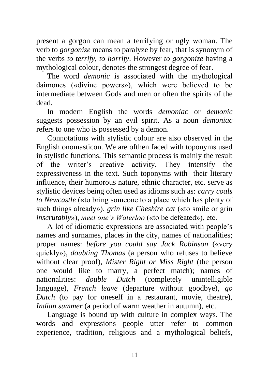present a gorgon can mean a terrifying or ugly woman. The verb to *gorgonize* means to paralyze by fear, that is synonym of the verbs *to terrify, to horrify*. However *to gorgonize* having a mythological colour, denotes the strongest degree of fear.

The word *demonic* is associated with the mythological daimones («divine powers»), which were believed to be intermediate between Gods and men or often the spirits of the dead.

In modern English the words *demoniac* or *demonic*  suggests possession by an evil spirit. As a noun *demoniac*  refers to one who is possessed by a demon.

Connotations with stylistic colour are also observed in the English onomasticon. We are ofthen faced with toponyms used in stylistic functions. This semantic process is mainly the result of the writer's creative activity. They intensify the expressiveness in the text. Such toponyms with their literary influence, their humorous nature, ethnic character, etc. serve as stylistic devices being often used as idioms such as: *carry coals to Newcastle* («to bring someone to a place which has plenty of such things already»), *grin like Cheshire cat* («to smile or grin *inscrutably*»), *meet one's Waterloo* («to be defeated»), etc.

A lot of idiomatic expressions are associated with people's names and surnames, places in the city, names of nationalities; proper names: *before you could say Jack Robinson* («very quickly»), *doubting Thomas* (a person who refuses to believe without clear proof), *Mister Right or Miss Right* (the person one would like to marry, a perfect match); names of nationalities: *double Dutch* (completely unintelligible language), *French leave* (departure without goodbye), *go Dutch* (to pay for oneself in a restaurant, movie, theatre), *Indian summer* (a period of warm weather in autumn), etc.

Language is bound up with culture in complex ways. The words and expressions people utter refer to common experience, tradition, religious and a mythological beliefs,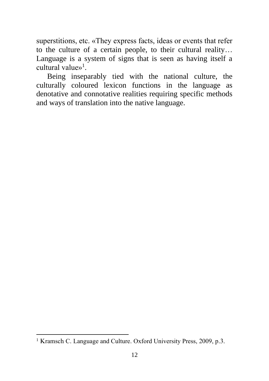superstitions, etc. «They express facts, ideas or events that refer to the culture of a certain people, to their cultural reality… Language is a system of signs that is seen as having itself a cultural value»<sup>1</sup>.

Being inseparably tied with the national culture, the culturally coloured lexicon functions in the language as denotative and connotative realities requiring specific methods and ways of translation into the native language.

<sup>&</sup>lt;sup>1</sup> Kramsch C. Language and Culture. Oxford University Press, 2009, p.3.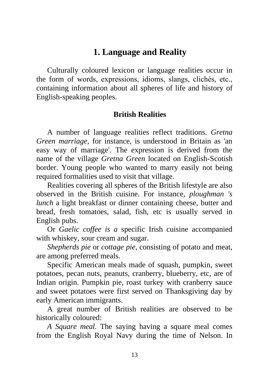## **1. Language and Reality**

Culturally coloured lexicon or language realities occur in the form of words, expressions, idioms, slangs, clichés, etc., containing information about all spheres of life and history of English-speaking peoples.

#### **British Realities**

A number of language realities reflect traditions. *Gretna Green marriage*, for instance, is understood in Britain as 'an easy way of marriage'. The expression is derived from the name of the village *Gretna Green* located on English-Scotish border. Young people who wanted to marry easily not being required formalities used to visit that village.

Realities covering all spheres of the British lifestyle are also observed in the British cuisine. For instance, *ploughman 's lunch* a light breakfast or dinner containing cheese, butter and bread, fresh tomatoes, salad, fish, etc is usually served in English pubs.

Or *Gaelic coffee is a* specific Irish cuisine accompanied with whiskey, sour cream and sugar.

*Shepherds pie* or *cottage pie*, consisting of potato and meat, are among preferred meals.

Specific American meals made of squash, pumpkin, sweet potatoes, pecan nuts, peanuts, cranberry, blueberry, etc, are of Indian origin. Pumpkin pie, roast turkey with cranberry sauce and sweet potatoes were first served on Thanksgiving day by early American immigrants.

A great number of British realities are observed to be historically coloured:

*A Square meal.* The saying having a square meal comes from the English Royal Navy during the time of Nelson. In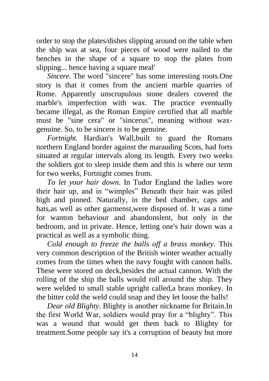order to stop the plates/dishes slipping around on the table when the ship was at sea, four pieces of wood were nailed to the benches in the shape of a square to stop the plates from slipping... hence having a square meal'

*Sincere.* The word "sincere" has some interesting roots.One story is that it comes from the ancient marble quarries of Rome. Apparently unscrupulous stone dealers covered the marble's imperfection with wax. The practice eventually became illegal, as the Roman Empire certified that all marble must be "sine cera" or "sincerus", meaning without waxgenuine. So, to be sincere is to be genuine.

*Fortnight.* Hardian's Wall,built to guard the Romans northern England border against the marauding Scots, had forts situated at regular intervals along its length. Every two weeks the soldiers got to sleep inside them and this is where our term for two weeks, Fortnight comes from.

*To let your hair down.* In Tudor England the ladies wore their hair up, and in "wimples" Beneath their hair was piled high and pinned. Naturally, in the bed chamber, caps and hats,as well as other garmenst,were disposed [of. lt](http://of.lt/) was a time for wanton behaviour and abandonslent, but only in the bedroom, and in private. Hence, letting one's hair down was a practical as well as a symbolic thing.

*Cold enough to freeze the balls off a brass monkey.* This very common description of the British winter weather actually comes from the times when the navy fought with cannon balls. These were stored on deck,besides the actual cannon. With the rolling of the ship the balls would roll around the ship. They were welded to small stable upright called,a brass monkey. In the bitter cold the weld could snap and they let loose the balls!

*Dear old Blighty*. Blighty is another nickname for Britain.In the first World War, soldiers would pray for a "blighty". This was a wound that would get them back to Blighty for treatment.Some people say it's a corruption of beauty but more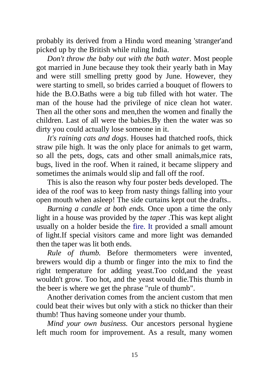probably its derived from a Hindu word meaning 'stranger'and picked up by the British while ruling India.

*Don't throw the baby out with the bath water*. Most people got married in June because they took their yearly bath in May and were still smelling pretty good by June. However, they were starting to smell, so brides carried a bouquet of flowers to hide the B.O.Baths were a big tub filled with hot water. The man of the house had the privilege of nice clean hot water. Then all the other sons and men,then the women and finally the children. Last of all were the babies.By then the water was so dirty you could actually lose someone in it.

*It's raining cats and dogs*. Houses had thatched roofs, thick straw pile [high. lt](http://high.lt/) was the only place for animals to get warm, so all the pets, dogs, cats and other small animals,mice rats, bugs, lived in the roof. When it rained, it became slippery and sometimes the animals would slip and fall off the roof.

This is also the reason why four poster beds developed. The idea of the roof was to keep from nasty things falling into your open mouth when asleep! The side curtains kept out the drafts..

*Burning a candle at both ends.* Once upon a time the only light in a house was provided by the *taper* .This was kept alight usually on a holder beside the [fire.](http://fire.lt/) It provided a small amount of light.If special visitors came and more light was demanded then the taper was lit both ends.

*Rule of thumb.* Before thermometers were invented, brewers would dip a thumb or finger into the mix to find the right temperature for adding yeast.Too cold,and the yeast wouldn't grow. Too hot, and the yeast would die.This thumb in the beer is where we get the phrase "rule of thumb".

Another derivation comes from the ancient custom that men could beat their wives but only with a stick no thicker than their thumb! Thus having someone under your thumb.

*Mind your own business.* Our ancestors personal hygiene left much room for improvement. As a result, many women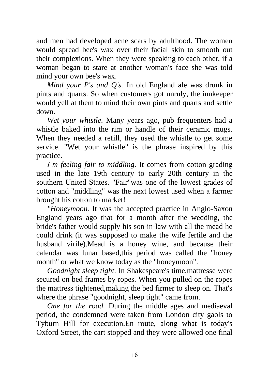and men had developed acne scars by adulthood. The women would spread bee's wax over their facial skin to smooth out their complexions. When they were speaking to each other, if a woman began to stare at another woman's face she was told mind your own bee's wax.

*Mind your P's and Q's.* In old England ale was drunk in pints and quarts. So when customers got unruly, the innkeeper would yell at them to mind their own pints and quarts and settle down.

*Wet your whistle.* Many years ago, pub frequenters had a whistle baked into the rim or handle of their ceramic mugs. When they needed a refill, they used the whistle to get some service. "Wet your whistle" is the phrase inspired by this practice.

*I'm feeling fair to middling.* It comes from cotton grading used in the late 19th century to early 20th century in the southern United States. "Fair"was one of the lowest grades of cotton and "middling" was the next lowest used when a farmer brought his cotton to market!

*"Honeymoon.* It was the accepted practice in Anglo-Saxon England years ago that for a month after the wedding, the bride's father would supply his son-in-law with all the mead he could drink (it was supposed to make the wife fertile and the husband virile).Mead is a honey wine, and because their calendar was lunar based,this period was called the "honey month" or what we know today as the "honeymoon".

*Goodnight sleep tight.* In Shakespeare's time,mattresse were secured on bed frames by ropes. When you pulled on the ropes the mattress tightened,making the bed firmer to sleep on. That's where the phrase "goodnight, sleep tight" came from.

*One for the road.* During the middle ages and mediaeval period, the condemned were taken from London city gaols to Tyburn Hill for execution.En route, along what is today's Oxford Street, the cart stopped and they were allowed one final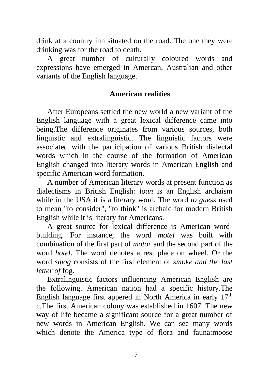drink at a country inn situated on the road. The one they were drinking was for the road to death.

A great number of culturally coloured words and expressions have emerged in Amercan, Australian and other variants of the English language.

#### **American realities**

After Europeans settled the new world a new variant of the English language with a great lexical difference came into being.The difference originates from various sources, both linguistic and extralinguistic. The linguistic factors were associated with the participation of various British dialectal words which in the course of the formation of American English changed into literary words in American English and specific American word formation.

A number of American literary words at present function as dialectisms in British English: *loan* is an English archaism while in the USA it is a literary word. The word *to guess* used to mean "to consider", "to think" is archaic for modern British English while it is literary for Americans.

A great source for lexical difference is American wordbuilding. For instance, the word *motel* was built with combination of the first part of *motor* and the second part of the word *hotel*. The word denotes a rest place on wheel. Or the word *smog* consists of the first element of *smoke and the last letter of* fog*.*

Extralinguistic factors influencing American English are the following. American nation had a specific history.The English language first appered in North America in early  $17<sup>th</sup>$ c.The first American colony was established in 1607. The new way of life became a significant source for a great number of new words in American English. We can see many words which denote the America type of flora and fauna:moose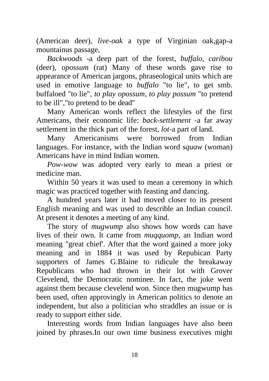(American deer), *live-oak* a type of Virginian oak,gap-a mountainus passage,

*Backwoods* -a deep part of the forest, *buffalo, caribou* (deer), *opossum* (rat) Many of these words gave rise to appearance of American jargons, phraseological units which are used in emotive language to *buffalo* "to lie", to get smb. buffaloed "to lie", *to play opossum, to play possum* "to pretend to be ill","to pretend to be dead"

Many American words reflect the lifestyles of the first Americans, their economic life: *back-settlement* -a far away settlement in the thick part of the forest, *lot*-a part of land.

Many Americanisms were borrowed from Indian languages. For instance, with the Indian word *squaw* (woman) Americans have in mind Indian women.

*Pow-wow* was adopted very early to mean a priest or medicine man.

Within 50 years it was used to mean a ceremony in which magic was practiced together with feasting and dancing.

A hundred years later it had moved closer to its present English meaning and was used to describle an Indian council. At present it denotes a meeting of any kind.

The story of *mugwump* also shows how words can have lives of their [own. lt](http://own.lt/) came from *muqquomp,* an Indian word meaning "great chief'. After that the word gained a more joky meaning and in 1884 it was used by Repubican Party supporters of James G.Blaine to ridicule the breakaway Republicans who had thrown in their lot with Grover Clevelend, the Democratic nominee. In fact, the joke went against them because clevelend won. Since then mugwump has been used, often approvingly in American politics to denote an independent, but also a politician who straddles an issue or is ready to support either side.

Interesting words from Indian languages have also been joined by phrases.In our own time business executives might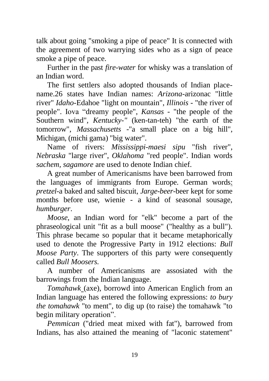talk about going "smoking a pipe of peace" It is connected with the agreement of two warrying sides who as a sign of peace smoke a pipe of peace.

Further in the past *fire-water* for whisky was a translation of an Indian word.

The first settlers also adopted thousands of Indian placename.26 states have Indian names: *Arizona*-arizonac "little river" *Idaho*-Edahoe "light on mountain", *Illinois* - "the river of people". Iova "dreamy people", *Kansas -* "the people of the Southern wind", *Kentucky-"* (ken-tan-teh) "the earth of the tomorrow", *Massachusetts* -"a small place on a big hill", Michigan, (michi gama) "big water".

Name of rivers: *Mississippi-maesi sipu* "fish river", *Nebraska* "large river", *Oklahoma* "red people". Indian words *sachem, sagamore* are used to denote Indian chief.

A great number of Americanisms have been barrowed from the languages of immigrants from Europe. German words: *pretzel*-a baked and salted biscuit, *Jarge-beer*-beer kept for some months before use, wienie - a kind of seasonal sousage, *humburger*.

*Moose,* an Indian word for "elk" become a part of the phraseological unit "fit as a bull moose" ("healthy as a bull"). This phrase became so popular that it became metaphorically used to denote the Progressive Party in 1912 elections: *Bull Moose Party*. The supporters of this party were consequently called *Bull Moosers.*

A number of Americanisms are assosiated with the barrowings from the Indian language.

*Tomahawk* (axe), borrowd into American Englich from an Indian language has entered the following expressions: *to bury the tomahawk* "to ment", to dig up (to raise) the tomahawk "to begin military operation".

*Pemmican* ("dried meat mixed with fat"), barrowed from Indians, has also attained the meaning of "laconic statement"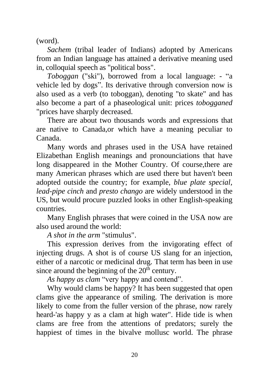(word).

*Sachem* (tribal leader of Indians) adopted by Americans from an Indian language has attained a derivative meaning used in, colloquial speech as "political boss".

*Toboggan* ("ski"), borrowed from a local language: - "a vehicle led by dogs". Its derivative through conversion now is also used as a verb (to toboggan), denoting "to skate" and has also become a part of a phaseological unit: prices *tobogganed* "prices have sharply decreased.

There are about two thousands words and expressions that are native to Canada,or which have a meaning peculiar to Canada.

Many words and phrases used in the USA have retained Elizabethan English meanings and pronounciations that have long disappeared in the Mother Country. Of course,there are many American phrases which are used there but haven't been adopted outside the country; for example, *blue plate special, lead-pipe cinch* and *presto chango* are widely understood in the US, but would procure puzzled looks in other English-speaking countries.

Many English phrases that were coined in the USA now are also used around the world:

*A shot in the arm* "stimulus".

This expression derives from the invigorating effect of injecting drugs. A shot is of course US slang for an injection, either of a narcotic or medicinal drug. That term has been in use since around the beginning of the  $20<sup>th</sup>$  century.

*As happy as clam* "very happy and contend".

Why would clams be happy? It has been suggested that open clams give the appearance of smiling. The derivation is more likely to come from the fuller version of the phrase, now rarely heard-'as happy y as a clam at high water". Hide tide is when clams are free from the attentions of predators; surely the happiest of times in the bivalve mollusc world. The phrase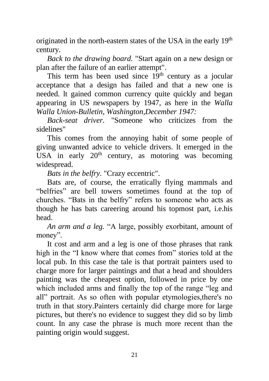originated in the north-eastern states of the USA in the early 19<sup>th</sup> century.

*Back to the drawing board.* "Start again on a new design or plan after the failure of an earlier attempt".

This term has been used since  $19<sup>th</sup>$  century as a jocular acceptance that a design has failed and that a new one is [needed. lt](http://needed.lt/) gained common currency quite quickly and began appearing in US newspapers by 1947, as here in the *Walla Walla Union-Bulletin, Washington,December 1947:*

*Back-seat driver.* "Someone who criticizes from the sidelines"

This comes from the annoying habit of some people of giving unwanted advice to vehicle [drivers. lt](http://drivers.lt/) emerged in the USA in early  $20<sup>th</sup>$  century, as motoring was becoming widespread.

*Bats in the belfry.* "Crazy eccentric".

Bats are, of course, the erratically flying mammals and "belfries" are bell towers sometimes found at the top of churches. "Bats in the belfry" refers to someone who acts as though he has bats careering around his topmost part, i.e.his head.

*An arm and a leg.* "A large, possibly exorbitant, amount of money".

It cost and arm and a leg is one of those phrases that rank high in the "I know where that comes from" stories told at the local pub. In this case the tale is that portrait painters used to charge more for larger paintings and that a head and shoulders painting was the cheapest option, followed in price by one which included arms and finally the top of the range "leg and all" portrait. As so often with popular etymologies,there's no truth in that story.Painters certainly did charge more for large pictures, but there's no evidence to suggest they did so by limb count. In any case the phrase is much more recent than the painting origin would suggest.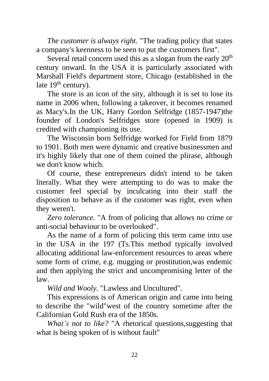*The customer is always right.* "The trading policy that states a company's keenness to be seen to put the customers first".

Several retail concern used this as a slogan from the early  $20<sup>th</sup>$ century onward. In the USA it is particularly associated with Marshall Field's department store, Chicago (established in the late  $19<sup>th</sup>$  century).

The store is an icon of the sity, although it is set to lose its name in 2006 when, following a takeover, it becomes renamed as Macy's.In the UK, Harry Gordon Selfridge (1857-1947)the founder of London's Selfridges store (opened in 1909) is credited with championing its use.

The Wisconsin born Selfridge worked for Field from 1879 to 1901. Both men were dynamic and creative businessmen and it's highly likely that one of them coined the plirase, although we don't know which.

Of course, these entrepreneurs didn't intend to be taken literally. What they were attempting to do was to make the customer feel special by inculcating into their staff the disposition to behave as if the customer was right, even when they weren't.

*Zero tolerance.* "A from of policing that allows no crime or anti-social behaviour to be overlooked".

As the name of a form of policing this term came into use in the USA in the 197 (Ts.This method typically involved allocating additional law-enforcement resources to areas where some form of crime, e.g. mugging or prostitution,was endemic and then applying the strict and uncompromising letter of the law.

*Wild and Wooly.* "Lawless and Uncultured".

This expressions is of American origin and came into being to describe the "wild"west of the country sometime after the Californian Gold Rush era of the 1850s.

*What's not to like?* "A rhetorical questions,suggesting that what is being spoken of is without fault"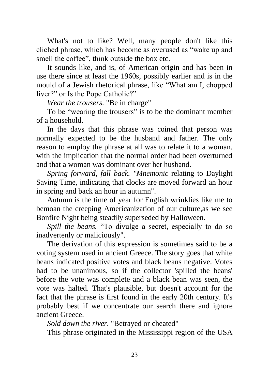What's not to like? Well, many people don't like this cliched phrase, which has become as overused as "wake up and smell the coffee", think outside the box etc.

It sounds like, and is, of American origin and has been in use there since at least the 1960s, possibly earlier and is in the mould of a Jewish rhetorical phrase, like "What am I, chopped liver?" or Is the Pope Catholic?"

*Wear the trousers.* "Be in charge"

To be "wearing the trousers" is to be the dominant member of a household.

In the days that this phrase was coined that person was normally expected to be the husband and father. The only reason to employ the phrase at all was to relate it to a woman, with the implication that the normal order had been overturned and that a woman was dominant over her husband.

*Spring forward, fall back. "Mnemonic* relating to Daylight Saving Time, indicating that clocks are moved forward an hour in spring and back an hour in autumn".

Autumn is the time of year for English wrinklies like me to bemoan the creeping Americanization of our culture,as we see Bonfire Night being steadily superseded by Halloween.

*Spill the beans.* "To divulge a secret, especially to do so inadvertenly or maliciously".

The derivation of this expression is sometimes said to be a voting system used in ancient Greece. The story goes that white beans indicated positive votes and black beans negative. Votes had to be unanimous, so if the collector 'spilled the beans' before the vote was complete and a black bean was seen, the vote was halted. That's plausible, but doesn't account for the fact that the phrase is first found in the early 20th century. It's probably best if we concentrate our search there and ignore ancient Greece.

*Sold down the river.* "Betrayed or cheated"

This phrase originated in the Mississippi region of the USA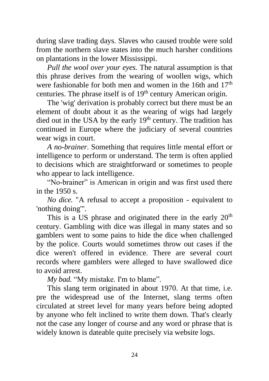during slave trading days. Slaves who caused trouble were sold from the northern slave states into the much harsher conditions on plantations in the lower Mississippi.

*Pull the wool over your eyes.* The natural assumption is that this phrase derives from the wearing of woollen wigs, which were fashionable for both men and women in the 16th and  $17<sup>th</sup>$ centuries. The phrase itself is of 19<sup>th</sup> century American origin.

The 'wig' derivation is probably correct but there must be an element of doubt about it as the wearing of wigs had largely died out in the USA by the early 19<sup>th</sup> century. The tradition has continued in Europe where the judiciary of several countries wear wigs in court.

*A no-brainer.* Something that requires little mental effort or intelligence to perform or understand. The term is often applied to decisions which are straightforward or sometimes to people who appear to lack intelligence.

"No-brainer" is American in origin and was first used there in the 1950 s.

*No dice.* "A refusal to accept a proposition - equivalent to 'nothing doing'".

This is a US phrase and originated there in the early  $20<sup>th</sup>$ century. Gambling with dice was illegal in many states and so gamblers went to some pains to hide the dice when challenged by the police. Courts would sometimes throw out cases if the dice weren't offered in evidence. There are several court records where gamblers were alleged to have swallowed dice to avoid arrest.

*My bad.* "My mistake. I'm to blame".

This slang term originated in about 1970. At that time, i.e. pre the widespread use of the Internet, slang terms often circulated at street level for many years before being adopted by anyone who felt inclined to write them down. That's clearly not the case any longer of course and any word or phrase that is widely known is dateable quite precisely via website logs.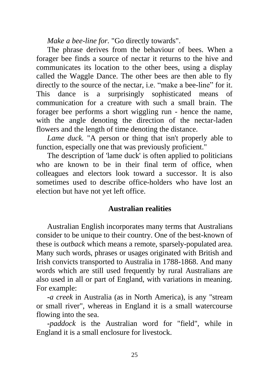*Make a bee-line for.* "Go directly towards".

The phrase derives from the behaviour of bees. When a forager bee finds a source of nectar it returns to the hive and communicates its location to the other bees, using a display called the Waggle Dance. The other bees are then able to fly directly to the source of the nectar, i.e. "make a bee-line" for it. This dance is a surprisingly sophisticated means of communication for a creature with such a small brain. The forager bee performs a short wiggling run - hence the name, with the angle denoting the direction of the nectar-laden flowers and the length of time denoting the distance.

*Lame duck.* "A person or thing that isn't properly able to function, especially one that was previously proficient."

The description of 'lame duck' is often applied to politicians who are known to be in their final term of office, when colleagues and electors look toward a successor. It is also sometimes used to describe office-holders who have lost an election but have not yet left office.

#### **Australian realities**

Australian English incorporates many terms that Australians consider to be unique to their country. One of the best-known of these is *outback* which means a remote, sparsely-populated area. Many such words, phrases or usages originated with British and Irish convicts transported to Australia in 1788-1868. And many words which are still used frequently by rural Australians are also used in all or part of England, with variations in meaning. For example:

**-***a creek* in Australia (as in North America), is any "stream or small river", whereas in England it is a small watercourse flowing into the sea.

**-***paddock* is the Australian word for "field", while in England it is a small enclosure for livestock.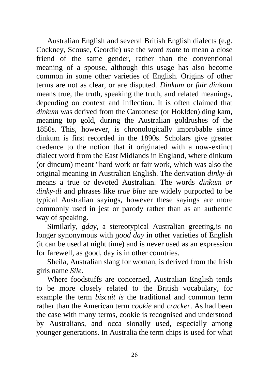Australian English and several British English dialects (e.g. Cockney, Scouse, Geordie) use the word *mate* to mean a close friend of the same gender, rather than the conventional meaning of a spouse, although this usage has also become common in some other varieties of English. Origins of other terms are not as clear, or are disputed. *Dinkum* or *fair din*kum means true, the truth, speaking the truth, and related meanings, depending on context and inflection. It is often claimed that *dinkum* was derived from the Cantonese (or Hoklden) ding kam, meaning top gold, during the Australian goldrushes of the 1850s. This, however, is chronologically improbable since dinkum is first recorded in the 1890s. Scholars give greater credence to the notion that it originated with a now-extinct dialect word from the East Midlands in England, where dinkum (or dincum) meant "hard work or fair work, which was also the original meaning in Australian English. The derivation *dinky-di* means a true or devoted Australian. The words *dinkum or dinky-di* and phrases like *true blue* are widely purported to be typical Australian sayings, however these sayings are more commonly used in jest or parody rather than as an authentic way of speaking.

Similarly, *gday,* a stereotypical Australian greeting,is no longer synonymous with *good day* in other varieties of English (it can be used at night time) and is never used as an expression for farewell, as good, day is in other countries.

Sheila, Australian slang for woman, is derived from the Irish girls name *Sile.*

Where foodstuffs are concerned, Australian English tends to be more closely related to the British vocabulary, for example the term *biscuit is* the traditional and common term rather than the American term *cookie* and *cracker*. As had been the case with many terms, cookie is recognised and understood by Australians, and occa sionally used, especially among younger generations. In Australia the term chips is used for what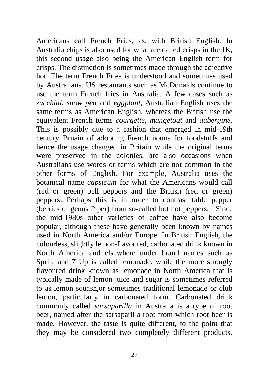Americans call French Fries, as. with British English. In Australia chips is also used for what are called crisps in the JK, this second usage also being the American English term for crisps. The distinction is sometimes made through the adjective hot. The term French Fries is understood and sometimes used by Australians. US restaurants such as McDonalds continue to use the term French fries in Australia. A few cases such as *zucchini, snow pea* and *eggplant,* Australian English uses the same terms as American English, whereas the British use the equivalent French terms *courgette, mangetout* and *aubergine.* This is possibly due to a fashion that emerged in mid-19th century Bruain of adopting French nouns for foodstuffs and hence the usage changed in Britain while the original terms were preserved in the colonies, are also occasions when Australians use words or terms which are not common in the other forms of English. For example, Australia uses the botanical name *capsicum* for what the Americans would call (red or green) bell peppers and the British (red or green) peppers. Perhaps this is in order to contrast table pepper (berries of genus Piper) from so-called hot hot peppers. Since the mid-1980s other varieties of coffee have also become popular, although these have generally been known by names used in North America and/or Europe. In British English, the colourless, slightly lemon-flavoured, carbonated drink known in North America and elsewhere under brand names such as Sprite and 7 Up is called lemonade, while the more strongly flavoured drink known as lemonade in North America that is typically made of lemon juice and sugar is sometimes referred to as lemon squash,or sometimes traditional lemonade or club lemon, particularly in carbonated form. Carbonated drink commonly called *sarsaparilla* in Australia is a type of root beer, named after the sarsaparilla root from which root beer is made. However, the taste is quite different, to the point that they may be considered two completely different products.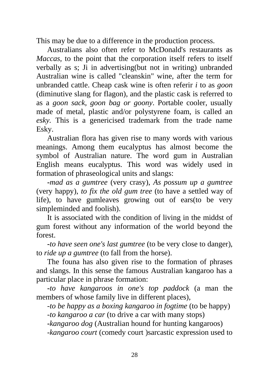This may be due to a difference in the production process.

Australians also often refer to McDonald's restaurants as *Maccas,* to the point that the corporation itself refers to itself verbally as s; Ji in advertising(but not in writing) unbranded Australian wine is called "cleanskin" wine, after the term for unbranded cattle. Cheap cask wine is often referir *i* to as *goon* (diminutive slang for flagon), and the plastic cask is referred to as a *goon sack, goon bag or goony*. Portable cooler, usually made of metal, plastic and/or polystyrene foam, is called an *esky.* This is a genericised trademark from the trade name Esky.

Australian flora has given rise to many words with various meanings. Among them eucalyptus has almost become the symbol of Australian nature. The word gum in Australian English means eucalyptus. This word was widely used in formation of phraseological units and slangs:

**-***mad as a gumtree* (very crasy), *As possum up a gumtree* (very happy), *to fix the old gum tree* (to have a settled way of life), to have gumleaves growing out of ears(to be very simpleminded and foolish).

It is associated with the condition of living in the middst of gum forest without any information of the world beyond the forest.

**-***to have seen one's last gumtree* (to be very close to danger), to *ride up a gumtree* (to fall from the horse).

The founa has also given rise to the formation of phrases and slangs. In this sense the famous Australian kangaroo has a particular place in phrase formation:

**-***to have kangaroos in one's top paddock* (a man the members of whose family live in different places),

*-to be happy as a boxing kangaroo in fogtime* (to be happy)

*-to kangaroo a car* (to drive a car with many stops)

**-***kangaroo dog* (Australian hound for hunting kangaroos)

*-kangaroo court* (comedy court )sarcastic expression used to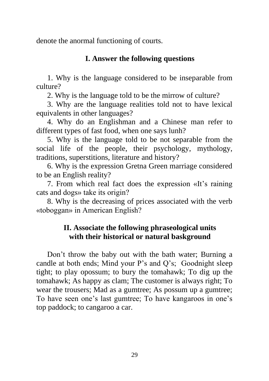denote the anormal functioning of courts.

#### **I. Answer the following questions**

1. Why is the language considered to be inseparable from culture?

2. Why is the language told to be the mirrow of culture?

3. Why are the language realities told not to have lexical equivalents in other languages?

4. Why do an Englishman and a Chinese man refer to different types of fast food, when one says lunh?

5. Why is the language told to be not separable from the social life of the people, their psychology, mythology, traditions, superstitions, literature and history?

6. Why is the expression Gretna Green marriage considered to be an English reality?

7. From which real fact does the expression «It's raining cats and dogs» take its origin?

8. Why is the decreasing of prices associated with the verb «toboggan» in American English?

#### **II. Associate the following phraseological units with their historical or natural baskground**

Don't throw the baby out with the bath water; Burning a candle at both ends; Mind your P's and Q's; Goodnight sleep tight; to play opossum; to bury the tomahawk; To dig up the tomahawk; As happy as clam; The customer is always right; To wear the trousers; Mad as a gumtree; As possum up a gumtree; To have seen one's last gumtree; To have kangaroos in one's top paddock; to cangaroo a car.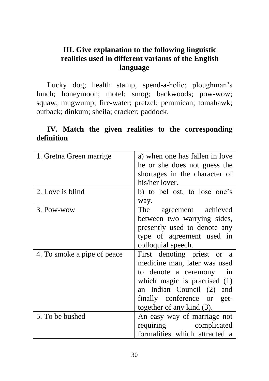#### **III. Give explanation to the following linguistic realities used in different variants of the English language**

Lucky dog; health stamp, spend-a-holic; ploughman's lunch; honeymoon; motel; smog; backwoods; pow-wow; squaw; mugwump; fire-water; pretzel; pemmican; tomahawk; outback; dinkum; sheila; cracker; paddock.

#### **IV. Match the given realities to the corresponding definition**

| 1. Gretna Green marrige     | a) when one has fallen in love |
|-----------------------------|--------------------------------|
|                             | he or she does not guess the   |
|                             | shortages in the character of  |
|                             | his/her lover.                 |
| 2. Love is blind            | b) to bel ost, to lose one's   |
|                             | way.                           |
| 3. Pow-wow                  | The agreement achieved         |
|                             | between two warrying sides,    |
|                             | presently used to denote any   |
|                             | type of agreement used in      |
|                             | colloquial speech.             |
| 4. To smoke a pipe of peace | First denoting priest or a     |
|                             | medicine man, later was used   |
|                             | to denote a ceremony in        |
|                             | which magic is practised (1)   |
|                             | an Indian Council (2) and      |
|                             | finally conference or get-     |
|                             | together of any kind (3).      |
| 5. To be bushed             | An easy way of marriage not    |
|                             | requiring complicated          |
|                             | formalities which attracted a  |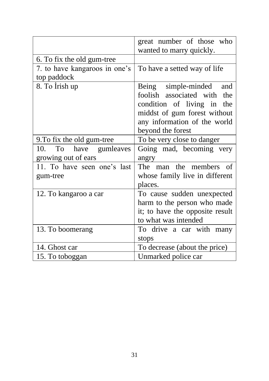|                               | great number of those who<br>wanted to marry quickly. |
|-------------------------------|-------------------------------------------------------|
| 6. To fix the old gum-tree    |                                                       |
| 7. to have kangaroos in one's | To have a setted way of life                          |
| top paddock                   |                                                       |
| 8. To Irish up                | Being simple-minded<br>and                            |
|                               | foolish associated with<br>the                        |
|                               | condition of living in<br>the                         |
|                               | middst of gum forest without                          |
|                               | any information of the world                          |
|                               | beyond the forest                                     |
| 9. To fix the old gum-tree    | To be very close to danger                            |
| 10. To have gumleaves         | Going mad, becoming very                              |
| growing out of ears           | angry                                                 |
| 11. To have seen one's last   | The man the members of                                |
| gum-tree                      | whose family live in different                        |
|                               | places.                                               |
| 12. To kangaroo a car         | To cause sudden unexpected                            |
|                               | harm to the person who made                           |
|                               | it; to have the opposite result                       |
|                               | to what was intended                                  |
| 13. To boomerang              | To drive a car with many                              |
|                               | stops                                                 |
| 14. Ghost car                 | To decrease (about the price)                         |
| 15. To toboggan               | Unmarked police car                                   |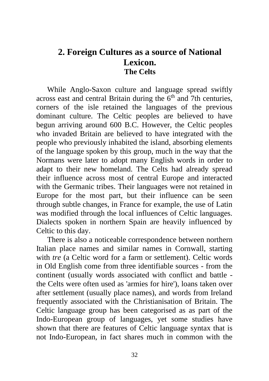## **2. Foreign Cultures as a source of National Lexicon. The Celts**

While Anglo-Saxon culture and language spread swiftly across east and central Britain during the  $6<sup>th</sup>$  and 7th centuries, corners of the isle retained the languages of the previous dominant culture. The Celtic peoples are believed to have begun arriving around 600 B.C. However, the Celtic peoples who invaded Britain are believed to have integrated with the people who previously inhabited the island, absorbing elements of the language spoken by this group, much in the way that the Normans were later to adopt many English words in order to adapt to their new homeland. The Celts had already spread their influence across most of central Europe and interacted with the Germanic tribes. Their languages were not retained in Europe for the most part, but their influence can be seen through subtle changes, in France for example, the use of Latin was modified through the local influences of Celtic languages. Dialects spoken in northern Spain are heavily influenced by Celtic to this day.

There is also a noticeable correspondence between northern Italian place names and similar names in Cornwall, starting with *tre* (a Celtic word for a farm or settlement). Celtic words in Old English come from three identifiable sources - from the continent (usually words associated with conflict and battle the Celts were often used as 'armies for hire'), loans taken over after settlement (usually place names), and words from Ireland frequently associated with the Christianisation of Britain. The Celtic language group has been categorised as as part of the Indo-European group of languages, yet some studies have shown that there are features of Celtic language syntax that is not Indo-European, in fact shares much in common with the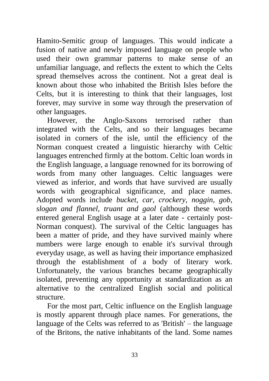Hamito-Semitic group of languages. This would indicate a fusion of native and newly imposed language on people who used their own grammar patterns to make sense of an unfamiliar language, and reflects the extent to which the Celts spread themselves across the continent. Not a great deal is known about those who inhabited the British Isles before the Celts, but it is interesting to think that their languages, lost forever, may survive in some way through the preservation of other languages.

However, the Anglo-Saxons terrorised rather than integrated with the Celts, and so their languages became isolated in corners of the isle, until the efficiency of the Norman conquest created a linguistic hierarchy with Celtic languages entrenched firmly at the bottom. Celtic loan words in the English language, a language renowned for its borrowing of words from many other languages. Celtic languages were viewed as inferior, and words that have survived are usually words with geographical significance, and place names. Adopted words include *bucket, car, crockery, noggin, gob, slogan and flannel, truant and gaol* (although these words entered general English usage at a later date - certainly post-Norman conquest). The survival of the Celtic languages has been a matter of pride, and they have survived mainly where numbers were large enough to enable it's survival through everyday usage, as well as having their importance emphasized through the establishment of a body of literary work. Unfortunately, the various branches became geographically isolated, preventing any opportunity at standardization as an alternative to the centralized English social and political structure.

For the most part, Celtic influence on the English language is mostly apparent through place names. For generations, the language of the Celts was referred to as 'British' – the language of the Britons, the native inhabitants of the land. Some names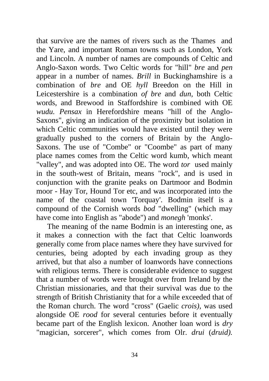that survive are the names of rivers such as the Thames and the Yare, and important Roman towns such as London, York and Lincoln. A number of names are compounds of Celtic and Anglo-Saxon words. Two Celtic words for "hill" *bre* and *pen*  appear in a number of names. *Brill* in Buckinghamshire is a combination of *bre* and OE *hyll* Breedon on the Hill in Leicestershire is a combination *of bre* and *dun,* both Celtic words, and Brewood in Staffordshire is combined with OE *wudu. Pensax* in Herefordshire means "hill of the Anglo-Saxons", giving an indication of the proximity but isolation in which Celtic communities would have existed until they were gradually pushed to the corners of Britain by the Anglo-Saxons. The use of "Combe" or "Coombe" as part of many place names comes from the Celtic word kumb, which meant "valley", and was adopted into OE. The word *tor* used mainly in the south-west of Britain, means "rock", and is used in conjunction with the granite peaks on Dartmoor and Bodmin moor - Hay Tor, Hound Tor etc, and was incorporated into the name of the coastal town 'Torquay'. Bodmin itself is a compound of the Cornish words *bod* "dwelling" (which may have come into English as "abode") and *monegh* 'monks'.

The meaning of the name Bodmin is an interesting one, as it makes a connection with the fact that Celtic loanwords generally come from place names where they have survived for centuries, being adopted by each invading group as they arrived, but that also a number of loanwords have connections with religious terms. There is considerable evidence to suggest that a number of words were brought over from Ireland by the Christian missionaries, and that their survival was due to the strength of British Christianity that for a while exceeded that of the Roman church. The word "cross" (Gaelic *crois),* was used alongside OE *rood* for several centuries before it eventually became part of the English lexicon. Another loan word is *dry*  "magician, sorcerer", which comes from Olr. *drui* (*druid).*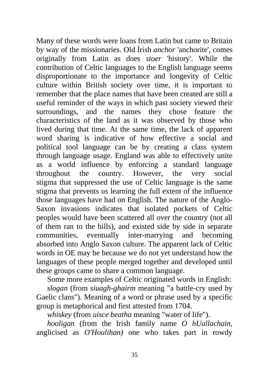Many of these words were loans from Latin but came to Britain by way of the missionaries. Old İrish *anchor* 'anchorite', comes originally from Latin as does *stoer* 'history'. While the contribution of Celtic languages to the English language seems disproportionate to the importance and longevity of Celtic culture within British society over time, it is important to remember that the place names that have been created are still a useful reminder of the ways in which past society viewed their surroundings, and the names they chose feature the characteristics of the land as it was observed by those who lived during that time. At the same time, the lack of apparent word sharing is indicative of how effective a social and political tool language can be by creating a class system through language usage. England was able to effectively unite as a world influence by enforcing a standard language throughout the country. However, the very social stigma that suppressed the use of Celtic language is the same stigma that prevents us learning the full extent of the influence those languages have had on English. The nature of the Anglo-Saxon invasions indicates that isolated pockets of Celtic peoples would have been scattered all over the country (not all of them ran to the hills), and existed side by side in separate communities, eventually inter-marrying and becoming absorbed into Anglo Saxon culture. The apparent lack of Celtic words in OE may be because we do not yet understand how the languages of these people merged together and developed until these groups came to share a common language.

Some more examples of Celtic originated words in English:

*slogan* (from *siuagh-ghairm* meaning "a battle-cry used by Gaelic clans"). Meaning of a word or phrase used by a specific group is metaphorical and first attested from 1704.

*whiskey* (from *uisce beatha* meaning "water of life").

*hooligan* (from the Irish family name *O hUallachain,*  anglicised as *O'Houlihan)* one who takes part in rowdy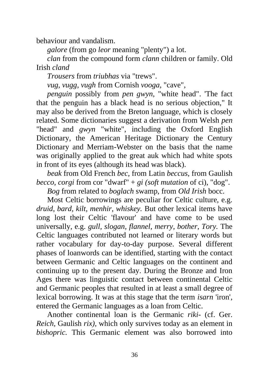behaviour and vandalism.

*galore* (from go *leor* meaning "plenty") a lot.

*clan* from the compound form *clann* children or family. Old Irish *cland*

*Trousers* from *triubhas* via "trews".

*vug, vugg, vugh* from Cornish *vooga,* "cave",

*penguin* possibly from *pen gwyn,* "white head". 'The fact that the penguin has a black head is no serious objection," It may also be derived from the Breton language, which is closely related. Some dictionaries suggest a derivation from Welsh *pen*  "head" and *gwyn* "white", including the Oxford English Dictionary, the American Heritage Dictionary the Century Dictionary and Merriam-Webster on the basis that the name was originally applied to the great auk which had white spots in front of its eyes (although its head was black).

*beak* from Old French *bec,* from Latin *beccus,* from Gaulish *becco, corgi* from cor "dwarf" + *gi (soft mutation* of ci), "dog".

*Bog* from related to *boglach* swamp, from *Old Irish* bocc.

Most Celtic borrowings are peculiar for Celtic culture, e.g. *druid, bard, kilt, menhir, whiskey.* But other lexical items have long lost their Celtic 'flavour' and have come to be used universally, e.g. *gull, slogan, flannel, merry, bother, Tory.* The Celtic languages contributed not learned or literary words but rather vocabulary for day-to-day purpose. Several different phases of loanwords can be identified, starting with the contact between Germanic and Celtic languages on the continent and continuing up to the present day. During the Bronze and Iron Ages there was linguistic contact between continental Celtic and Germanic peoples that resulted in at least a small degree of lexical borrowing. It was at this stage that the term *isarn* 'iron', entered the Germanic languages as a loan from Celtic.

Another continental loan is the Germanic *riki-* (cf. Ger. *Reich, Gaulish rix), which only survives today as an element in bishopric.* This Germanic element was also borrowed into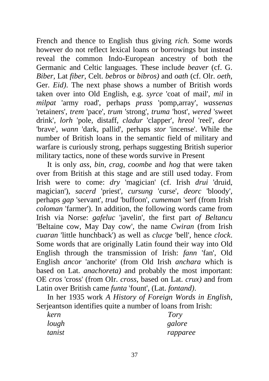French and thence to English thus giving *rich.* Some words however do not reflect lexical loans or borrowings but instead reveal the common Indo-European ancestry of both the Germanic and Celtic languages. These include *beaver* (cf. G. *Biber,* Lat *fiber,* Celt. *bebros* or *bibros)* and *oath* (cf. Olr. *oeth,*  Ger. *Eid)*. The next phase shows a number of British words taken over into Old English, e.g. *syrce* 'coat of mail', *mil* in *milpat* 'army road', perhaps *prass* 'pomp,array', *wassenas*  'retainers', *trem* 'pace', *trum* 'strong', *truma* 'host', *wered* 'sweet drink', *lorh* 'pole, distaff, *cladur* 'clapper', *hreol* 'reel', *deor*  'brave', *wann* 'dark, pallid', perhaps *stor* 'incense'. While the number of British loans in the semantic field of military and warfare is curiously strong, perhaps suggesting British superior military tactics, none of these words survive in Present

It is only *ass, bin, crag, coombe* and *hog* that were taken over from British at this stage and are still used today. From Irish were to come: *dry* 'magician' (cf. Irish *drui* 'druid, magician'), *sacerd* 'priest', *cursung* 'curse', *deorc* 'bloody', perhaps *gap* 'servant', *trud* 'buffoon', *cumeman* 'serf (from Irish *coloman* 'farmer'). In addition, the following words came from Irish via Norse: *gafeluc* 'javelin', the first part *of Beltancu*  'Beltaine cow, May Day cow', the name *Cwiran* (from Irish *cuaran* 'little hunchback') as well as *clucge* 'bell', hence *clock*. Some words that are originally Latin found their way into Old English through the transmission of Irish: *fann* 'fan', Old English *ancor* 'anchorite' (from Old Irish *anchara* which is based on Lat. *anachoreta)* and probably the most important: OE *cros* 'cross' (from OIr. *cross,* based on Lat. *crux)* and from Latin over British came *funta* 'fount', (Lat. *fontand)*.

In her 1935 work *A History of Foreign Words in English,*  Serjeantson identifies quite a number of loans from Irish:

| kern   | $\mathbf{\tau}$<br>Tory |
|--------|-------------------------|
| lough  | galore                  |
| tanist | rapparee                |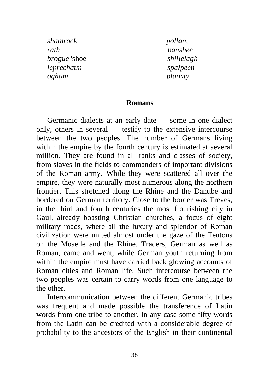*shamrock pollan, <i>rath banshee brogue* 'shoe' *shillelagh crannog leprechaun spalpeen loch ogham planxty mull*

#### **Romans**

Germanic dialects at an early date — some in one dialect only, others in several — testify to the extensive intercourse between the two peoples. The number of Germans living within the empire by the fourth century is estimated at several million. They are found in all ranks and classes of society, from slaves in the fields to commanders of important divisions of the Roman army. While they were scattered all over the empire, they were naturally most numerous along the northern frontier. This stretched along the Rhine and the Danube and bordered on German territory. Close to the border was Treves, in the third and fourth centuries the most flourishing city in Gaul, already boasting Christian churches, a focus of eight military roads, where all the luxury and splendor of Roman civilization were united almost under the gaze of the Teutons on the Moselle and the Rhine. Traders, German as well as Roman, came and went, while German youth returning from within the empire must have carried back glowing accounts of Roman cities and Roman life. Such intercourse between the two peoples was certain to carry words from one language to the other.

Intercommunication between the different Germanic tribes was frequent and made possible the transference of Latin words from one tribe to another. In any case some fifty words from the Latin can be credited with a considerable degree of probability to the ancestors of the English in their continental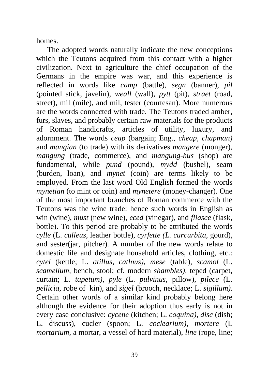homes.

The adopted words naturally indicate the new conceptions which the Teutons acquired from this contact with a higher civilization. Next to agriculture the chief occupation of the Germans in the empire was war, and this experience is reflected in words like *camp* (battle), *segn* (banner), *pil*  (pointed stick, javelin), *weall* (wall), *pytt* (pit), *straet* (road, street), mil (mile), and mil, tester (courtesan). More numerous are the words connected with trade. The Teutons traded amber, furs, slaves, and probably certain raw materials for the products of Roman handicrafts, articles of utility, luxury, and adornment. The words *ceap* (bargain; Eng., *cheap, chapman)*  and *mangian* (to trade) with its derivatives *mangere* (monger), *mangung* (trade, commerce), and *mangung-hus* (shop) are fundamental, while *pund* (pound), *mydd* (bushel), seam (burden, loan), and *mynet* (coin) are terms likely to be employed. From the last word Old English formed the words *mynetian* (to mint or coin) and *mynetere* (money-changer). One of the most important branches of Roman commerce with the Teutons was the wine trade: hence such words in English as win (wine), *must* (new wine), *eced* (vinegar), and *fliasce* (flask, bottle). To this period are probably to be attributed the words *cylle* (L. *culleus,* leather bottle), *cyrfette (L. curcurbita,* gourd), and sester(jar, pitcher). A number of the new words relate to domestic life and designate household articles, clothing, etc.: *cytel* (kettle; L. *atillus, catlnus), mese* (table), *scamol* (L. *scamellum,* bench, stool; cf. modern *shambles),* teped (carpet, curtain; L. *tapetum), pyle* (L. *pulvinus,* pillow), *pilece* (L. *pellicia,* robe of kin), and *sigel* (brooch, necklace; L. *sigillum).*  Certain other words of a similar kind probably belong here although the evidence for their adoption thus early is not in every case conclusive: *cycene* (kitchen; L. *coquina), disc* (dish; L. discuss), cucler (spoon; L. *coclearium), mortere* (L *mortarium,* a mortar, a vessel of hard material), *line* (rope, line;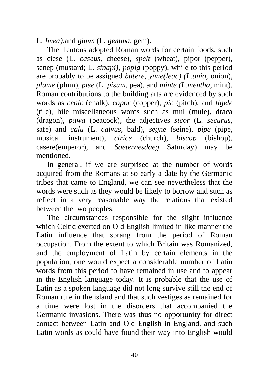L. *Imea),*and *gimm* (L. *gemma,* gem).

The Teutons adopted Roman words for certain foods, such as ciese (L. *caseus,* cheese), *spelt* (wheat), pipor (pepper), senep (mustard; L. *sinapi), popig* (poppy), while to this period are probably to be assigned *butere, ynne(leac) (L.unio,* onion), *plume* (plum), *pise* (L. *pisum,* pea), and *minte (L.mentha,* mint). Roman contributions to the building arts are evidenced by such words as *cealc* (chalk), *copor* (copper), *pic* (pitch), and *tigele*  (tile), hile miscellaneous words such as mul (mule), draca (dragon), *pawa* (peacock), the adjectives *sicor* (L. *securus,*  safe) and *calu* (L. *calvus,* bald), *segne* (seine), *pipe* (pipe, musical instrument), *cirice* (church), *biscop* (bishop), casere(emperor), and *Saeternesdaeg* Saturday) may be mentioned.

In general, if we are surprised at the number of words acquired from the Romans at so early a date by the Germanic tribes that came to England, we can see nevertheless that the words were such as they would be likely to borrow and such as reflect in a very reasonable way the relations that existed between the two peoples.

The circumstances responsible for the slight influence which Celtic exerted on Old English limited in like manner the Latin influence that sprang from the period of Roman occupation. From the extent to which Britain was Romanized, and the employment of Latin by certain elements in the population, one would expect a considerable number of Latin words from this period to have remained in use and to appear in the English language today. It is probable that the use of Latin as a spoken language did not long survive still the end of Roman rule in the island and that such vestiges as remained for a time were lost in the disorders that accompanied the Germanic invasions. There was thus no opportunity for direct contact between Latin and Old English in England, and such Latin words as could have found their way into English would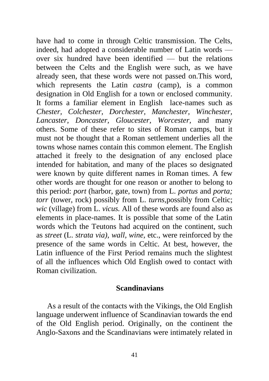have had to come in through Celtic transmission. The Celts, indeed, had adopted a considerable number of Latin words over six hundred have been identified — but the relations between the Celts and the English were such, as we have already seen, that these words were not passed on.This word, which represents the Latin *castra* (camp), is a common designation in Old English for a town or enclosed community. It forms a familiar element in English lace-names such as *Chester, Colchester, Dorchester, Manchester, Winchester, Lancaster, Doncaster, Gloucester, Worcester,* and many others. Some of these refer to sites of Roman camps, but it must not be thought that a Roman settlement underlies all the towns whose names contain this common element. The English attached it freely to the designation of any enclosed place intended for habitation, and many of the places so designated were known by quite different names in Roman times. A few other words are thought for one reason or another to belong to this period: *port* (harbor, gate, town) from L. *portus* and *porta; torr* (tower, rock) possibly from L. *turns,*possibly from Celtic; *wic* (village) from L. *vicus.* All of these words are found also as elements in place-names. It is possible that some of the Latin words which the Teutons had acquired on the continent, such as *street* (L. *strata via), wall, wine,* etc., were reinforced by the presence of the same words in Celtic. At best, however, the Latin influence of the First Period remains much the slightest of all the influences which Old English owed to contact with Roman civilization.

### **Scandinavians**

As a result of the contacts with the Vikings, the Old English language underwent influence of Scandinavian towards the end of the Old English period. Originally, on the continent the Anglo-Saxons and the Scandinavians were intimately related in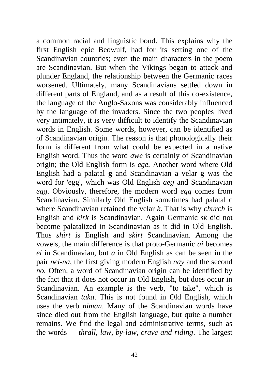a common racial and linguistic bond. This explains why the first English epic Beowulf, had for its setting one of the Scandinavian countries; even the main characters in the poem are Scandinavian. But when the Vikings began to attack and plunder England, the relationship between the Germanic races worsened. Ultimately, many Scandinavians settled down in different parts of England, and as a result of this co-existence, the language of the Anglo-Saxons was considerably influenced by the language of the invaders. Since the two peoples lived very intimately, it is very difficult to identify the Scandinavian words in English. Some words, however, can be identified as of Scandinavian origin. The reason is that phonologically their form is different from what could be expected in a native English word. Thus the word *awe* is certainly of Scandinavian origin; the Old English form is *ege.* Another word where Old English had a palatal **g** and Scandinavian a velar g was the word for 'egg', which was Old English *aeg* and Scandinavian *egg*. Obviously, therefore, the modern word *egg* comes from Scandinavian. Similarly Old English sometimes had palatal c where Scandinavian retained the velar *k*. That is why *church* is English and *kirk* is Scandinavian. Again Germanic *sk* did not become palatalized in Scandinavian as it did in Old English. Thus *shirt* is English and *skirt* Scandinavian. Among the vowels, the main difference is that proto-Germanic *ai* becomes *ei* in Scandinavian, but *a* in Old English as can be seen in the pair *nei-na,* the first giving modern English *nay* and the second *no.* Often, a word of Scandinavian origin can be identified by the fact that it does not occur in Old English, but does occur in Scandinavian. An example is the verb, "to take", which is Scandinavian *taka*. This is not found in Old English, which uses the verb *niman*. Many of the Scandinavian words have since died out from the English language, but quite a number remains. We find the legal and administrative terms, such as the words *— thrall, law, by-law, crave and riding*. The largest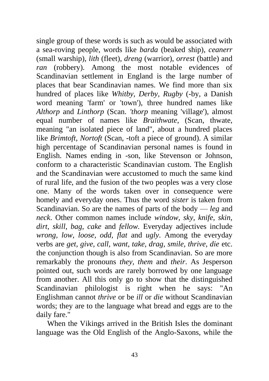single group of these words is such as would be associated with a sea-roving people, words like *barda* (beaked ship), *ceanerr*  (small warship), *lith* (fleet), *dreng* (warrior), *orrest* (battle) and *ran* (robbery). Among the most notable evidences of Scandinavian settlement in England is the large number of places that bear Scandinavian names. We find more than six hundred of places like *Whitby, Derby, Rugby* (-by, a Danish word meaning 'farm' or 'town'), three hundred names like *Althorp* and *Linthorp* (Scan. *'thorp* meaning 'village'), almost equal number of names like *Braithwate,* (Scan, thwate, meaning "an isolated piece of land", about a hundred places like *Brimtoft, Nortoft* (Scan, -toft a piece of ground). A similar high percentage of Scandinavian personal names is found in English. Names ending in -son, like Stevenson or Johnson, conform to a characteristic Scandinavian custom. The English and the Scandinavian were accustomed to much the same kind of rural life, and the fusion of the two peoples was a very close one. Many of the words taken over in consequence were homely and everyday ones. Thus the word *sister* is taken from Scandinavian. So are the names of parts of the body — *leg* and *neck*. Other common names include *window, sky, knife, skin, dirt, skill, bag, cake* and *fellow.* Everyday adjectives include *wrong, low, loose, odd, flat* and *ugly*. Among the everyday verbs are *get, give, call, want, take, drag, smile, thrive, die* etc. the conjunction though is also from Scandinavian. So are more remarkably the pronouns *they, them* and *their*. As Jesperson pointed out, such words are rarely borrowed by one language from another. All this only go to show that the distinguished Scandinavian philologist is right when he says: "An Englishman cannot *thrive* or be *ill* or *die* without Scandinavian words; they are to the language what bread and eggs are to the daily fare."

When the Vikings arrived in the British Isles the dominant language was the Old English of the Anglo-Saxons, while the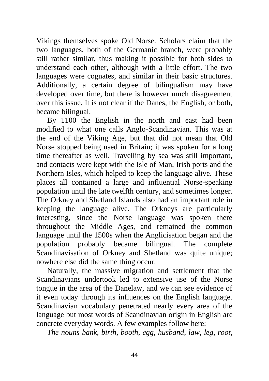Vikings themselves spoke Old Norse. Scholars claim that the two languages, both of the Germanic branch, were probably still rather similar, thus making it possible for both sides to understand each other, although with a little effort. The two languages were cognates, and similar in their basic structures. Additionally, a certain degree of bilingualism may have developed over time, but there is however much disagreement over this issue. It is not clear if the Danes, the English, or both, became bilingual.

By 1100 the English in the north and east had been modified to what one calls Anglo-Scandinavian. This was at the end of the Viking Age, but that did not mean that Old Norse stopped being used in Britain; it was spoken for a long time thereafter as well. Travelling by sea was still important, and contacts were kept with the Isle of Man, Irish ports and the Northern Isles, which helped to keep the language alive. These places all contained a large and influential Norse-speaking population until the late twelfth century, and sometimes longer. The Orkney and Shetland Islands also had an important role in keeping the language alive. The Orkneys are particularly interesting, since the Norse language was spoken there throughout the Middle Ages, and remained the common language until the 1500s when the Anglicisation began and the population probably became bilingual. The complete Scandinavisation of Orkney and Shetland was quite unique; nowhere else did the same thing occur.

Naturally, the massive migration and settlement that the Scandinavians undertook led to extensive use of the Norse tongue in the area of the Danelaw, and we can see evidence of it even today through its influences on the English language. Scandinavian vocabulary penetrated nearly every area of the language but most words of Scandinavian origin in English are concrete everyday words. A few examples follow here:

*The nouns bank, birth, booth, egg, husband, law, leg, root,*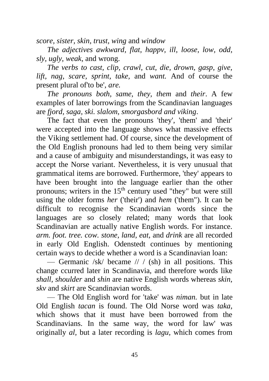*score, sister, skin, trust, wing* and *window*

*The adjectives awkward, flat, happv, ill, loose, low, odd, sly, ugly, weak,* and wrong.

*The verbs to cast, clip, crawl, cut, die, drown, gasp, give, lift, nag, scare, sprint, take,* and *want.* And of course the present plural of'to be', *are.*

*The pronouns both, same, they, them* and *their*. A few examples of later borrowings from the Scandinavian languages are *fjord, saga, ski. slalom, smorgasbord and viking*.

The fact that even the pronouns 'they', 'them' and 'their' were accepted into the language shows what massive effects the Viking settlement had. Of course, since the development of the Old English pronouns had led to them being very similar and a cause of ambiguity and misunderstandings, it was easy to accept the Norse variant. Nevertheless, it is very unusual that grammatical items are borrowed. Furthermore, 'they' appears to have been brought into the language earlier than the other pronouns; writers in the  $15<sup>th</sup>$  century used "they" but were still using the older forms *her* ('their') and *hem* ('them"). It can be difficult to recognise the Scandinavian words since the languages are so closely related; many words that look Scandinavian are actually native English words. For instance. *arm. foot. tree. cow. stone, land, eat,* and *drink* are all recorded in early Old English. Odenstedt continues by mentioning certain ways to decide whether a word is a Scandinavian loan:

— Germanic /sk/ became // / (sh) in all positions. This change ccurred later in Scandinavia, and therefore words like *shall, shoulder* and *shin* are native English words whereas *skin, skv* and *skirt* are Scandinavian words.

— The Old English word for 'take' was *niman.* but in late Old English *tacan* is found. The Old Norse word was *taka,*  which shows that it must have been borrowed from the Scandinavians. In the same way, the word for law' was originally *al,* but a later recording is *lagu,* which comes from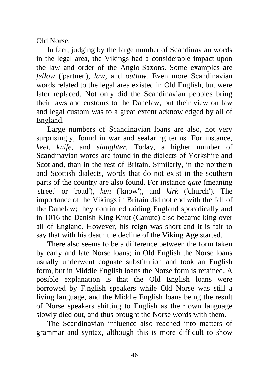Old Norse.

In fact, judging by the large number of Scandinavian words in the legal area, the Vikings had a considerable impact upon the law and order of the Anglo-Saxons. Some examples are *fellow* ('partner'), *law,* and *outlaw.* Even more Scandinavian words related to the legal area existed in Old English, but were later replaced. Not only did the Scandinavian peoples bring their laws and customs to the Danelaw, but their view on law and legal custom was to a great extent acknowledged by all of England.

Large numbers of Scandinavian loans are also, not very surprisingly, found in war and seafaring terms. For instance, *keel, knife,* and *slaughter.* Today, a higher number of Scandinavian words are found in the dialects of Yorkshire and Scotland, than in the rest of Britain. Similarly, in the northern and Scottish dialects, words that do not exist in the southern parts of the country are also found. For instance *gate* (meaning 'street' or 'road'), *ken* ('know'), and *kirk* ('church'). The importance of the Vikings in Britain did not end with the fall of the Danelaw; they continued raiding England sporadically and in 1016 the Danish King Knut (Canute) also became king over all of England. However, his reign was short and it is fair to say that with his death the decline of the Viking Age started.

There also seems to be a difference between the form taken by early and late Norse loans; in Old English the Norse loans usually underwent cognate substitution and took an English form, but in Middle English loans the Norse form is retained. A posible explanation is that the Old English loans were borrowed by F.nglish speakers while Old Norse was still a living language, and the Middle English loans being the result of Norse speakers shifting to English as their own language slowly died out, and thus brought the Norse words with them.

The Scandinavian influence also reached into matters of grammar and syntax, although this is more difficult to show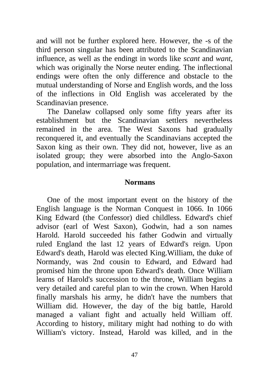and will not be further explored here. However, the -s of the third person singular has been attributed to the Scandinavian influence, as well as the endingt in words like *scant* and *want,*  which was originally the Norse neuter ending. The inflectional endings were often the only difference and obstacle to the mutual understanding of Norse and English words, and the loss of the inflections in Old English was accelerated by the Scandinavian presence.

The Danelaw collapsed only some fifty years after its establishment but the Scandinavian settlers nevertheless remained in the area. The West Saxons had gradually reconquered it, and eventually the Scandinavians accepted the Saxon king as their own. They did not, however, live as an isolated group; they were absorbed into the Anglo-Saxon population, and intermarriage was frequent.

#### **Normans**

One of the most important event on the history of the English language is the Norman Conquest in 1066. In 1066 King Edward (the Confessor) died childless. Edward's chief advisor (earl of West Saxon), Godwin, had a son names Harold. Harold succeeded his father Godwin and virtually ruled England the last 12 years of Edward's reign. Upon Edward's death, Harold was elected King.William, the duke of Normandy, was 2nd cousin to Edward, and Edward had promised him the throne upon Edward's death. Once William learns of Harold's succession to the throne, William begins a very detailed and careful plan to win the crown. When Harold finally marshals his army, he didn't have the numbers that William did. However, the day of the big battle, Harold managed a valiant fight and actually held William off. According to history, military might had nothing to do with William's victory. Instead, Harold was killed, and in the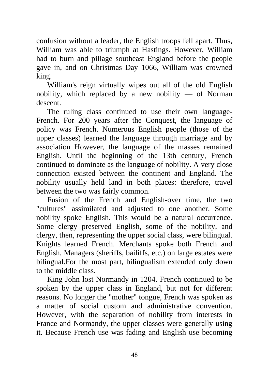confusion without a leader, the English troops fell apart. Thus, William was able to triumph at Hastings. However, William had to burn and pillage southeast England before the people gave in, and on Christmas Day 1066, William was crowned king.

William's reign virtually wipes out all of the old English nobility, which replaced by a new nobility  $-$  of Norman descent.

The ruling class continued to use their own language-French. For 200 years after the Conquest, the language of policy was French. Numerous English people (those of the upper classes) learned the language through marriage and by association However, the language of the masses remained English. Until the beginning of the 13th century, French continued to dominate as the language of nobility. A very close connection existed between the continent and England. The nobility usually held land in both places: therefore, travel between the two was fairly common.

Fusion of the French and English-over time, the two "cultures" assimilated and adjusted to one another. Some nobility spoke English. This would be a natural occurrence. Some clergy preserved English, some of the nobility, and clergy, then, representing the upper social class, were bilingual. Knights learned French. Merchants spoke both French and English. Managers (sheriffs, bailiffs, etc.) on large estates were bilingual.For the most part, bilingualism extended only down to the middle class.

King John lost Normandy in 1204. French continued to be spoken by the upper class in England, but not for different reasons. No longer the "mother" tongue, French was spoken as a matter of social custom and administrative convention. However, with the separation of nobility from interests in France and Normandy, the upper classes were generally using it. Because French use was fading and English use becoming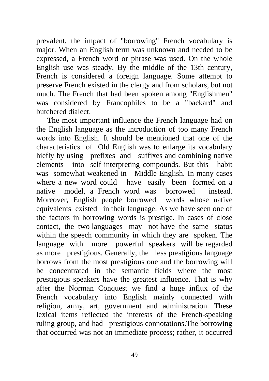prevalent, the impact of "borrowing" French vocabulary is major. When an English term was unknown and needed to be expressed, a French word or phrase was used. On the whole English use was steady. By the middle of the 13th century, French is considered a foreign language. Some attempt to preserve French existed in the clergy and from scholars, but not much. The French that had been spoken among "Englishmen" was considered by Francophiles to be a "backard" and butchered dialect.

The most important influence the French language had on the English language as the introduction of too many French words into English. It should be mentioned that one of the characteristics of Old English was to enlarge its vocabulary hiefly by using prefixes and suffixes and combining native elements into self-interpreting compounds. But this habit was somewhat weakened in Middle English. In many cases where a new word could have easily been formed on a native model, a French word was borrowed instead. Moreover, English people borrowed words whose native equivalents existed in their language. As we have seen one of the factors in borrowing words is prestige. In cases of close contact, the two languages may not have the same status within the speech community in which they are spoken. The language with more powerful speakers will be regarded as more prestigious. Generally, the less prestigious language borrows from the most prestigious one and the borrowing will be concentrated in the semantic fields where the most prestigious speakers have the greatest influence. That is why after the Norman Conquest we find a huge influx of the French vocabulary into English mainly connected with religion, army, art, government and administration. These lexical items reflected the interests of the French-speaking ruling group, and had prestigious connotations.The borrowing that occurred was not an immediate process; rather, it occurred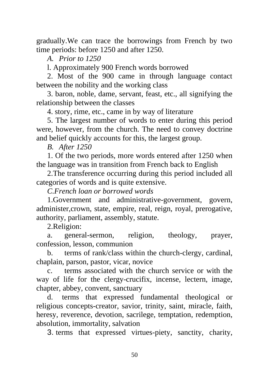gradually.We can trace the borrowings from French by two time periods: before 1250 and after 1250.

*A. Prior to 1250*

l. Approximately 900 French words borrowed

2. Most of the 900 came in through language contact between the nobility and the working class

3. baron, noble, dame, servant, feast, etc., all signifying the relationship between the classes

4. story, rime, etc., came in by way of literature

5. The largest number of words to enter during this period were, however, from the church. The need to convey doctrine and belief quickly accounts for this, the largest group.

*B. After 1250*

1. Of the two periods, more words entered after 1250 when the language was in transition from French back to English

2.The transference occurring during this period included all categories of words and is quite extensive.

*C.French loan or borrowed words*

1.Government and administrative-government, govern, administer,crown, state, empire, real, reign, royal, prerogative, authority, parliament, assembly, statute.

2.Religion:

a. general-sermon, religion, theology, prayer, confession, lesson, communion

b. terms of rank/class within the church-clergy, cardinal, chaplain, parson, pastor, vicar, novice

c. terms associated with the church service or with the way of life for the clergy-crucifix, incense, lectern, image, chapter, abbey, convent, sanctuary

d. terms that expressed fundamental theological or religious concepts-creator, savior, trinity, saint, miracle, faith, heresy, reverence, devotion, sacrilege, temptation, redemption, absolution, immortality, salvation

3. terms that expressed virtues-piety, sanctity, charity,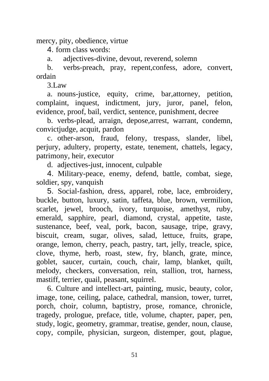mercy, pity, obedience, virtue

4. form class words:

a. adjectives-divine, devout, reverend, solemn

b. verbs-preach, pray, repent,confess, adore, convert, ordain

3.Law

a. nouns-justice, equity, crime, bar,attorney, petition, complaint, inquest, indictment, jury, juror, panel, felon, evidence, proof, bail, verdict, sentence, punishment, decree

b. verbs-plead, arraign, depose,arrest, warrant, condemn, convictjudge, acquit, pardon

c. other-arson, fraud, felony, trespass, slander, libel, perjury, adultery, property, estate, tenement, chattels, legacy, patrimony, heir, executor

d. adjectives-just, innocent, culpable

4. Military-peace, enemy, defend, battle, combat, siege, soldier, spy, vanquish

5. Social-fashion, dress, apparel, robe, lace, embroidery, buckle, button, luxury, satin, taffeta, blue, brown, vermilion, scarlet, jewel, brooch, ivory, turquoise, amethyst, ruby, emerald, sapphire, pearl, diamond, crystal, appetite, taste, sustenance, beef, veal, pork, bacon, sausage, tripe, gravy, biscuit, cream, sugar, olives, salad, lettuce, fruits, grape, orange, lemon, cherry, peach, pastry, tart, jelly, treacle, spice, clove, thyme, herb, roast, stew, fry, blanch, grate, mince, goblet, saucer, curtain, couch, chair, lamp, blanket, quilt, melody, checkers, conversation, rein, stallion, trot, harness, mastiff, terrier, quail, peasant, squirrel.

6. Culture and intellect-art, painting, music, beauty, color, image, tone, ceiling, palace, cathedral, mansion, tower, turret, porch, choir, column, baptistry, prose, romance, chronicle, tragedy, prologue, preface, title, volume, chapter, paper, pen, study, logic, geometry, grammar, treatise, gender, noun, clause, copy, compile, physician, surgeon, distemper, gout, plague,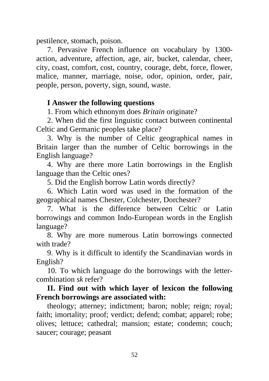pestilence, stomach, poison.

7. Pervasive French influence on vocabulary by 1300 action, adventure, affection, age, air, bucket, calendar, cheer, city, coast, comfort, cost, country, courage, debt, force, flower, malice, manner, marriage, noise, odor, opinion, order, pair, people, person, poverty, sign, sound, waste.

## **I Answer the following questions**

1. From which ethnonym does *Britain* originate?

2. When did the first linguistic contact butween continental Celtic and Germanic peoples take place?

3. Why is the number of Celtic geographical names in Britain larger than the number of Celtic borrowings in the English language?

4. Why are there more Latin borrowings in the English language than the Celtic ones?

5. Did the English borrow Latin words directly?

6. Which Latin word was used in the formation of the geographical names Chester, Colchester, Dorchester?

7. What is the difference between Celtic or Latin borrowings and common Indo-European words in the English language?

8. Why are more numerous Latin borrowings connected with trade?

9. Why is it difficult to identify the Scandinavian words in English?

10. To which language do the borrowings with the lettercombination *sk* refer?

**II. Find out with which layer of lexicon the following French borrowings are associated with:**

theology; atterney; indictment; baron; noble; reign; royal; faith; imortality; proof; verdict; defend; combat; apparel; robe; olives; lettuce; cathedral; mansion; estate; condemn; couch; saucer; courage; peasant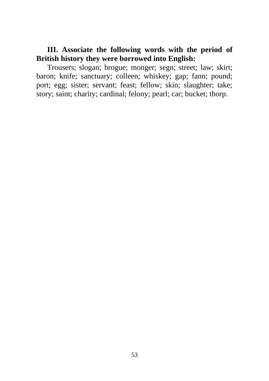## **III. Associate the following words with the period of British history they were borrowed into English:**

Trousers; slogan; brogue; monger; segn; street; law; skirt; baron; knife; sanctuary; colleen; whiskey; gap; fann; pound; port; egg; sister; servant; feast; fellow; skin; slaughter; take; story; saint; charity; cardinal; felony; pearl; car; bucket; thorp.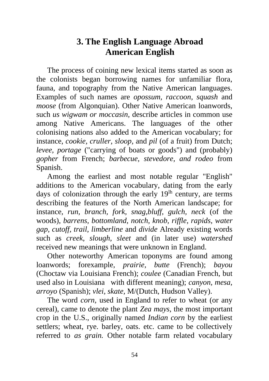# **3. The English Language Abroad American English**

The process of coining new lexical items started as soon as the colonists began borrowing names for unfamiliar flora, fauna, and topography from the Native American languages. Examples of such names are *opossum, raccoon, squash* and *moose* (from Algonquian). Other Native American loanwords, such *us wigwam or moccasin,* describe articles in common use among Native Americans. The languages of the other colonising nations also added to the American vocabulary; for instance, *cookie, cruller, sloop,* and *pil* (of a fruit) from Dutch; *levee, portage* ("carrying of boats or goods") and (probably) *gopher* from French; *barbecue, stevedore, and rodeo* from Spanish.

Among the earliest and most notable regular "English" additions to the American vocabulary, dating from the early days of colonization through the early  $19<sup>lh</sup>$  century, are terms describing the features of the North American landscape; for instance, *run, branch, fork, snag,bluff, gulch, neck* (of the woods), *barrens, bottomland, notch, knob, riffle, rapids, water gap, cutoff, trail, limberline* and *divide* Already existing words such as *creek, slough, sleet* and (in later use) *watershed*  received new meanings that were unknown in England.

Other noteworthy American toponyms are found among loanwords; forexample, *prairie, butte* (French); *bayou*  (Choctaw via Louisiana French); *coulee* (Canadian French, but used also in Louisiana with different meaning); *canyon, mesa, arroyo* (Spanish); *vlei, skate,* M/(Dutch, Hudson Valley).

The word *corn*, used in England to refer to wheat (or any cereal), came to denote the plant *Zea mays,* the most important crop in the U.S., originally named *Indian corn* by the earliest settlers; wheat, rye. barley, oats. etc. came to be collectively referred to *as grain.* Other notable farm related vocabulary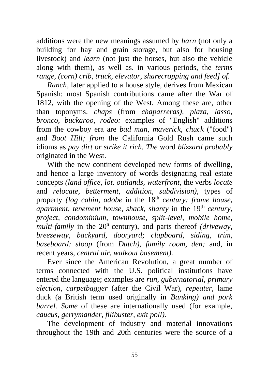additions were the new meanings assumed by *barn* (not only a building for hay and grain storage, but also for housing livestock) and *learn* (not just the horses, but also the vehicle along with them), as well as. in various periods, the *terms range, (corn) crib, truck, elevator, sharecropping and feed] of.*

*Ranch*, later applied to a house style, derives from Mexican Spanish: most Spanish contributions came after the War of 1812, with the opening of the West. Among these are, other than toponyms. *chaps* (from *chaparreras), plaza, lasso, bronco, buckaroo, rodeo:* examples of "English" additions from the cowboy era are *bad man, maverick, chuck* ("food") and *Boot Hill; from* the California Gold Rush came such idioms as *pay dirt or strike it rich. The* word *blizzard probably*  originated in the West.

With the new continent developed new forms of dwelling, and hence a large inventory of words designating real estate concepts *(land office, lot. outlands, waterfront,* the verbs *locate*  and *relocate, betterment, addition, subdivision),* types of property *(log cabin, adobe* in the 18<sup>th</sup> *century; frame house, apartment, tenement house, shack, shanty in the 19<sup>th</sup> century, project, condominium, townhouse, split-level, mobile home, multi-family* in the  $20^n$  century), and parts thereof *(driveway, breezeway, backyard, dooryard; clapboard, siding, trim, baseboard: sloop* (from *Dutch), family room, den;* and, in recent years, *central air, walkout basement).*

Ever since the American Revolution, a great number of terms connected with the U.S. political institutions have entered the language; examples are *run, gubernatorial, primary election, carpetbagger* (after the Civil War), *repeater,* lame duck (a British term used originally in *Banking) and pork barrel. Some of these are internationally used (for example, caucus, gerrymander, filibuster, exit poll).* 

The development of industry and material innovations throughout the 19th and 20th centuries were the source of a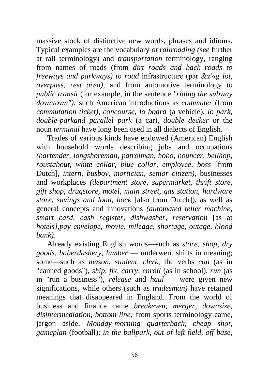massive stock of distinctive new words, phrases and idioms. Typical examples are the vocabulary *of railroading (see* further at rail terminology) and *transportation* terminology, ranging from names of roads (from *dirt roads and back roads to freeways and parkways) to road* infrastructure (par &z'«g *lot, overpass, rest area),* and from automotive terminology *to public transit* (for example, in the sentence *"riding the subway downtown");* such American introductions as *commuter* (from *commutation ticket), concourse, lo board* (a vehicle), *lo park, double-parkand parallel park* (a car), *double decker* or the noun *terminal* have long been used in all dialects of English.

Trades of various kinds have endowed (American) English with household words describing jobs and occupations *(bartender, longshoreman, patrolman, hobo, bouncer, bellhop, roustabout, white collar, blue collar, employee, boss* [from Dutch], *intern, busboy, mortician, senior citizen),* businesses and workplaces *(department store, supermarket, thrift store, gift shop, drugstore, motel, main street, gas station, hardware store, savings and loan, hock* [also from Dutch]), as well as general concepts and innovations *(automated teller machine, smart card, cash register, dishwasher, reservation* [as at *hotels],pay envelope, movie, mileage, shortage, outage, blood bank).*

Already existing English words—such as *store, shop, dry goods, haberdashery, lumber* — underwent shifts in meaning; some—such as *mason, student, clerk,* the verbs *can* (as in "canned goods"), *ship, fix, carry, enroll* (as in school), *run* (as in "run a business"), *release* and *haul* — were given new significations, while others (such as *tradesman)* have retained meanings that disappeared in England. From the world of business and finance came *breakeven, merger, downsize, disintermediation, bottom line;* from sports terminology came, jargon aside, *Monday-morning quarterback, cheap shot, gameplan* (football); *in the ballpark, out of left field, off base,*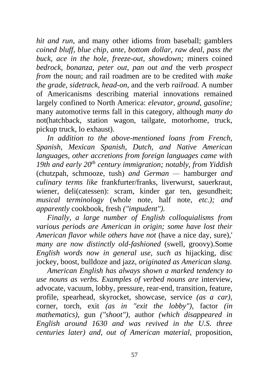*hit and run,* and many other idioms from baseball; gamblers *coined bluff, blue chip, ante, bottom dollar, raw deal, pass the buck, ace in the hole, freeze-out, showdown;* miners coined *bedrock, bonanza, peter out, pan out and* the verb *prospect from* the noun; and rail roadmen are to be credited with *make the grade, sidetrack, head-on,* and the verb *railroad.* A number of Americanisms describing material innovations remained largely confined to North America: *elevator, ground, gasoline;*  many automotive terms fall in this category, although *many do*  not(hatchback, station wagon, tailgate, motorhome, truck, pickup truck, lo exhaust).

*In addition to the above-mentioned loans from French, Spanish, Mexican Spanish, Dutch, and Native American languages, other accretions from foreign languages came with 19th and early 20th century immigration; notably, from Yiddish*  (chutzpah, schmooze, tush) *and German —* hamburger *and culinary terms like* frankfurter/franks, liverwurst, sauerkraut, wiener, deli(catessen): scram, kinder gar ten, gesundheit; *musical terminology* (whole note, half note, *etc.); and apparently* cookbook, fresh *("impudent").*

*Finally, a large number of English colloquialisms from various periods are American in origin; some have lost their American flavor while others have not* (have a nice day, sure),' *many are now distinctly old-fashioned* (swell, groovy).Some *English words now in general use, such as* hijacking, disc jockey, boost, bulldoze and jazz, *originated as American slang.* 

*American English has always shown a marked tendency to use nouns as verbs. Examples of verbed nouns are* interview, advocate, vacuum, lobby, pressure, rear-end, transition, feature, profile, spearhead, skyrocket, showcase, service *(as a car),*  corner, torch, exit *(as in "exit the lobby"),* factor *(in mathematics),* gun *("shoot"),* author *(which disappeared in English around 1630 and was revived in the U.S. three centuries later) and, out of American material,* proposition,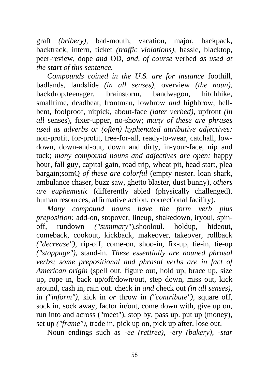graft *(bribery),* bad-mouth, vacation, major, backpack, backtrack, intern, ticket *(traffic violations),* hassle, blacktop, peer-review, dope *and* OD, *and, of course* verbed *as used at the start of this sentence.*

*Compounds coined in the U.S. are for instance* foothill, badlands, landslide *(in all senses),* overview *(the noun),*  backdrop,teenager, brainstorm, bandwagon, hitchhike, smalltime, deadbeat, frontman, lowbrow *and* highbrow, hellbent, foolproof, nitpick, about-face *(later verbed),* upfront *(in all* senses), fixer-upper, no-show; *many of these are phrases used as adverbs or (often) hyphenated attributive adjectives:*  non-profit, for-profit, free-for-all, ready-to-wear, catchall, lowdown, down-and-out, down and dirty, in-your-face, nip and tuck; *many compound nouns and adjectives are open:* happy hour, fall guy, capital gain, road trip, wheat pit, head start, plea bargain;somQ *of these are colorful* (empty nester. loan shark, ambulance chaser, buzz saw, ghetto blaster, dust bunny), *others are euphemistic* (differently abled (physically challenged), human resources, affirmative action, correctional facility).

*Many compound nouns have the form verb plus preposition:* add-on, stopover, lineup, shakedown, iryoul, spinoff, rundown *("summary*"),shooloul. holdup, hideout, comeback, cookout, kickback, makeover, takeover, rollback *("decrease"),* rip-off, come-on, shoo-in, fix-up, tie-in, tie-up *("stoppage"),* stand-in. *These essentially are nouned phrasal verbs; some prepositional and phrasal verbs are in fact of American origin* (spell out, figure out, hold up, brace up, size up, rope in, back up/off/down/out, step down, miss out, kick around, cash in, rain out. check in *and* check out *(in all senses),*  in *("inform"),* kick in *or* throw in *("contribute"),* square off, sock in, sock away, factor in/out, come down with, give up on, run into and across ("meet"), stop by, pass up. put up (money), set up *("frame"),* trade in, pick up on, pick up after, lose out.

Noun endings such as *-ee (retiree), -ery (bakery), -star*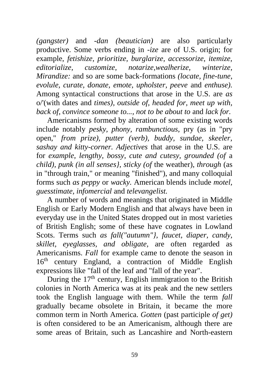*(gangster)* and *-dan (beautician)* are also particularly productive. Some verbs ending in *-ize* are of U.S. origin; for example, *fetishize, prioritize, burglarize, accessorize, itemize, editorialize, customize, notarize,wealherize, winterize, Mirandize:* and so are some back-formations *(locate, fine-tune, evolule, curate, donate, emote, upholster, peeve* and *enthuse).*  Among syntactical constructions that arose in the U.S. are *as*  o/'(with dates and *times), outside of, headed for, meet up with, back of, convince someone to..., not to be about to* and *lack for.*

Americanisms formed by alteration of some existing words include notably *pesky, phony, rambunctious,* pry (as in "pry open," *from prize), putter (verb), buddy, sundae, skeeler, sashay and kitty-corner. Adjectives* that arose in the U.S. are for *example, lengthy, bossy, cute and cutesy, grounded (of* a *child), punk (in all senses}, sticky (of* the weather), *through* (as in "through train," or meaning "finished"), and many colloquial forms such *as peppy* or *wacky.* American blends include *motel, guesstimate, infomercial* and *televangelist.* 

A number of words and meanings that originated in Middle English or Early Modern English and that always have been in everyday use in the United States dropped out in most varieties of British English; some of these have cognates in Lowland Scots. Terms such *as fall("autumn"}, faucet, diaper, candy, skillet, eyeglasses, and obligate,* are often regarded as Americanisms. *Fall* for example came to denote the season in 16<sup>th</sup> century England, a contraction of Middle English expressions like "fall of the leaf and "fall of the year".

During the  $17<sup>th</sup>$  century, English immigration to the British colonies in North America was at its peak and the new settlers took the English language with them. While the term *fall*  gradually became obsolete in Britain, it became the more common term in North America. *Gotten* (past participle *of get)* is often considered to be an Americanism, although there are some areas of Britain, such as Lancashire and North-eastern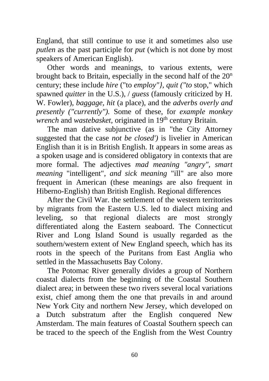England, that still continue to use it and sometimes also use *putlen* as the past participle for *put* (which is not done by most speakers of American English).

Other words and meanings, to various extents, were brought back to Britain, especially in the second half of the  $20<sup>n</sup>$ century; these include *hire* ("to *employ"}, quit ("to* stop," which spawned *quitter* in the U.S.), / *guess* (famously criticized by H. W. Fowler), *baggage, hit* (a place), and the *adverbs overly and presently ("currently").* Some of these, for *example monkey wrench* and *wastebasket*, originated in 19<sup>th</sup> century Britain.

The man dative subjunctive (as in "the City Attorney suggested that the case *not be closed')* is livelier in American English than it is in British English. It appears in some areas as a spoken usage and is considered obligatory in contexts that are more formal. The adjectives *mad meaning "angry", smart meaning* "intelligent", *and sick meaning* "ill" are also more frequent in American (these meanings are also frequent in Hiberno-English) than British English. Regional differences

After the Civil War. the settlement of the western territories by migrants from the Eastern U.S. led to dialect mixing and leveling, so that regional dialects are most strongly differentiated along the Eastern seaboard. The Connecticut River and Long Island Sound is usually regarded as the southern/western extent of New England speech, which has its roots in the speech of the Puritans from East Anglia who settled in the Massachusetts Bay Colony.

The Potomac River generally divides a group of Northern coastal dialects from the beginning of the Coastal Southern dialect area; in between these two rivers several local variations exist, chief among them the one that prevails in and around New York City and northern New Jersey, which developed on a Dutch substratum after the English conquered New Amsterdam. The main features of Coastal Southern speech can be traced to the speech of the English from the West Country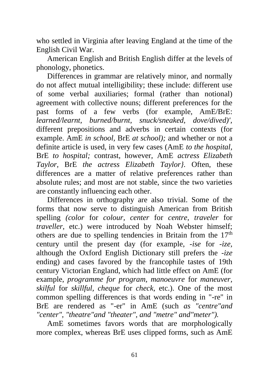who settled in Virginia after leaving England at the time of the English Civil War.

American English and British English differ at the levels of phonology, phonetics.

Differences in grammar are relatively minor, and normally do not affect mutual intelligibility; these include: different use of some verbal auxiliaries; formal (rather than notional) agreement with collective nouns; different preferences for the past forms of a few verbs (for example, AmE/BrE: *learned/learnt, burned/burnt, snuck/sneaked, dove/dived)',*  different prepositions and adverbs in certain contexts (for example. AmE *in school,* BrE *at school);* and whether or not a definite article is used, in very few cases (AmE *to the hospital,*  BrE *to hospital;* contrast, however, AmE *actress Elizabeth Taylor,* BrE *the actress Elizabeth Taylor}.* Often, these differences are a matter of relative preferences rather than absolute rules; and most are not stable, since the two varieties are constantly influencing each other.

Differences in orthography are also trivial. Some of the forms that now serve to distinguish American from British spelling *(color* for *colour, center* for *centre, traveler* for *traveller,* etc.) were introduced by Noah Webster himself; others are due to spelling tendencies in Britain from the  $17<sup>th</sup>$ century until the present day (for example, *-ise* for *-ize,*  although the Oxford English Dictionary still prefers the *-ize*  ending) and cases favored by the francophile tastes of 19th century Victorian England, which had little effect on AmE (for example, *programme for program, manoeuvre* for *maneuver, skilful* for *skillful, cheque* for *check,* etc.). One of the most common spelling differences is that words ending in "-re" in BrE are rendered as "-er" in AmE (such *as "centre"and "center", "theatre"and "theater", and "metre" and"meter").*

AmE sometimes favors words that are morphologically more complex, whereas BrE uses clipped forms, such as AmE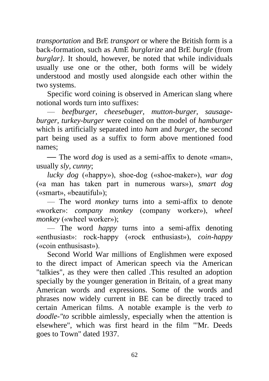*transportation* and BrE *transport* or where the British form is a back-formation, such as AmE *burglarize* and BrE *burgle* (from *burglarl*. It should, however, be noted that while individuals usually use one or the other, both forms will be widely understood and mostly used alongside each other within the two systems.

Specific word coining is observed in American slang where notional words turn into suffixes:

— *beefburger, cheesebuger, mutton-burger, sausageburger, turkey-burger* were coined on the model of *hamburger* which is artificially separated into *ham* and *burger,* the second part being used as a suffix to form above mentioned food names;

**—** The word *dog* is used as a semi-affix to denote «man», usually *sly, cunny*;

*lucky dog* («happy»), shoe-dog («shoe-maker»), *war dog* («a man has taken part in numerous wars»), *smart dog* («smart», «beautiful»);

— The word *monkey* turns into a semi-affix to denote «worker»: *company monkey* (company worker»), *wheel monkey* («wheel worker»);

— The word *happy* turns into a semi-affix denoting «enthusiast»: rock-happy («rock enthusiast»), *coin-happy* («coin enthusisast»).

Second World War millions of Englishmen were exposed to the direct impact of American speech via the American "talkies", as they were then called .This resulted an adoption specially by the younger generation in Britain, of a great many American words and expressions. Some of the words and phrases now widely current in BE can be directly traced to certain American films. A notable example is the verb *to doodle-"to* scribble aimlessly, especially when the attention is elsewhere", which was first heard in the film "'Mr. Deeds goes to Town" dated 1937.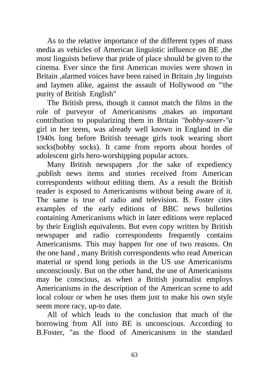As to the relative importance of the different types of mass media as vehicles of American linguistic influence on BE ,the most linguists believe that pride of place should be given to the cinema. Ever since the first American movies were shown in Britain ,alarmed voices have been raised in Britain ,by linguists and laymen alike, against the assault of Hollywood on "'the purity of British English"

The British press, though it cannot match the films in the role of purveyor of Americanisms ,makes an important contribution to popularizing them in Britain *"bobby-soxer-"a*  girl in her teens, was already well known in England in die 1940s long before British teenage girls took wearing short socks(bobby socks). It came from reports about hordes of adolescent girls hero-worshipping popular actors.

Many British newspapers ,for the sake of expediency ,publish news items and stories received from American correspondents without editing them. As a result the British reader is exposed to Americanisms without being aware of it. The same is true of radio and television. B. Foster cites examples of the early editions of BBC news bulletins containing Americanisms which in later editions were replaced by their English equivalents. But even copy written by British newspaper and radio correspondents frequently contains Americanisms. This may happen for one of two reasons. On the one hand , many British correspondents who read American material or spend long periods in the US use Americanisms unconsciously. But on the other hand, the use of Americanisms may be conscious, as when a British journalist employs Americanisms in the description of the American scene to add local colour or when he uses them just to make his own style seem more racy, up-to date.

All of which leads to the conclusion that much of the borrowing from All into BE is unconscious. According to B.Foster, "as the flood of Americanisms in the standard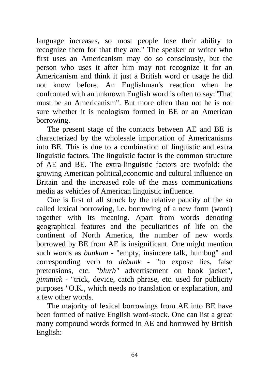language increases, so most people lose their ability to recognize them for that they are." The speaker or writer who first uses an Americanism may do so consciously, but the person who uses it after him may not recognize it for an Americanism and think it just a British word or usage he did not know before. An Englishman's reaction when he confronted with an unknown English word is often to say:"That must be an Americanism". But more often than not he is not sure whether it is neologism formed in BE or an American borrowing.

The present stage of the contacts between AE and BE is characterized by the wholesale importation of Americanisms into BE. This is due to a combination of linguistic and extra linguistic factors. The linguistic factor is the common structure of AE and BE. The extra-linguistic factors are twofold: the growing American political,economic and cultural influence on Britain and the increased role of the mass communications media as vehicles of American linguistic influence.

One is first of all struck by the relative paucity of the so called lexical borrowing, i.e. borrowing of a new form (word) together with its meaning. Apart from words denoting geographical features and the peculiarities of life on the continent of North America, the number of new words borrowed by BE from AE is insignificant. One might mention such words as *bunkum* - "empty, insincere talk, humbug" and corresponding verb *to debunk* - "to expose lies, false pretensions, etc. *"blurb"* advertisement on book jacket", *gimmick* - "trick, device, catch phrase, etc. used for publicity purposes "O.K., which needs no translation or explanation, and a few other words.

The majority of lexical borrowings from AE into BE have been formed of native English word-stock. One can list a great many compound words formed in AE and borrowed by British English: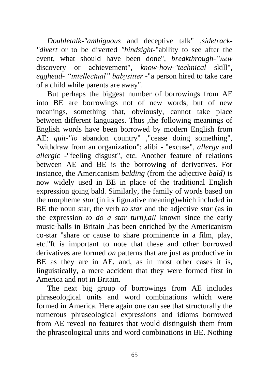*Doubletalk-"ambiguous* and deceptive talk" *,sidetrack- "divert* or to be diverted *"hindsight-*"ability to see after the event, what should have been done", *breakthrough-"new*  discovery or achievement", *know-how-"technical* skill", *egghead- "intellectual" babysitter* -"a person hired to take care of a child while parents are away".

But perhaps the biggest number of borrowings from AE into BE are borrowings not of new words, but of new meanings, something that, obviously, cannot take place between different languages. Thus ,the following meanings of English words have been borrowed by modern English from AE: *quit-"io* abandon country" ,"cease doing something", "withdraw from an organization"; alibi - "excuse", *allergy* and *allergic* -"feeling disgust", etc. Another feature of relations between AE and BE is the borrowing of derivatives. For instance, the Americanism *balding* (from the adjective *bald)* is now widely used in BE in place of the traditional English expression going bald. Similarly, the family of words based on the morpheme *star* (in its figurative meaning)which included in BE the noun star, the verb *to star* and the adjective *star* (as in the expression *to do a star turn),all* known since the early music-halls in Britain ,has been enriched by the Americanism co-star ''share or cause to share prominence in a film, play, etc."It is important to note that these and other borrowed derivatives are formed *on* patterns that are just as productive in BE as they are in AE, and, as in most other cases it is, linguistically, a mere accident that they were formed first in America and not in Britain.

The next big group of borrowings from AE includes phraseological units and word combinations which were formed in America. Here again one can see that structurally the numerous phraseological expressions and idioms borrowed from AE reveal no features that would distinguish them from the phraseological units and word combinations in BE. Nothing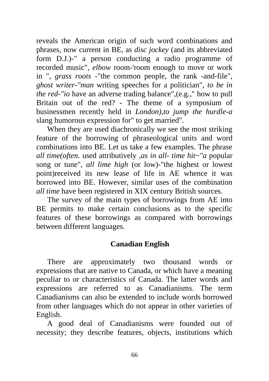reveals the American origin of such word combinations and phrases, now current in BE, as *disc jockey* (and its abbreviated form D.J.)-" a person conducting a radio programme of recorded music", *elbow* room-'room enough to move or work in ", *grass roots* -"the common people, the rank -and-file", *ghost writer-"man* writing speeches for a politician", *to be in the red-"io* have an adverse trading balance",(e.g.," how to pull Britain out of the red? - The theme of a symposium of businessmen recently held in *London),to jump the hurdle-a*  slang humorous expression for" to get married".

When they are used diachronically we see the most striking feature of the borrowing of phraseological units and word combinations into BE. Let us take a few examples. The phrase *all time(often.* used attributively *,as in all- time hit~"a* popular song or tune", *all lime high* (or low)-"the highest or lowest point)received its new lease of life in AE whence it was borrowed into BE. However, similar uses of the combination *all time* have been registered in XIX century British sources.

The survey of the main types of borrowings from AE into BE permits to make certain conclusions as to the specific features of these borrowings as compared with borrowings between different languages.

## **Canadian English**

There are approximately two thousand words or expressions that are native to Canada, or which have a meaning peculiar to or characteristics of Canada. The latter words and expressions are referred to as Canadianisms. The term Canadianisms can also be extended to include words borrowed from other languages which do not appear in other varieties of English.

A good deal of Canadianisms were founded out of necessity; they describe features, objects, institutions which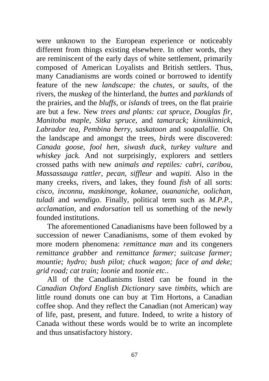were unknown to the European experience or noticeably different from things existing elsewhere. In other words, they are reminiscent of the early days of white settlement, primarily composed of American Loyalists and British settlers. Thus, many Canadianisms are words coined or borrowed to identify feature of the new *landscape:* the *chutes,* or *saults,* of the rivers, the *muskeg* of the hinterland, the *buttes* and *parklands* of the prairies, and the *bluffs,* or *islands* of trees, on the flat prairie are but a few. New *trees and plants: cat spruce, Douglas fir, Manitoba maple, Sitka spruce,* and *tamarack; kinnikinnick, Labrador tea, Pembina berry, saskatoon* and *soapalallie.* On the landscape and amongst the trees, *birds* were discovered: *Canada goose, fool hen, siwash duck, turkey vulture* and *whiskey jack.* And not surprisingly, explorers and settlers crossed paths with new *animals and reptiles: cabri, caribou, Massassauga rattler, pecan, siffleur* and *wapiti.* Also in the many creeks, rivers, and lakes, they found *fish* of all sorts: *cisco, inconnu, maskinonge, kokanee, ouananiche, oolichan, tuladi* and *wendigo.* Finally, political term such as *M.P.P., acclamation,* and *endorsation* tell us something of the newly founded institutions.

The aforementioned Canadianisms have been followed by a succession of newer Canadianisms, some of them evoked by more modern phenomena: *remittance man* and its congeners *remittance grabber* and *remittance farmer; suitcase farmer; mountie; hydro; bush pilot; chuck wagon; face of and deke; grid road; cat train; loonie* and *toonie etc..*

All of the Canadianisms listed can be found in the *Canadian Oxford English Dictionary* save *timbits,* which are little round donuts one can buy at Tim Hortons, a Canadian coffee shop. And they reflect the Canadian (not American) way of life, past, present, and future. Indeed, to write a history of Canada without these words would be to write an incomplete and thus unsatisfactory history.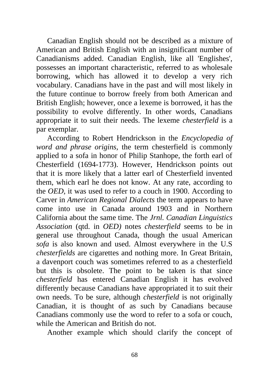Canadian English should not be described as a mixture of American and British English with an insignificant number of Canadianisms added. Canadian English, like all 'Englishes', possesses an important characteristic, referred to as wholesale borrowing, which has allowed it to develop a very rich vocabulary. Canadians have in the past and will most likely in the future continue to borrow freely from both American and British English; however, once a lexeme is borrowed, it has the possibility to evolve differently. In other words, Canadians appropriate it to suit their needs. The lexeme *chesterfield* is a par exemplar.

According to Robert Hendrickson in the *Encyclopedia of word and phrase origins,* the term chesterfield is commonly applied to a sofa in honor of Philip Stanhope, the forth earl of Chesterfield (1694-1773). However, Hendrickson points out that it is more likely that a latter earl of Chesterfield invented them, which earl he does not know. At any rate, according to the *OED,* it was used to refer to a couch in 1900. According to Carver in *American Regional Dialects* the term appears to have come into use in Canada around 1903 and in Northern California about the same time. The *Jrnl. Canadian Linguistics Association* (qtd. in *OED)* notes *chesterfield* seems to be in general use throughout Canada, though the usual American *sofa* is also known and used. Almost everywhere in the U.S *chesterfields* are cigarettes and nothing more. In Great Britain, a davenport couch was sometimes referred to as a chesterfield but this is obsolete. The point to be taken is that since *chesterfield* has entered Canadian English it has evolved differently because Canadians have appropriated it to suit their own needs. To be sure, although *chesterfield* is not originally Canadian, it is thought of as such by Canadians because Canadians commonly use the word to refer to a sofa or couch, while the American and British do not.

Another example which should clarify the concept of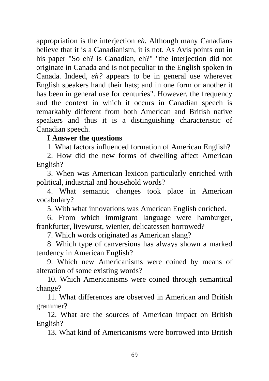appropriation is the interjection *eh.* Although many Canadians believe that it is a Canadianism, it is not. As Avis points out in his paper "So eh? is Canadian, eh?" "the interjection did not originate in Canada and is not peculiar to the English spoken in Canada. Indeed, *eh?* appears to be in general use wherever English speakers hand their hats; and in one form or another it has been in general use for centuries". However, the frequency and the context in which it occurs in Canadian speech is remarkably different from both American and British native speakers and thus it is a distinguishing characteristic of Canadian speech.

## **I Answer the questions**

1. What factors influenced formation of American English?

2. How did the new forms of dwelling affect American English?

3. When was American lexicon particularly enriched with political, industrial and household words?

4. What semantic changes took place in American vocabulary?

5. With what innovations was American English enriched.

6. From which immigrant language were hamburger, frankfurter, livewurst, wienier, delicatessen borrowed?

7. Which words originated as American slang?

8. Which type of canversions has always shown a marked tendency in American English?

9. Which new Americanisms were coined by means of alteration of some existing words?

10. Which Americanisms were coined through semantical change?

11. What differences are observed in American and British grammer?

12. What are the sources of American impact on British English?

13. What kind of Americanisms were borrowed into British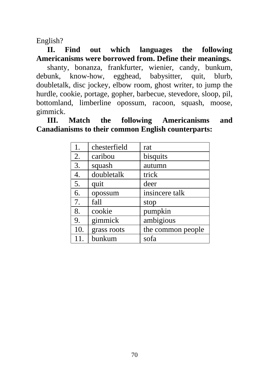English?

**II. Find out which languages the following Americanisms were borrowed from. Define their meanings.**

shanty, bonanza, frankfurter, wienier, candy, bunkum, debunk, know-how, egghead, babysitter, quit, blurb, doubletalk, disc jockey, elbow room, ghost writer, to jump the hurdle, cookie, portage, gopher, barbecue, stevedore, sloop, pil, bottomland, limberline opossum, racoon, squash, moose, gimmick.

**III. Match the following Americanisms and Canadianisms to their common English counterparts:**

| 1.  | chesterfield | rat               |
|-----|--------------|-------------------|
| 2.  | caribou      | bisquits          |
| 3.  | squash       | autumn            |
| 4.  | doubletalk   | trick             |
| 5.  | quit         | deer              |
| 6.  | opossum      | insincere talk    |
| 7.  | fall         | stop              |
| 8.  | cookie       | pumpkin           |
| 9.  | gimmick      | ambigious         |
| 10. | grass roots  | the common people |
|     | bunkum       | sofa              |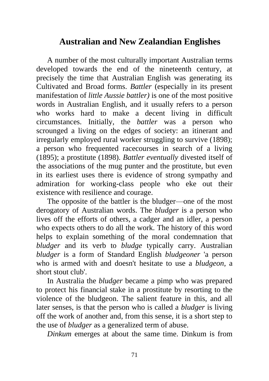# **Australian and New Zealandian Englishes**

A number of the most culturally important Australian terms developed towards the end of the nineteenth century, at precisely the time that Australian English was generating its Cultivated and Broad forms. *Battler* (especially in its present manifestation of *little Aussie battler)* is one of the most positive words in Australian English, and it usually refers to a person who works hard to make a decent living in difficult circumstances. Initially, the *battler* was a person who scrounged a living on the edges of society: an itinerant and irregularly employed rural worker struggling to survive (1898); a person who frequented racecourses in search of a living (1895); a prostitute (1898). *Battler eventually* divested itself of the associations of the mug punter and the prostitute, but even in its earliest uses there is evidence of strong sympathy and admiration for working-class people who eke out their existence with resilience and courage.

The opposite of the battler is the bludger—one of the most derogatory of Australian words. The *bludger* is a person who lives off the efforts of others, a cadger and an idler, a person who expects others to do all the work. The history of this word helps to explain something of the moral condemnation that *bludger* and its verb to *bludge* typically carry. Australian *bludger* is a form of Standard English *bludgeoner* 'a person who is armed with and doesn't hesitate to use a *bludgeon,* a short stout club'.

In Australia the *bludger* became a pimp who was prepared to protect his financial stake in a prostitute by resorting to the violence of the bludgeon. The salient feature in this, and all later senses, is that the person who is called a *bludger* is living off the work of another and, from this sense, it is a short step to the use of *bludger* as a generalized term of abuse.

*Dinkum* emerges at about the same time. Dinkum is from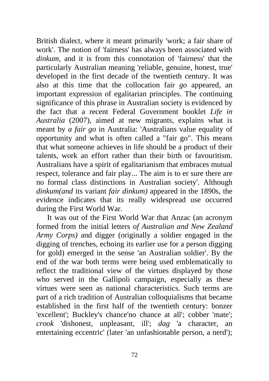British dialect, where it meant primarily 'work; a fair share of work'. The notion of 'fairness' has always been associated with *dinkum,* and it is from this connotation of 'fairness' that the particularly Australian meaning 'reliable, genuine, honest, true' developed in the first decade of the twentieth century. It was also at this time that the collocation fair *go* appeared, an important expression of egalitarian principles. The continuing significance of this phrase in Australian society is evidenced by the fact that a recent Federal Government booklet *Life in Australia* (2007), aimed at new migrants, explains what is meant by *a fair go* in Australia: 'Australians value equality of opportunity and what is often called a "fair go". This means that what someone achieves in life should be a product of their talents, work an effort rather than their birth or favouritism. Australians have a spirit of egalitarianism that embraces mutual respect, tolerance and fair play... The aim is to er sure there are no formal class distinctions in Australian society'. Although *dinkum(and* its variant *fair dinkum)* appeared in the 1890s, the evidence indicates that its really widespread use occurred during the First World War.

It was out of the First World War that Anzac (an acronym formed from the initial letters *of Australian and New Zealand Army Corps)* and digger (originally a soldier engaged in the digging of trenches, echoing its earlier use for a person digging for gold) emerged in the sense 'an Australian soldier'. By the end of the war both terms were being used emblematically to reflect the traditional view of the virtues displayed by those who served in the Gallipoli campaign, especially as these virtues were seen as national characteristics. Such terms are part of a rich tradition of Australian colloquialisms that became established in the first half of the twentieth century: bonzer 'excellent'; Buckley's chance'no chance at all'; cobber 'mate'; *crook* 'dishonest, unpleasant, ill'; *dag* 'a character, an entertaining eccentric' (later 'an unfashionable person, a nerd');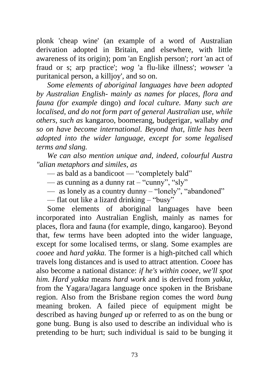plonk 'cheap wine' (an example of a word of Australian derivation adopted in Britain, and elsewhere, with little awareness of its origin); pom 'an English person'; *rort* 'an act of fraud or s; arp practice'; *wog* 'a flu-like illness'; *wowser* 'a puritanical person, a killjoy', and so on.

*Some elements of aboriginal languages have been adopted by Australian English- mainly as names for places, flora and fauna (for example* dingo) *and local culture. Many such are localised, and do not form part of general Australian use, while others, such as* kangaroo, boomerang, budgerigar, wallaby *and so on have become international. Beyond that, little has been adopted into the wider language, except for some legalised terms and slang.* 

*We can also mention unique and, indeed, colourful Austra "alian metaphors and similes, as*

- as bald as a bandicoot "completely bald"
- as cunning as a dunny rat "cunny", "sly"
- as lonely as a country dunny "lonely", "abandoned"
- flat out like a lizard drinking "busy"

Some elements of aboriginal languages have been incorporated into Australian English, mainly as names for places, flora and fauna (for example, dingo, kangaroo). Beyond that, few terms have been adopted into the wider language, except for some localised terms, or slang. Some examples are *cooee* and *hard yakka.* The former is a high-pitched call which travels long distances and is used to attract attention. *Cooee* has also become a national distance: *if he's within cooee, we'll spot him. Hard yakka* means *hard work* and is derived from *yakka,*  from the Yagara/Jagara language once spoken in the Brisbane region. Also from the Brisbane region comes the word *bung*  meaning broken. A failed piece of equipment might be described as having *bunged up* or referred to as on the bung or gone bung. Bung is also used to describe an individual who is pretending to be hurt; such individual is said to be bunging it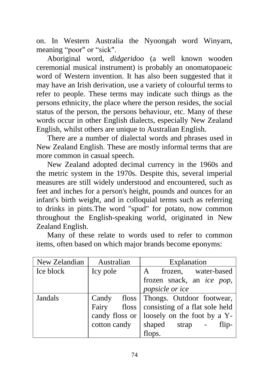on. In Western Australia the Nyoongah word Winyarn, meaning "poor" or "sick".

Aboriginal word, *didgeridoo* (a well known wooden ceremonial musical instrument) is probably an onomatopaoeic word of Western invention. It has also been suggested that it may have an Irish derivation, use a variety of colourful terms to refer to people. These terms may indicate such things as the persons ethnicity, the place where the person resides, the social status of the person, the persons behaviour, etc. Many of these words occur in other English dialects, especially New Zealand English, whilst others are unique to Australian English.

There are a number of dialectal words and phrases used in New Zealand English. These are mostly informal terms that are more common in casual speech.

New Zealand adopted decimal currency in the 1960s and the metric system in the 1970s. Despite this, several imperial measures are still widely understood and encountered, such as feet and inches for a person's height, pounds and ounces for an infant's birth weight, and in colloquial terms such as referring to drinks in pints.The word "spud" for potato, now common throughout the English-speaking world, originated in New Zealand English.

Many of these relate to words used to refer to common items, often based on which major brands become eponyms:

| New Zelandian  | Australian     | Explanation                       |
|----------------|----------------|-----------------------------------|
| Ice block      | Icy pole       | frozen, water-based<br>A          |
|                |                | frozen snack, an <i>ice pop</i> , |
|                |                | popsicle or ice                   |
| <b>Jandals</b> | Candy          | floss Thongs. Outdoor footwear,   |
|                | Fairy<br>floss | consisting of a flat sole held    |
|                | candy floss or | loosely on the foot by a Y-       |
|                | cotton candy   | shaped strap<br>flip-             |
|                |                | flops.                            |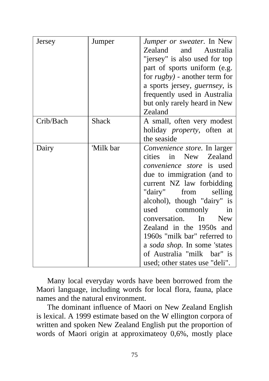| Jersey    | Jumper       | Jumper or sweater. In New<br>Zealand and Australia<br>"jersey" is also used for top<br>part of sports uniform (e.g.<br>for $rugby$ ) - another term for<br>a sports jersey, <i>guernsey</i> , is<br>frequently used in Australia<br>but only rarely heard in New                                                                                                                                                                                |
|-----------|--------------|-------------------------------------------------------------------------------------------------------------------------------------------------------------------------------------------------------------------------------------------------------------------------------------------------------------------------------------------------------------------------------------------------------------------------------------------------|
| Crib/Bach | <b>Shack</b> | Zealand<br>A small, often very modest<br>holiday <i>property</i> , often at<br>the seaside                                                                                                                                                                                                                                                                                                                                                      |
| Dairy     | 'Milk bar    | Convenience store. In larger<br>New Zealand<br>cities<br>in<br><i>convenience store</i> is used<br>due to immigration (and to<br>current NZ law forbidding<br>selling<br>"dairy" from<br>alcohol), though "dairy" is<br>used<br>commonly<br>in<br>conversation.<br>In<br><b>New</b><br>Zealand in the 1950s and<br>1960s "milk bar" referred to<br>a soda shop. In some 'states<br>of Australia "milk bar" is<br>used; other states use "deli". |

Many local everyday words have been borrowed from the Maori language, including words for local flora, fauna, place names and the natural environment.

The dominant influence of Maori on New Zealand English is lexical. A 1999 estimate based on the W ellington corpora of written and spoken New Zealand English put the proportion of words of Maori origin at approximateoy 0,6%, mostly place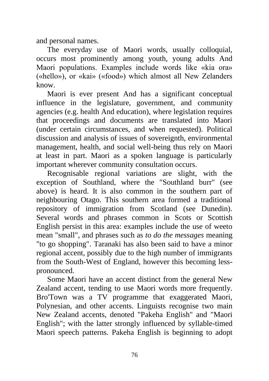and personal names.

The everyday use of Maori words, usually colloquial, occurs most prominently among youth, young adults And Maori populations. Examples include words like «kia ora» («hello»), or «kai» («food») which almost all New Zelanders know.

Maori is ever present And has a significant conceptual influence in the legislature, government, and community agencies (e.g. health And education), where legislation requires that proceedings and documents are translated into Maori (under certain circumstances, and when requested). Political discussion and analysis of issues of sovereignth, environmental management, health, and social well-being thus rely on Maori at least in part. Maori as a spoken language is particularly important wherever community consultation occurs.

Recognisable regional variations are slight, with the exception of Southland, where the "Southland burr" (see above) is heard. It is also common in the southern part of neighbouring Otago. This southern area formed a traditional repository of immigration from Scotland (see Dunedin). Several words and phrases common in Scots or Scottish English persist in this area: examples include the use of weeto mean "small", and phrases such as *to do the messages* meaning "to go shopping". Taranaki has also been said to have a minor regional accent, possibly due to the high number of immigrants from the South-West of England, however this becoming lesspronounced.

Some Maori have an accent distinct from the general New Zealand accent, tending to use Maori words more frequently. Bro'Town was a TV programme that exaggerated Maori, Polynesian, and other accents. Linguists recognise two main New Zealand accents, denoted "Pakeha English" and "Maori English"; with the latter strongly influenced by syllable-timed Maori speech patterns. Pakeha English is beginning to adopt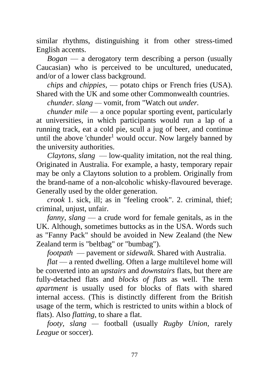similar rhythms, distinguishing it from other stress-timed English accents.

*Bogan* — a derogatory term describing a person (usually Caucasian) who is perceived to be uncultured, uneducated, and/or of a lower class background.

*chips* and *chippies,* — potato chips or French fries (USA). Shared with the UK and some other Commonwealth countries.

*chunder. slang —* vomit, from "Watch out *under.*

*chunder mile* — a once popular sporting event, particularly at universities, in which participants would run a lap of a running track, eat a cold pie, scull a jug of beer, and continue until the above 'chunder<sup>1</sup> would occur. Now largely banned by the university authorities.

*Claytons, slang* — low-quality imitation, not the real thing. Originated in Australia. For example, a hasty, temporary repair may be only a Claytons solution to a problem. Originally from the brand-name of a non-alcoholic whisky-flavoured beverage. Generally used by the older generation.

*crook* 1. sick, ill; as in "feeling crook". 2. criminal, thief; criminal, unjust, unfair.

*fanny, slang* — a crude word for female genitals, as in the UK. Although, sometimes buttocks as in the USA. Words such as "Fanny Pack" should be avoided in New Zealand (the New Zealand term is "beltbag" or "bumbag").

*footpath* — pavement or *sidewalk.* Shared with Australia.

*flat* — a rented dwelling. Often a large multilevel home will be converted into an *upstairs* and *downstairs* flats, but there are fully-detached flats and *blocks of flats* as well. The term *apartment* is usually used for blocks of flats with shared internal access. (This is distinctly different from the British usage of the term, which is restricted to units within a block of flats). Also *flatting,* to share a flat.

*footy, slang —* football (usually *Rugby Union,* rarely *League* or soccer).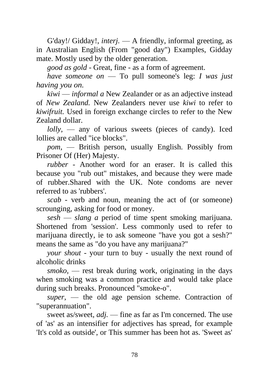G'day!/ Gidday!, *interj.* — A friendly, informal greeting, as in Australian English (From "good day") Examples, Gidday mate. Mostly used by the older generation.

*good as gold* - Great, fine - as a form of agreement.

*have someone on* — To pull someone's leg: *I was just having you on.*

*kiwi* — *informal a* New Zealander or as an adjective instead of *New Zealand.* New Zealanders never use *kiwi* to refer to *kiwifruit.* Used in foreign exchange circles to refer to the New Zealand dollar.

*lolly,* — any of various sweets (pieces of candy). Iced lollies are called "ice blocks".

*pom,* — British person, usually English. Possibly from Prisoner Of (Her) Majesty.

*rubber* - Another word for an eraser. It is called this because you "rub out" mistakes, and because they were made of rubber.Shared with the UK. Note condoms are never referred to as 'rubbers'.

*scab* - verb and noun, meaning the act of (or someone) scrounging, asking for food or money.

*sesh* — *slang a* period of time spent smoking marijuana. Shortened from 'session'. Less commonly used to refer to marijuana directly, ie to ask someone "have you got a sesh?" means the same as "do you have any marijuana?"

*your shout* - your turn to buy - usually the next round of alcoholic drinks

*smoko,* — rest break during work, originating in the days when smoking was a common practice and would take place during such breaks. Pronounced "smoke-o".

*super,* — the old age pension scheme. Contraction of "superannuation".

sweet as/sweet, *adj.* — fine as far as I'm concerned. The use of 'as' as an intensifier for adjectives has spread, for example 'It's cold as outside', or This summer has been hot as. 'Sweet as'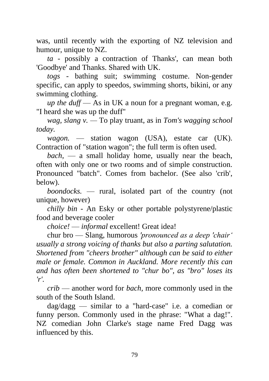was, until recently with the exporting of NZ television and humour, unique to NZ.

*ta* - possibly a contraction of Thanks', can mean both 'Goodbye' and Thanks. Shared with UK.

*togs* - bathing suit; swimming costume. Non-gender specific, can apply to speedos, swimming shorts, bikini, or any swimming clothing.

*up the duff* — As in UK a noun for a pregnant woman, e.g. "I heard she was up the duff"

*wag, slang v. —* To play truant, as in *Tom's wagging school today.*

*wagon.* — station wagon (USA), estate car (UK). Contraction of "station wagon"; the full term is often used.

*bach,* — a small holiday home, usually near the beach, often with only one or two rooms and of simple construction. Pronounced "batch". Comes from bachelor. (See also 'crib', below).

*boondocks.* — rural, isolated part of the country (not unique, however)

*chilly bin* - An Esky or other portable polystyrene/plastic food and beverage cooler

*choice!* — *informal* excellent! Great idea!

chur bro — Slang, humorous *'pronounced as a deep 'chair' usually a strong voicing of thanks but also a parting salutation. Shortened from "cheers brother" although can be said to either male or female. Common in Auckland. More recently this can and has often been shortened to "chur bo", as "bro" loses its 'r'.*

*crib* — another word for *bach,* more commonly used in the south of the South Island.

dag/dagg — similar to a "hard-case" i.e. a comedian or funny person. Commonly used in the phrase: "What a dag!". NZ comedian John Clarke's stage name Fred Dagg was influenced by this.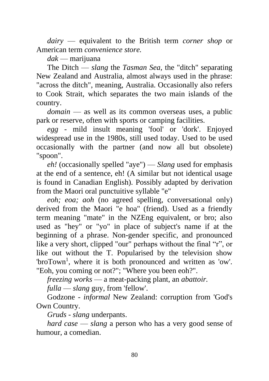*dairy* — equivalent to the British term *corner shop* or American term *convenience store.*

*dak* — marijuana

The Ditch — *slang* the *Tasman Sea,* the "ditch" separating New Zealand and Australia, almost always used in the phrase: "across the ditch", meaning, Australia. Occasionally also refers to Cook Strait, which separates the two main islands of the country.

*domain* — as well as its common overseas uses, a public park or reserve, often with sports or camping facilities.

*egg* - mild insult meaning 'fool' or 'dork'. Enjoyed widespread use in the 1980s, still used today. Used to be used occasionally with the partner (and now all but obsolete) "spoon".

*eh!* (occasionally spelled "aye") — *Slang* used for emphasis at the end of a sentence, eh! (A similar but not identical usage is found in Canadian English). Possibly adapted by derivation from the Maori oral punctuitive syllable "e"

*eoh; eoa; aoh* (no agreed spelling, conversational only) derived from the Maori "e hoa" (friend). Used as a friendly term meaning "mate" in the NZEng equivalent, or bro; also used as "hey" or "yo" in place of subject's name if at the beginning of a phrase. Non-gender specific, and pronounced like a very short, clipped "our" perhaps without the final "r", or like out without the T. Popularised by the television show 'broTown<sup>1</sup>, where it is both pronounced and written as 'ow'. "Eoh, you coming or not?"; "Where you been eoh?".

*freezing works* — a meat-packing plant, an *abattoir.*

*fulla* — *slang* guy, from 'fellow'.

Godzone - *informal* New Zealand: corruption from 'God's Own Country.

*Gruds* - *slang* underpants.

*hard case* — *slang* a person who has a very good sense of humour, a comedian.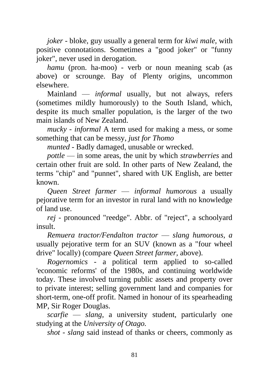*joker* - bloke, guy usually a general term for *kiwi male,* with positive connotations. Sometimes a "good joker" or "funny joker", never used in derogation.

*hamu* (pron. ha-moo) - verb or noun meaning scab (as above) or scrounge. Bay of Plenty origins, uncommon elsewhere.

Mainland — *informal* usually, but not always, refers (sometimes mildly humorously) to the South Island, which, despite its much smaller population, is the larger of the two main islands of New Zealand.

*mucky* - *informal* A term used for making a mess, or some something that can be messy, *just for Thomo*

*munted* - Badly damaged, unusable or wrecked.

*pottle* — in some areas, the unit by which *strawberries* and certain other fruit are sold. In other parts of New Zealand, the terms "chip" and "punnet", shared with UK English, are better known.

*Queen Street farmer* — *informal humorous* a usually pejorative term for an investor in rural land with no knowledge of land use.

*rej* - pronounced "reedge". Abbr. of "reject", a schoolyard insult.

*Remuera tractor/Fendalton tractor* — *slang humorous, a*  usually pejorative term for an SUV (known as a "four wheel drive" locally) (compare *Queen Street farmer,* above).

*Rogernomics* - a political term applied to so-called 'economic reforms' of the 1980s, and continuing worldwide today. These involved turning public assets and property over to private interest; selling government land and companies for short-term, one-off profit. Named in honour of its spearheading MP, Sir Roger Douglas.

*scarfie* — *slang,* a university student, particularly one studying at the *University of Otago.*

*shot* - *slang* said instead of thanks or cheers, commonly as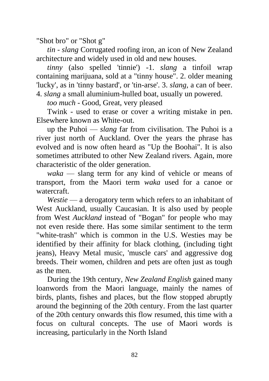"Shot bro" or "Shot g"

*tin* - *slang* Corrugated roofing iron, an icon of New Zealand architecture and widely used in old and new houses.

*tinny* (also spelled 'tinnie') -1. *slang* a tinfoil wrap containing marijuana, sold at a "tinny house". 2. older meaning 'lucky', as in 'tinny bastard', or 'tin-arse'. 3. *slang,* a can of beer. 4. *slang* a small aluminium-hulled boat, usually un powered.

*too much* - Good, Great, very pleased

Twink - used to erase or cover a writing mistake in pen. Elsewhere known as White-out.

up the Puhoi — *slang* far from civilisation. The Puhoi is a river just north of Auckland. Over the years the phrase has evolved and is now often heard as "Up the Boohai". It is also sometimes attributed to other New Zealand rivers. Again, more characteristic of the older generation.

*waka* — slang term for any kind of vehicle or means of transport, from the Maori term *waka* used for a canoe or watercraft.

*Westie* — a derogatory term which refers to an inhabitant of West Auckland, usually Caucasian. It is also used by people from West *Auckland* instead of "Bogan" for people who may not even reside there. Has some similar sentiment to the term "white-trash" which is common in the U.S. Westies may be identified by their affinity for black clothing, (including tight jeans), Heavy Metal music, 'muscle cars' and aggressive dog breeds. Their women, children and pets are often just as tough as the men.

During the 19th century, *New Zealand English* gained many loanwords from the Maori language, mainly the names of birds, plants, fishes and places, but the flow stopped abruptly around the beginning of the 20th century. From the last quarter of the 20th century onwards this flow resumed, this time with a focus on cultural concepts. The use of Maori words is increasing, particularly in the North Island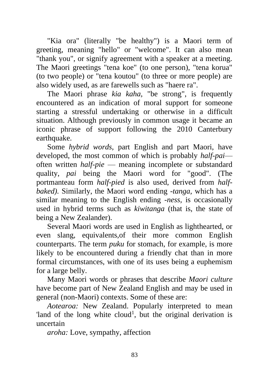"Kia ora" (literally "be healthy") is a Maori term of greeting, meaning "hello" or "welcome". It can also mean "thank you", or signify agreement with a speaker at a meeting. The Maori greetings "tena koe" (to one person), "tena korua" (to two people) or "tena koutou" (to three or more people) are also widely used, as are farewells such as "haere ra".

The Maori phrase *kia kaha,* "be strong", is frequently encountered as an indication of moral support for someone starting a stressful undertaking or otherwise in a difficult situation. Although previously in common usage it became an iconic phrase of support following the 2010 Canterbury earthquake.

Some *hybrid words,* part English and part Maori, have developed, the most common of which is probably *half-pai* often written *half-pie* — meaning incomplete or substandard quality, *pai* being the Maori word for "good". (The portmanteau form *half-pied* is also used, derived from *halfbaked).* Similarly, the Maori word ending -*tanga,* which has a similar meaning to the English ending *-ness,* is occasionally used in hybrid terms such as *kiwitanga* (that is, the state of being a New Zealander).

Several Maori words are used in English as lighthearted, or even slang, equivalents,of their more common English counterparts. The term *puku* for stomach, for example, is more likely to be encountered during a friendly chat than in more formal circumstances, with one of its uses being a euphemism for a large belly.

Many Maori words or phrases that describe *Maori culture* have become part of New Zealand English and may be used in general (non-Maori) contexts. Some of these are:

*Aotearoa:* New Zealand. Popularly interpreted to mean 'land of the long white cloud<sup>1</sup>, but the original derivation is uncertain

*aroha:* Love, sympathy, affection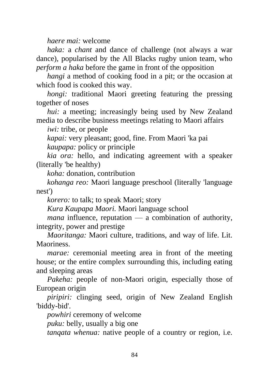*haere mai:* welcome

*haka:* a *chant* and dance of challenge (not always a war dance), popularised by the All Blacks rugby union team, who *perform a haka* before the game in front of the opposition

*hangi* a method of cooking food in a pit; or the occasion at which food is cooked this way.

*hongi:* traditional Maori greeting featuring the pressing together of noses

*hui:* a meeting; increasingly being used by New Zealand media to describe business meetings relating to Maori affairs

*iwi:* tribe, or people

*kapai:* very pleasant; good, fine. From Maori 'ka pai *kaupapa:* policy or principle

*kia ora:* hello, and indicating agreement with a speaker (literally 'be healthy)

*koha:* donation, contribution

*kohanga reo:* Maori language preschool (literally 'language nest')

*korero:* to talk; to speak Maori; story

*Kura Kaupapa Maori.* Maori language school

*mana* influence, reputation — a combination of authority, integrity, power and prestige

*Maoritanga:* Maori culture, traditions, and way of life. Lit. Maoriness.

*marae:* ceremonial meeting area in front of the meeting house; or the entire complex surrounding this, including eating and sleeping areas

*Pakeha:* people of non-Maori origin, especially those of European origin

*piripiri:* clinging seed, origin of New Zealand English 'biddy-bid'.

*powhiri* ceremony of welcome

*puku:* belly, usually a big one

*tanqata whenua:* native people of a country or region, i.e.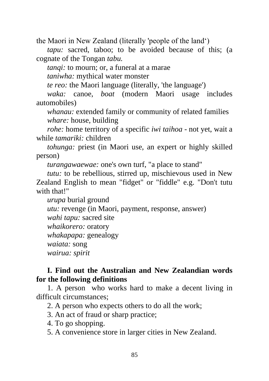the Maori in New Zealand (literally 'people of the land')

*tapu:* sacred, taboo; to be avoided because of this; (a cognate of the Tongan *tabu.* 

*tangi:* to mourn; or, a funeral at a marae

*taniwha:* mythical water monster

*te reo:* the Maori language (literally, 'the language')

*waka:* canoe, *boat* (modern Maori usage includes automobiles)

*whanau:* extended family or community of related families *whare:* house, building

*rohe:* home territory of a specific *iwi taihoa* - not yet, wait a while *tamariki:* children

*tohunga:* priest (in Maori use, an expert or highly skilled person)

*turangawaewae:* one's own turf, "a place to stand"

*tutu:* to be rebellious, stirred up, mischievous used in New Zealand English to mean "fidget" or "fiddle" e.g. "Don't tutu with that!"

*urupa* burial ground *utu:* revenge (in Maori, payment, response, answer) *wahi tapu:* sacred site *whaikorero:* oratory *whakapapa:* genealogy *waiata:* song *wairua: spirit*

#### **I. Find out the Australian and New Zealandian words for the following definitions**

1. A person who works hard to make a decent living in difficult circumstances;

2. A person who expects others to do all the work;

- 3. An act of fraud or sharp practice;
- 4. To go shopping.

5. A convenience store in larger cities in New Zealand.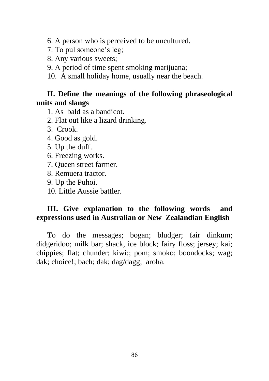6. A person who is perceived to be uncultured.

- 7. To pul someone's leg;
- 8. Any various sweets;
- 9. A period of time spent smoking marijuana;
- 10. A small holiday home, usually near the beach.

#### **II. Define the meanings of the following phraseological units and slangs**

- 1. As bald as a bandicot.
- 2. Flat out like a lizard drinking.
- 3. Crook.
- 4. Good as gold.
- 5. Up the duff.
- 6. Freezing works.
- 7. Queen street farmer.
- 8. Remuera tractor.
- 9. Up the Puhoi.
- 10. Little Aussie battler.

#### **III. Give explanation to the following words and expressions used in Australian or New Zealandian English**

To do the messages; bogan; bludger; fair dinkum; didgeridoo; milk bar; shack, ice block; fairy floss; jersey; kai; chippies; flat; chunder; kiwi;; pom; smoko; boondocks; wag; dak; choice!; bach; dak; dag/dagg; aroha.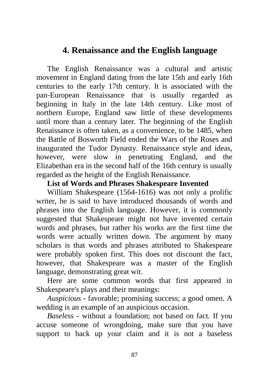## **4. Renaissance and the English language**

The English Renaissance was a cultural and artistic movement in England dating from the late 15th and early 16th centuries to the early 17th century. It is associated with the pan-European Renaissance that is usually regarded as beginning in Italy in the late 14th century. Like most of northern Europe, England saw little of these developments until more than a century later. The beginning of the English Renaissance is often taken, as a convenience, to be 1485, when the Battle of Bosworth Field ended the Wars of the Roses and inaugurated the Tudor Dynasty. Renaissance style and ideas, however, were slow in penetrating England, and the Elizabethan era in the second half of the 16th century is usually regarded as the height of the English Renaissance.

#### **List of Words and Phrases Shakespeare Invented**

William Shakespeare (1564-1616) was not only a prolific writer, he is said to have introduced thousands of words and phrases into the English language. However, it is commonly suggested that Shakespeare might not have invented certain words and phrases, but rather his works are the first time the words were actually written down. The argument by many scholars is that words and phrases attributed to Shakespeare were probably spoken first. This does not discount the fact, however, that Shakespeare was a master of the English language, demonstrating great wit.

Here are some common words that first appeared in Shakespeare's plays and their meanings:

*Auspicious* - favorable; promising success; a good omen. A wedding is an example of an auspicious occasion.

*Baseless* - without a foundation; not based on fact. If you accuse someone of wrongdoing, make sure that you have support to back up your claim and it is not a baseless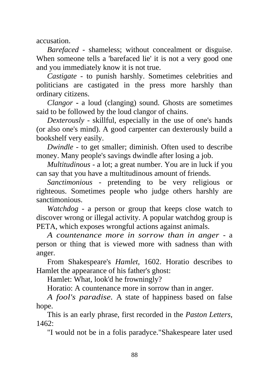accusation.

*Barefaced* - shameless; without concealment or disguise. When someone tells a 'barefaced lie' it is not a very good one and you immediately know it is not true.

*Castigate* - to punish harshly. Sometimes celebrities and politicians are castigated in the press more harshly than ordinary citizens.

*Clangor* **-** a loud (clanging) sound. Ghosts are sometimes said to be followed by the loud clangor of chains.

*Dexterously* - skillful, especially in the use of one's hands (or also one's mind). A good carpenter can dexterously build a bookshelf very easily.

*Dwindle* - to get smaller; diminish. Often used to describe money. Many people's savings dwindle after losing a job.

*Multitudinous* - a lot; a great number. You are in luck if you can say that you have a multitudinous amount of friends.

*Sanctimonious* - pretending to be very religious or righteous. Sometimes people who judge others harshly are sanctimonious.

*Watchdog* - a person or group that keeps close watch to discover wrong or illegal activity. A popular watchdog group is PETA, which exposes wrongful actions against animals.

*A countenance more in sorrow than in anger* - a person or thing that is viewed more with sadness than with anger.

From Shakespeare's *Hamlet,* 1602. Horatio describes to Hamlet the appearance of his father's ghost:

Hamlet: What, look'd he frowningly?

Horatio: A countenance more in sorrow than in anger.

*A fool's paradise.* A state of happiness based on false hope.

This is an early phrase, first recorded in the *Paston Letters,*   $1462:$ 

"I would not be in a folis paradyce."Shakespeare later used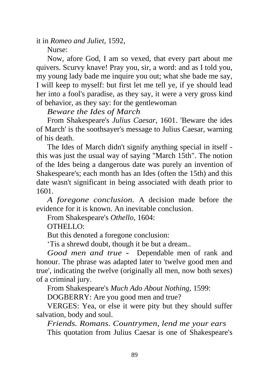it in *Romeo and Juliet,* 1592,

Nurse:

Now, afore God, I am so vexed, that every part about me quivers. Scurvy knave! Pray you, sir, a word: and as I told you, my young lady bade me inquire you out; what she bade me say, I will keep to myself: but first let me tell ye, if ye should lead her into a fool's paradise, as they say, it were a very gross kind of behavior, as they say: for the gentlewoman

*Beware the Ides of March* 

From Shakespeare's *Julius Caesar,* 1601. 'Beware the ides of March' is the soothsayer's message to Julius Caesar, warning of his death.

The Ides of March didn't signify anything special in itself this was just the usual way of saying "March 15th". The notion of the Ides being a dangerous date was purely an invention of Shakespeare's; each month has an Ides (often the 15th) and this date wasn't significant in being associated with death prior to 1601.

*A foregone conclusion.* A decision made before the evidence for it is known. An inevitable conclusion.

From Shakespeare's *Othello,* 1604:

OTHELLO:

But this denoted a foregone conclusion:

'Tis a shrewd doubt, though it be but a dream..

*Good men and true* **-** Dependable men of rank and honour. The phrase was adapted later to 'twelve good men and true', indicating the twelve (originally all men, now both sexes) of a criminal jury.

From Shakespeare's *Much Ado About Nothing,* 1599:

DOGBERRY: Are you good men and true?

VERGES: Yea, or else it were pity but they should suffer salvation, body and soul.

*Friends. Romans. Countrymen, lend me your ears*  This quotation from Julius Caesar is one of Shakespeare's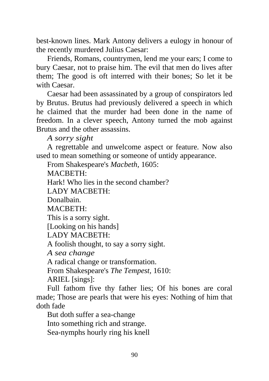best-known lines. Mark Antony delivers a eulogy in honour of the recently murdered Julius Caesar:

Friends, Romans, countrymen, lend me your ears; I come to bury Caesar, not to praise him. The evil that men do lives after them; The good is oft interred with their bones; So let it be with Caesar.

Caesar had been assassinated by a group of conspirators led by Brutus. Brutus had previously delivered a speech in which he claimed that the murder had been done in the name of freedom. In a clever speech, Antony turned the mob against Brutus and the other assassins.

*A sorry sight*

A regrettable and unwelcome aspect or feature. Now also used to mean something or someone of untidy appearance.

From Shakespeare's *Macbeth,* 1605:

MACBETH:

Hark! Who lies in the second chamber?

LADY MACBETH:

Donalbain.

MACBETH:

This is a sorry sight.

[Looking on his hands]

LADY MACBETH:

A foolish thought, to say a sorry sight.

*A sea change*

A radical change or transformation.

From Shakespeare's *The Tempest,* 1610:

ARIEL [sings]:

Full fathom five thy father lies; Of his bones are coral made; Those are pearls that were his eyes: Nothing of him that doth fade

But doth suffer a sea-change

Into something rich and strange.

Sea-nymphs hourly ring his knell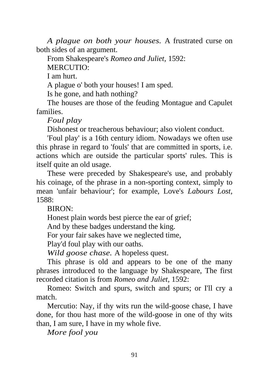*A plague on both your houses.* A frustrated curse on both sides of an argument.

From Shakespeare's *Romeo and Juliet,* 1592:

MERCUTIO:

I am hurt.

A plague o' both your houses! I am sped.

Is he gone, and hath nothing?

The houses are those of the feuding Montague and Capulet families.

*Foul play*

Dishonest or treacherous behaviour; also violent conduct.

'Foul play' is a 16th century idiom. Nowadays we often use this phrase in regard to 'fouls' that are committed in sports, i.e. actions which are outside the particular sports' rules. This is itself quite an old usage.

These were preceded by Shakespeare's use, and probably his coinage, of the phrase in a non-sporting context, simply to mean 'unfair behaviour'; for example, Love's *Labours Lost,*  1588:

BIRON:

Honest plain words best pierce the ear of grief;

And by these badges understand the king.

For your fair sakes have we neglected time,

Play'd foul play with our oaths.

*Wild goose chase.* A hopeless quest.

This phrase is old and appears to be one of the many phrases introduced to the language by Shakespeare, The first recorded citation is from *Romeo and Juliet,* 1592:

Romeo: Switch and spurs, switch and spurs; or I'll cry a match.

Mercutio: Nay, if thy wits run the wild-goose chase, I have done, for thou hast more of the wild-goose in one of thy wits than, I am sure, I have in my whole five.

*More fool you*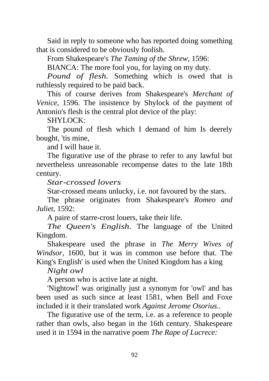Said in reply to someone who has reported doing something that is considered to be obviously foolish.

From Shakespeare's *The Taming of the Shrew,* 1596:

BIANCA: The more fool you, for laying on my duty.

*Pound of flesh.* Something which is owed that is ruthlessly required to be paid back.

This of course derives from Shakespeare's *Merchant of Venice,* 1596. The insistence by Shylock of the payment of Antonio's flesh is the central plot device of the play:

SHYLOCK:

The pound of flesh which I demand of him Is deerely bought, 'tis mine,

and I will haue it.

The figurative use of the phrase to refer to any lawful but nevertheless unreasonable recompense dates to the late 18th century.

*Star-crossed lovers*

Star-crossed means unlucky, i.e. not favoured by the stars.

The phrase originates from Shakespeare's *Romeo and Juliet,* 1592:

A paire of starre-crost louers, take their life.

*The Queen's English.* The language of the United Kingdom.

Shakespeare used the phrase in *The Merry Wives of Windsor,* 1600, but it was in common use before that. The King's English' is used when the United Kingdom has a king

*Night owl*

A person who is active late at night.

'Nightowl' was originally just a synonym for 'owl' and has been used as such since at least 1581, when Bell and Foxe included it it their translated work *Against Jerome Osorius..*

The figurative use of the term, i.e. as a reference to people rather than owls, also began in the 16th century. Shakespeare used it in 1594 in the narrative poem *The Rape of Lucrece:*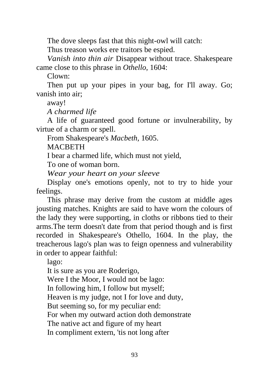The dove sleeps fast that this night-owl will catch:

Thus treason works ere traitors be espied.

*Vanish into thin air* Disappear without trace. Shakespeare came close to this phrase in *Othello,* 1604:

Clown:

Then put up your pipes in your bag, for I'll away. Go: vanish into air;

away!

*A charmed life*

A life of guaranteed good fortune or invulnerability, by virtue of a charm or spell.

From Shakespeare's *Macbeth,* 1605.

**MACRETH** 

I bear a charmed life, which must not yield,

To one of woman born.

*Wear your heart on your sleeve*

Display one's emotions openly, not to try to hide your feelings.

This phrase may derive from the custom at middle ages jousting matches. Knights are said to have worn the colours of the lady they were supporting, in cloths or ribbons tied to their arms.The term doesn't date from that period though and is first recorded in Shakespeare's Othello, 1604. In the play, the treacherous lago's plan was to feign openness and vulnerability in order to appear faithful:

lago:

It is sure as you are Roderigo,

Were I the Moor, I would not be lago:

In following him, I follow but myself;

Heaven is my judge, not I for love and duty,

But seeming so, for my peculiar end:

For when my outward action doth demonstrate

The native act and figure of my heart

In compliment extern, 'tis not long after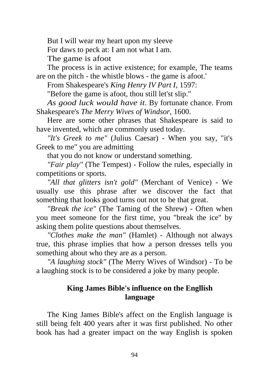But I will wear my heart upon my sleeve

For daws to peck at: I am not what I am.

The game is afoot

The process is in active existence; for example, The teams are on the pitch - the whistle blows - the game is afoot.'

From Shakespeare's *King Henry IV Part I,* 1597:

"Before the game is afoot, thou still let'st slip."

*As good luck would have it.* By fortunate chance. From Shakespeare's *The Merry Wives of Windsor,* 1600.

Here are some other phrases that Shakespeare is said to have invented, which are commonly used today.

*"It's Greek to me"* (Julius Caesar) - When you say, "it's Greek to me" you are admitting

that you do not know or understand something.

*"Fair play"* (The Tempest) - Follow the rules, especially in competitions or sports.

*"All that glitters isn't gold"* (Merchant of Venice) - We usually use this phrase after we discover the fact that something that looks good turns out not to be that great.

*"Break the ice"* (The Taming of the Shrew) - Often when you meet someone for the first time, you "break the ice" by asking them polite questions about themselves.

*"Clothes make the man"* (Hamlet) - Although not always true, this phrase implies that how a person dresses tells you something about who they are as a person.

*"A laughing stock"* (The Merry Wives of Windsor) - To be a laughing stock is to be considered a joke by many people.

#### **King James Bible's influence on the Engllish language**

The King James Bible's affect on the English language is still being felt 400 years after it was first published. No other book has had a greater impact on the way English is spoken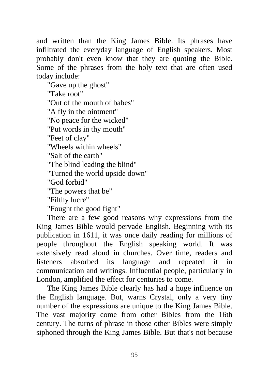and written than the King James Bible. Its phrases have infiltrated the everyday language of English speakers. Most probably don't even know that they are quoting the Bible. Some of the phrases from the holy text that are often used today include:

"Gave up the ghost" "Take root" "Out of the mouth of babes" "A fly in the ointment" "No peace for the wicked" "Put words in thy mouth" "Feet of clay" "Wheels within wheels" "Salt of the earth" "The blind leading the blind" "Turned the world upside down" "God forbid" "The powers that be"

"Filthy lucre"

"Fought the good fight"

There are a few good reasons why expressions from the King James Bible would pervade English. Beginning with its publication in 1611, it was once daily reading for millions of people throughout the English speaking world. It was extensively read aloud in churches. Over time, readers and listeners absorbed its language and repeated it in communication and writings. Influential people, particularly in London, amplified the effect for centuries to come.

The King James Bible clearly has had a huge influence on the English language. But, warns Crystal, only a very tiny number of the expressions are unique to the King James Bible. The vast majority come from other Bibles from the 16th century. The turns of phrase in those other Bibles were simply siphoned through the King James Bible. But that's not because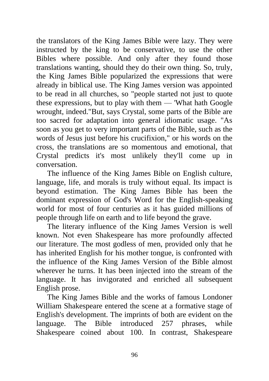the translators of the King James Bible were lazy. They were instructed by the king to be conservative, to use the other Bibles where possible. And only after they found those translations wanting, should they do their own thing. So, truly, the King James Bible popularized the expressions that were already in biblical use. The King James version was appointed to be read in all churches, so "people started not just to quote these expressions, but to play with them — 'What hath Google wrought, indeed."But, says Crystal, some parts of the Bible are too sacred for adaptation into general idiomatic usage. "As soon as you get to very important parts of the Bible, such as the words of Jesus just before his crucifixion," or his words on the cross, the translations are so momentous and emotional, that Crystal predicts it's most unlikely they'll come up in conversation.

The influence of the King James Bible on English culture, language, life, and morals is truly without equal. Its impact is beyond estimation. The King James Bible has been the dominant expression of God's Word for the English-speaking world for most of four centuries as it has guided millions of people through life on earth and to life beyond the grave.

The literary influence of the King James Version is well known. Not even Shakespeare has more profoundly affected our literature. The most godless of men, provided only that he has inherited English for his mother tongue, is confronted with the influence of the King James Version of the Bible almost wherever he turns. It has been injected into the stream of the language. It has invigorated and enriched all subsequent English prose.

The King James Bible and the works of famous Londoner William Shakespeare entered the scene at a formative stage of English's development. The imprints of both are evident on the language. The Bible introduced 257 phrases, while Shakespeare coined about 100. In contrast, Shakespeare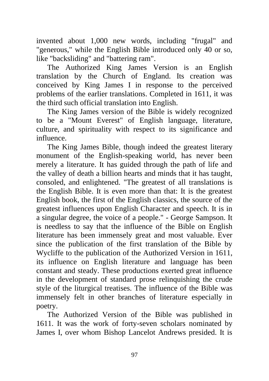invented about 1,000 new words, including "frugal" and "generous," while the English Bible introduced only 40 or so, like "backsliding" and "battering ram".

The Authorized King James Version is an English translation by the Church of England. Its creation was conceived by King James I in response to the perceived problems of the earlier translations. Completed in 1611, it was the third such official translation into English.

The King James version of the Bible is widely recognized to be a "Mount Everest" of English language, literature, culture, and spirituality with respect to its significance and influence.

The King James Bible, though indeed the greatest literary monument of the English-speaking world, has never been merely a literature. It has guided through the path of life and the valley of death a billion hearts and minds that it has taught, consoled, and enlightened. "The greatest of all translations is the English Bible. It is even more than that: It is the greatest English book, the first of the English classics, the source of the greatest influences upon English Character and speech. It is in a singular degree, the voice of a people." - George Sampson. It is needless to say that the influence of the Bible on English literature has been immensely great and most valuable. Ever since the publication of the first translation of the Bible by Wycliffe to the publication of the Authorized Version in 1611, its influence on English literature and language has been constant and steady. These productions exerted great influence in the development of standard prose relinquishing the crude style of the liturgical treatises. The influence of the Bible was immensely felt in other branches of literature especially in poetry.

The Authorized Version of the Bible was published in 1611. It was the work of forty-seven scholars nominated by James I, over whom Bishop Lancelot Andrews presided. It is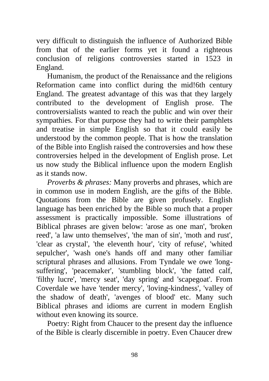very difficult to distinguish the influence of Authorized Bible from that of the earlier forms yet it found a righteous conclusion of religions controversies started in 1523 in England.

Humanism, the product of the Renaissance and the religions Reformation came into conflict during the mid!6th century England. The greatest advantage of this was that they largely contributed to the development of English prose. The controversialists wanted to reach the public and win over their sympathies. For that purpose they had to write their pamphlets and treatise in simple English so that it could easily be understood by the common people. That is how the translation of the Bible into English raised the controversies and how these controversies helped in the development of English prose. Let us now study the Biblical influence upon the modern English as it stands now.

*Proverbs & phrases:* Many proverbs and phrases, which are in common use in modern English, are the gifts of the Bible. Quotations from the Bible are given profusely. English language has been enriched by the Bible so much that a proper assessment is practically impossible. Some illustrations of Biblical phrases are given below: 'arose as one man', 'broken reed', 'a law unto themselves', 'the man of sin', 'moth and rust', 'clear as crystal', 'the eleventh hour', 'city of refuse', 'whited sepulcher', 'wash one's hands off and many other familiar scriptural phrases and allusions. From Tyndale we owe 'longsuffering', 'peacemaker', 'stumbling block', 'the fatted calf, 'filthy lucre', 'mercy seat', 'day spring' and 'scapegoat'. From Coverdale we have 'tender mercy', 'loving-kindness', 'valley of the shadow of death', 'avenges of blood' etc. Many such Biblical phrases and idioms are current in modern English without even knowing its source.

Poetry: Right from Chaucer to the present day the influence of the Bible is clearly discernible in poetry. Even Chaucer drew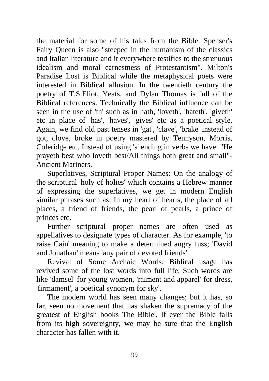the material for some of his tales from the Bible. Spenser's Fairy Queen is also "steeped in the humanism of the classics and Italian literature and it everywhere testifies to the strenuous idealism and moral earnestness of Protestantism". Milton's Paradise Lost is Biblical while the metaphysical poets were interested in Biblical allusion. In the twentieth century the poetry of T.S.Eliot, Yeats, and Dylan Thomas is full of the Biblical references. Technically the Biblical influence can be seen in the use of 'th' such as in hath, 'loveth', 'hateth', 'giveth' etc in place of 'has', 'haves', 'gives' etc as a poetical style. Again, we find old past tenses in 'gat', 'clave', 'brake' instead of got, clove, broke in poetry mastered by Tennyson, Morris, Coleridge etc. Instead of using 's' ending in verbs we have: "He prayeth best who loveth best/All things both great and small"- Ancient Mariners.

Superlatives, Scriptural Proper Names: On the analogy of the scriptural 'holy of holies' which contains a Hebrew manner of expressing the superlatives, we get in modern English similar phrases such as: In my heart of hearts, the place of all places, a friend of friends, the pearl of pearls, a prince of princes etc.

Further scriptural proper names are often used as appellatives to designate types of character. As for example, 'to raise Cain' meaning to make a determined angry fuss; 'David and Jonathan' means 'any pair of devoted friends'.

Revival of Some Archaic Words: Biblical usage has revived some of the lost words into full life. Such words are like 'damsel' for young women, 'raiment and apparel' for dress, 'firmament', a poetical synonym for sky'.

The modern world has seen many changes; but it has, so far, seen no movement that has shaken the supremacy of the greatest of English books The Bible'. If ever the Bible falls from its high sovereignty, we may be sure that the English character has fallen with it.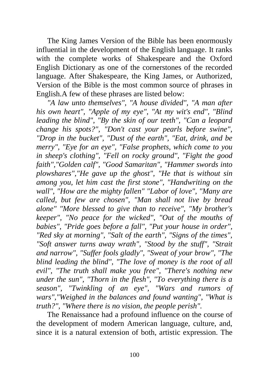The King James Version of the Bible has been enormously influential in the development of the English language. It ranks with the complete works of Shakespeare and the Oxford English Dictionary as one of the cornerstones of the recorded language. After Shakespeare, the King James, or Authorized, Version of the Bible is the most common source of phrases in English.A few of these phrases are listed below:

*"A law unto themselves", "A house divided", "A man after his own heart", "Apple of my eye", "At my wit's end", "Blind leading the blind", "By the skin of our teeth", "Can a leopard change his spots?", "Don't cast your pearls before swine", "Drop in the bucket", "Dust of the earth", "Eat, drink, and be merry", "Eye for an eye", "False prophets, which come to you in sheep's clothing", "Fell on rocky ground", "Fight the good faith","Golden calf", "Good Samaritan", "Hammer swords into plowshares","He gave up the ghost", "He that is without sin among you, let him cast the first stone", "Handwriting on the wall", "How are the mighty fallen" "Labor of love", "Many are called, but few are chosen", "Man shall not live by bread alone" "More blessed to give than to receive", "My brother's keeper", "No peace for the wicked", "Out of the mouths of babies", "Pride goes before a fall", "Put your house in order", "Red sky at morning", "Salt of the earth", "Signs of the times", "Soft answer turns away wrath", "Stood by the stuff", "Strait and narrow", "Suffer fools gladly", "Sweat of your brow", "The blind leading the blind", "The love of money is the root of all evil", "The truth shall make you free", "There's nothing new under the sun", "Thorn in the flesh", "To everything there is a season", "Twinkling of an eye", "Wars and rumors of wars","Weighed in the balances and found wanting", "What is truth?", "Where there is no vision, the people perish".*

The Renaissance had a profound influence on the course of the development of modern American language, culture, and, since it is a natural extension of both, artistic expression. The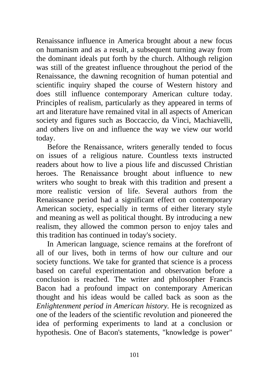Renaissance influence in America brought about a new focus on humanism and as a result, a subsequent turning away from the dominant ideals put forth by the church. Although religion was still of the greatest influence throughout the period of the Renaissance, the dawning recognition of human potential and scientific inquiry shaped the course of Western history and does still influence contemporary American culture today. Principles of realism, particularly as they appeared in terms of art and literature have remained vital in all aspects of American society and figures such as Boccaccio, da Vinci, Machiavelli, and others live on and influence the way we view our world today.

Before the Renaissance, writers generally tended to focus on issues of a religious nature. Countless texts instructed readers about how to live a pious life and discussed Christian heroes. The Renaissance brought about influence to new writers who sought to break with this tradition and present a more realistic version of life. Several authors from the Renaissance period had a significant effect on contemporary American society, especially in terms of either literary style and meaning as well as political thought. By introducing a new realism, they allowed the common person to enjoy tales and this tradition has continued in today's society.

In American language, science remains at the forefront of all of our lives, both in terms of how our culture and our society functions. We take for granted that science is a process based on careful experimentation and observation before a conclusion is reached. The writer and philosopher Francis Bacon had a profound impact on contemporary American thought and his ideas would be called back as soon as the *Enlightenment period in American history.* He is recognized as one of the leaders of the scientific revolution and pioneered the idea of performing experiments to land at a conclusion or hypothesis. One of Bacon's statements, "knowledge is power"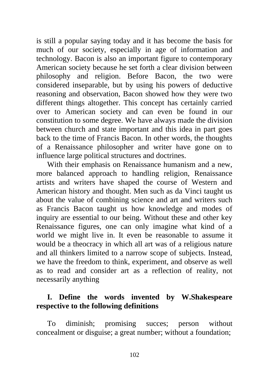is still a popular saying today and it has become the basis for much of our society, especially in age of information and technology. Bacon is also an important figure to contemporary American society because he set forth a clear division between philosophy and religion. Before Bacon, the two were considered inseparable, but by using his powers of deductive reasoning and observation, Bacon showed how they were two different things altogether. This concept has certainly carried over to American society and can even be found in our constitution to some degree. We have always made the division between church and state important and this idea in part goes back to the time of Francis Bacon. In other words, the thoughts of a Renaissance philosopher and writer have gone on to influence large political structures and doctrines.

With their emphasis on Renaissance humanism and a new, more balanced approach to handling religion, Renaissance artists and writers have shaped the course of Western and American history and thought. Men such as da Vinci taught us about the value of combining science and art and writers such as Francis Bacon taught us how knowledge and modes of inquiry are essential to our being. Without these and other key Renaissance figures, one can only imagine what kind of a world we might live in. It even be reasonable to assume it would be a theocracy in which all art was of a religious nature and all thinkers limited to a narrow scope of subjects. Instead, we have the freedom to think, experiment, and observe as well as to read and consider art as a reflection of reality, not necessarily anything

## **I. Define the words invented by W.Shakespeare respective to the following definitions**

To diminish; promising succes; person without concealment or disguise; a great number; without a foundation;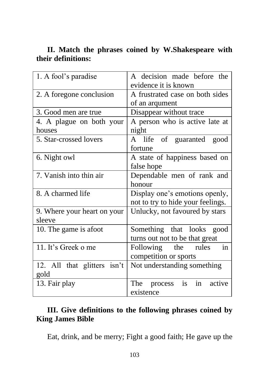| 1. A fool's paradise        | A decision made before the           |
|-----------------------------|--------------------------------------|
|                             | evidence it is known                 |
| 2. A foregone conclusion    | A frustrated case on both sides      |
|                             | of an arqument                       |
| 3. Good men are true        | Disappear without trace              |
| 4. A plague on both your    | A person who is active late at       |
| houses                      | night                                |
| 5. Star-crossed lovers      | A life of guaranted good             |
|                             | fortune                              |
| 6. Night owl                | A state of happiness based on        |
|                             | false hope                           |
| 7. Vanish into thin air     | Dependable men of rank and           |
|                             | honour                               |
| 8. A charmed life           | Display one's emotions openly,       |
|                             | not to try to hide your feelings.    |
| 9. Where your heart on your | Unlucky, not favoured by stars       |
| sleeve                      |                                      |
| 10. The game is afoot       | Something that looks good            |
|                             | turns out not to be that great       |
| 11. It's Greek o me         | Following the rules<br><sub>in</sub> |
|                             | competition or sports                |
| 12. All that glitters isn't | Not understanding something          |
| gold                        |                                      |
| 13. Fair play               | in<br>is<br>active<br>The process    |
|                             | existence                            |

#### **II. Match the phrases coined by W.Shakespeare with their definitions:**

### **III. Give definitions to the following phrases coined by King James Bible**

Eat, drink, and be merry; Fight a good faith; He gave up the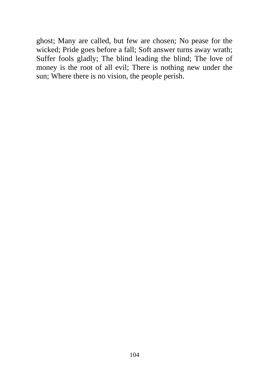ghost; Many are called, but few are chosen; No pease for the wicked; Pride goes before a fall; Soft answer turns away wrath; Suffer fools gladly; The blind leading the blind; The love of money is the root of all evil; There is nothing new under the sun; Where there is no vision, the people perish.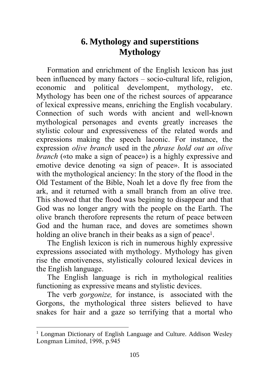# **6. Mythology and superstitions Mythology**

Formation and enrichment of the English lexicon has just  $b$ een influenced by many factors – socio-cultural life, religion, economic and political develompent, mythology, etc. Mythology has been one of the richest sources of appearance оf lexical expressive means, enriching the English vocabulary. Connection of such words with ancient and well-known mythological personages and events greatly increases the stylistic colour and expressiveness of the related words and expressions making the speech laconic. For instance, the **expression** *olive branch* used in the *phrase hold out an olive branch* («to make a sign of peace») is a highly expressive and emotive device denoting «a sign of peace». It is associated with the mythological anciency: In the story of the flood in the Old Testament of the Bible, Noah let a dove fly free from the ark, and it returned with a small branch from an olive tree. This showed that the flood was begining to disappear and that God was no longer angry with the people on the Earth. The olive branch therofore represents the return of peace between God and the human race, and doves are sometimes shown holding an olive branch in their beaks as a sign of peace<sup>1</sup>.

The English lexicon is rich in numerous highly expressive expressions associated with mythology. Mythology has given rise the emotiveness, stylistically coloured lexical devices in the English language.

The English language is rich in mythological realities functioning as expressive means and stylistic devices.

The verb *gorgonize*, for instance, is associated with the Gorgons, the mythological three sisters believed to have snakes for hair and a gaze so terrifying that a mortal who

<sup>&</sup>lt;sup>1</sup> Longman Dictionary of English Language and Culture. Addison Wesley Longman Limited, 1998, p.945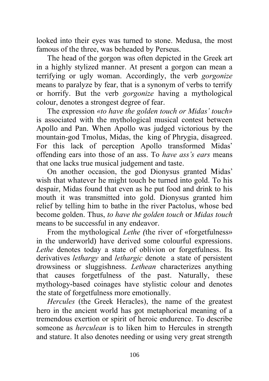$a^2$  looked into their eyes was turned to stone. Medusa, the most famous of the three, was beheaded by Perseus.

The head of the gorgon was often depicted in the Greek art in a highly stylized manner. At present a gorgon can mean a terrifying or ugly woman. Accordingly, the verb *gorgonize* means to paralyze by fear, that is a synonym of verbs to terrify or horrify. But the verb *gorgonize* having a mythological colour, denotes a strongest degree of fear.

The expression «to have the golden touch or Midas' touch» is associated with the mythological musical contest between Apollo and Pan. When Apollo was judged victorious by the mountain-god Tmolus, Midas, the king of Phrygia, disagreed. For this lack of perception Apollo transformed Midas' offending ears into those of an ass. To *have ass's ears* means that one lacks true musical judgement and taste.

On another occasion, the god Dionysus granted Midas' wish that whatever he might touch be turned into gold. To his despair, Midas found that even as he put food and drink to his mouth it was transmitted into gold. Dionysus granted him relief by telling him to bathe in the river Pactolus, whose bed беъоме эолден. Тщус, *то щаве тще эолден тоуъщ* ор *Мидас тоуъщ* means to be successful in any endeavor.

From the mythological *Lethe* (the river of «forgetfulness» in the underworld) have derived some colourful expressions. *Lethe* denotes today a state of oblivion or forgetfulness. Its derivatives *lethargy* and *lethargic* denote a state of persistent drowsiness or sluggishness. *Lethean* characterizes anything that causes forgetfulness of the past. Naturally, these mythology-based coinages have stylistic colour and denotes the state of forgetfulness more emotionally.

*Hercules* (the Greek Heracles), the name of the greatest hero in the ancient world has got metaphorical meaning of a tremendous exertion or spirit of heroic endurence. To describe someone as *herculean* is to liken him to Hercules in strength and stature. It also denotes needing or using very great strength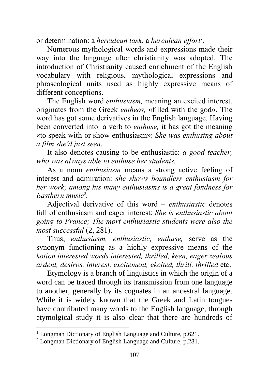or determination: a *herculean task*, a *herculean effort<sup>1</sup>*.

Numerous mythological words and expressions made their way into the language after christianity was adopted. The introduction of Christianity caused enrichment of the English vocabulary with religious, mythological expressions and phraseological units used as highly expressive means of different conceptions.

The English word *enthusiasm*, meaning an excited interest, originates from the Greek *entheos*, «filled with the god». The word has got some derivatives in the English language. Having been converted into a verb to *enthuse*, it has got the meaning «to speak with or show enthusiasm»: *She was enthusing about а филм сще'д жуст сеен*.

It also denotes causing to be enthusiastic: *a good teacher*, *who was always able to enthuse her students.* 

As a noun *enthusiasm* means a strong active feeling of interest and admiration: *she shows boundless enthusiasm for her work; among his many enthusiasms is a great fondness for*  $E$ *asthern music*<sup>2</sup>.

Adjectival derivative of this word – *enthusiastic* denotes full of enthusiasm and eager interest: *She is enthusiastic about going to France; The mort enthusiastic students were also the most successful* (2, 281).

Thus, *enthusiasm, enthusiastic, enthuse*, serve as the synonym functioning as a hichly expressive means of the *котион интерестед wордс интерестед, тщриллед, кеен, еаэер зеалоус ардент, десирос, интерест, ехъитемент, екъитед, тщрилл, тщриллед* етъ.

Etymology is a branch of linguistics in which the origin of a word can be traced through its transmission from one language to another, generally by its cognates in an ancestral language. While it is widely known that the Greek and Latin tongues have contributed many words to the English language, through etymolgical study it is also clear that there are hundreds of

<sup>1</sup> Longman Dictionary of English Language and Culture, p.621.

<sup>2</sup> Longman Dictionary of English Language and Culture, p.281.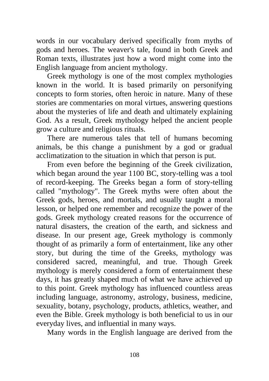words in our vocabulary derived specifically from myths of gods and heroes. The weaver's tale, found in both Greek and Roman texts, illustrates just how a word might come into the English language from ancient mythology.

Greek mythology is one of the most complex mythologies known in the world. It is based primarily on personifying concepts to form stories, often heroic in nature. Many of these stories are commentaries on moral virtues, answering questions about the mysteries of life and death and ultimately explaining God. As a result, Greek mythology helped the ancient people grow a culture and religious rituals.

There are numerous tales that tell of humans becoming animals, be this change a punishment by a god or gradual acclimatization to the situation in which that person is put.

From even before the beginning of the Greek civilization, which began around the year 1100 BC, story-telling was a tool of record-keeping. The Greeks began a form of story-telling called "mythology". The Greek myths were often about the Greek gods, heroes, and mortals, and usually taught a moral lesson, or helped one remember and recognize the power of the gods. Greek mythology created reasons for the occurrence of natural disasters, the creation of the earth, and sickness and disease. In our present age, Greek mythology is commonly thought of as primarily a form of entertainment, like any other story, but during the time of the Greeks, mythology was considered sacred, meaningful, and true. Though Greek mythology is merely considered a form of entertainment these days, it has greatly shaped much of what we have achieved up to this point. Greek mythology has influenced countless areas including language, astronomy, astrology, business, medicine, sexuality, botany, psychology, products, athletics, weather, and even the Bible. Greek mythology is both beneficial to us in our everyday lives, and influential in many ways.

Many words in the English language are derived from the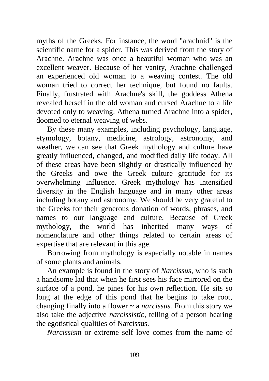myths of the Greeks. For instance, the word "arachnid" is the scientific name for a spider. This was derived from the story of Arachne. Arachne was once a beautiful woman who was an excellent weaver. Because of her vanity, Arachne challenged an experienced old woman to a weaving contest. The old woman tried to correct her technique, but found no faults. Finally, frustrated with Arachne's skill, the goddess Athena revealed herself in the old woman and cursed Arachne to a life devoted only to weaving. Athena turned Arachne into a spider, doomed to eternal weaving of webs.

By these many examples, including psychology, language, etymology, botany, medicine, astrology, astronomy, and weather, we can see that Greek mythology and culture have greatly influenced, changed, and modified daily life today. All of these areas have been slightly or drastically influenced by the Greeks and owe the Greek culture gratitude for its overwhelming influence. Greek mythology has intensified diversity in the English language and in many other areas including botany and astronomy. We should be very grateful to the Greeks for their generous donation of words, phrases, and names to our language and culture. Because of Greek mythology, the world has inherited many ways of nomenclature and other things related to certain areas of expertise that are relevant in this age.

Borrowing from mythology is especially notable in names of some plants and animals.

An example is found in the story of *Narcissus,* who is such a handsome lad that when he first sees his face mirrored on the surface of a pond, he pines for his own reflection. He sits so long at the edge of this pond that he begins to take root, changing finally into a flower ~ a *narcissus.* From this story we also take the adjective *narcissistic,* telling of a person bearing the egotistical qualities of Narcissus.

*Narcissism* or extreme self love comes from the name of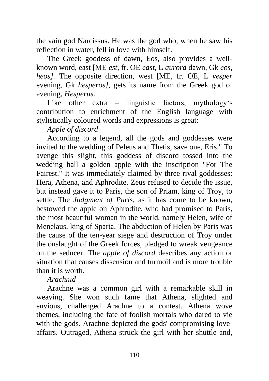the vain god Narcissus. He was the god who, when he saw his reflection in water, fell in love with himself.

The Greek goddess of dawn, Eos, also provides a wellknown word, east [ME *est,* fr. OE *east,* L *aurora* dawn, Gk *eos, heos].* The opposite direction, west [ME, fr. OE, L *vesper*  evening, Gk *hesperos],* gets its name from the Greek god of evening, *Hesperus.*

Like other extra – linguistic factors, mythology's contribution to enrichment of the English language with stylistically coloured words and expressions is great:

*Apple of discord*

According to a legend, all the gods and goddesses were invited to the wedding of Peleus and Thetis, save one, Eris." To avenge this slight, this goddess of discord tossed into the wedding hall a golden apple with the inscription "For The Fairest." It was immediately claimed by three rival goddesses: Hera, Athena, and Aphrodite. Zeus refused to decide the issue, but instead gave it to Paris, the son of Priam, king of Troy, to settle. The *Judgment of Paris,* as it has come to be known, bestowed the apple on Aphrodite, who had promised to Paris, the most beautiful woman in the world, namely Helen, wife of Menelaus, king of Sparta. The abduction of Helen by Paris was the cause of the ten-year siege and destruction of Troy under the onslaught of the Greek forces, pledged to wreak vengeance on the seducer. The *apple of discord* describes any action or situation that causes dissension and turmoil and is more trouble than it is worth.

*Arachnid*

Arachne was a common girl with a remarkable skill in weaving. She won such fame that Athena, slighted and envious, challenged Arachne to a contest. Athena wove themes, including the fate of foolish mortals who dared to vie with the gods. Arachne depicted the gods' compromising loveaffairs. Outraged, Athena struck the girl with her shuttle and,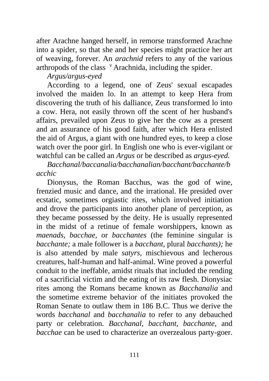after Arachne hanged herself, in remorse transformed Arachne into a spider, so that she and her species might practice her art of weaving, forever. An *arachnid* refers to any of the various arthropods of the class  $v$  Arachnida, including the spider.

## *Argus/argus-eyed*

According to a legend, one of Zeus' sexual escapades involved the maiden lo. In an attempt to keep Hera from discovering the truth of his dalliance, Zeus transformed lo into a cow. Hera, not easily thrown off the scent of her husband's affairs, prevailed upon Zeus to give her the cow as a present and an assurance of his good faith, after which Hera enlisted the aid of Argus, a giant with one hundred eyes, to keep a close watch over the poor girl. In English one who is ever-vigilant or watchful can be called an *Argus* or be described as *argus-eyed.*

*Bacchanal/baccanalia/bacchanalian/bacchant/bacchante/b acchic*

Dionysus, the Roman Bacchus, was the god of wine, frenzied music and dance, and the irrational. He presided over ecstatic, sometimes orgiastic rites, which involved initiation and drove the participants into another plane of perception, as they became possessed by the deity. He is usually represented in the midst of a retinue of female worshippers, known as *maenads, bacchae,* or *bacchantes* (the feminine singular is *bacchante;* a male follower is a *bacchant,* plural *bacchants);* he is also attended by male *satyrs,* mischievous and lecherous creatures, half-human and half-animal. Wine proved a powerful conduit to the ineffable, amidst rituals that included the rending of a sacrificial victim and the eating of its raw flesh. Dionysiac rites among the Romans became known as *Bacchanalia* and the sometime extreme behavior of the initiates provoked the Roman Senate to outlaw them in 186 B.C. Thus we derive the words *bacchanal* and *bacchanalia* to refer to any debauched party or celebration. *Bacchanal, bacchant, bacchante,* and *bacchae* can be used to characterize an overzealous party-goer.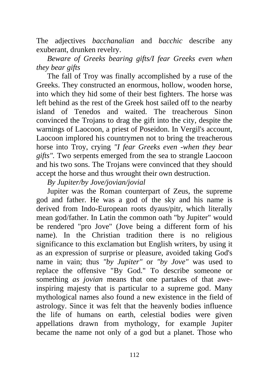The adjectives *bacchanalian* and *bacchic* describe any exuberant, drunken revelry.

*Beware of Greeks bearing gifts/I fear Greeks even when they bear gifts*

The fall of Troy was finally accomplished by a ruse of the Greeks. They constructed an enormous, hollow, wooden horse, into which they hid some of their best fighters. The horse was left behind as the rest of the Greek host sailed off to the nearby island of Tenedos and waited. The treacherous Sinon convinced the Trojans to drag the gift into the city, despite the warnings of Laocoon, a priest of Poseidon. In Vergil's account, Laocoon implored his countrymen not to bring the treacherous horse into Troy, crying *"I fear Greeks even -when they bear gifts".* Two serpents emerged from the sea to strangle Laocoon and his two sons. The Trojans were convinced that they should accept the horse and thus wrought their own destruction.

*By Jupiter/by Jove/jovian/jovial*

Jupiter was the Roman counterpart of Zeus, the supreme god and father. He was a god of the sky and his name is derived from Indo-European roots dyaus/pitr, which literally mean god/father. In Latin the common oath "by Jupiter" would be rendered "pro Jove" (Jove being a different form of his name). In the Christian tradition there is no religious significance to this exclamation but English writers, by using it as an expression of surprise or pleasure, avoided taking God's name in vain; thus *"by Jupiter"* or *"by Jove"* was used to replace the offensive "By God." To describe someone or something *as jovian* means that one partakes of that aweinspiring majesty that is particular to a supreme god. Many mythological names also found a new existence in the field of astrology. Since it was felt that the heavenly bodies influence the life of humans on earth, celestial bodies were given appellations drawn from mythology, for example Jupiter became the name not only of a god but a planet. Those who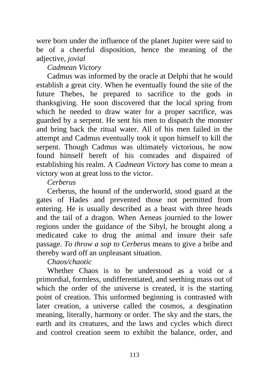were born under the influence of the planet Jupiter were said to be of a cheerful disposition, hence the meaning of the adjective, *jovial*

## *Cadmean Victory*

Cadmus was informed by the oracle at Delphi that he would establish a great city. When he eventually found the site of the future Thebes, he prepared to sacrifice to the gods in thanksgiving. He soon discovered that the local spring from which he needed to draw water for a proper sacrifice, was guarded by a serpent. He sent his men to dispatch the monster and bring back the ritual water. All of his men failed in the attempt and Cadmus eventually took it upon himself to kill the serpent. Though Cadmus was ultimately victorious, he now found himself bereft of his comrades and dispaired of establishing his realm. A *Cadmean Victory* has come to mean a victory won at great loss to the victor.

#### *Cerberus*

Cerberus, the hound of the underworld, stood guard at the gates of Hades and prevented those not permitted from entering. He is usually described as a beast with three heads and the tail of a dragon. When Aeneas journied to the lower regions under the guidance of the Sibyl, he brought along a medicated cake to drug the animal and insure their safe passage. *To throw a sop to Cerberus* means to give a bribe and thereby ward off an unpleasant situation.

## *Chaos/chaotic*

Whether Chaos is to be understood as a void or a primordial, formless, undifferentiated, and seething mass out of which the order of the universe is created, it is the starting point of creation. This unformed beginning is contrasted with later creation, a universe called the cosmos, a desgination meaning, literally, harmony or order. The sky and the stars, the earth and its creatures, and the laws and cycles which direct and control creation seem to exhibit the balance, order, and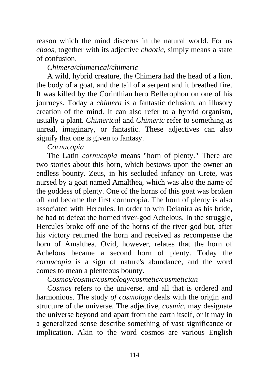reason which the mind discerns in the natural world. For us *chaos,* together with its adjective *chaotic,* simply means a state of confusion.

#### *Chimera/chimerical/chimeric*

A wild, hybrid creature, the Chimera had the head of a lion, the body of a goat, and the tail of a serpent and it breathed fire. It was killed by the Corinthian hero Bellerophon on one of his journeys. Today a *chimera* is a fantastic delusion, an illusory creation of the mind. It can also refer to a hybrid organism, usually a plant. *Chimerical* and *Chimeric* refer to something as unreal, imaginary, or fantastic. These adjectives can also signify that one is given to fantasy.

#### *Cornucopia*

The Latin *cornucopia* means "horn of plenty." There are two stories about this horn, which bestows upon the owner an endless bounty. Zeus, in his secluded infancy on Crete, was nursed by a goat named Amalthea, which was also the name of the goddess of plenty. One of the horns of this goat was broken off and became the first cornucopia. The horn of plenty is also associated with Hercules. In order to win Deianira as his bride, he had to defeat the horned river-god Achelous. In the struggle, Hercules broke off one of the horns of the river-god but, after his victory returned the horn and received as recompense the horn of Amalthea. Ovid, however, relates that the horn of Achelous became a second horn of plenty. Today the *cornucopia* is a sign of nature's abundance, and the word comes to mean a plenteous bounty.

#### *Cosmos/cosmic/cosmology/cosmetic/cosmetician*

*Cosmos* refers to the universe, and all that is ordered and harmonious. The study *of cosmology* deals with the origin and structure of the universe. The adjective, *cosmic,* may designate the universe beyond and apart from the earth itself, or it may in a generalized sense describe something of vast significance or implication. Akin to the word cosmos are various English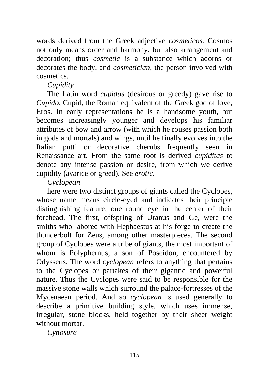words derived from the Greek adjective *cosmeticos.* Cosmos not only means order and harmony, but also arrangement and decoration; thus *cosmetic* is a substance which adorns or decorates the body, and *cosmetician,* the person involved with cosmetics.

#### *Cupidity*

The Latin word *cupidus* (desirous or greedy) gave rise to *Cupido,* Cupid, the Roman equivalent of the Greek god of love, Eros. In early representations he is a handsome youth, but becomes increasingly younger and develops his familiar attributes of bow and arrow (with which he rouses passion both in gods and mortals) and wings, until he finally evolves into the Italian putti or decorative cherubs frequently seen in Renaissance art. From the same root is derived *cupiditas* to denote any intense passion or desire, from which we derive cupidity (avarice or greed). See *erotic.*

#### *Cyclopean*

here were two distinct groups of giants called the Cyclopes, whose name means circle-eyed and indicates their principle distinguishing feature, one round eye in the center of their forehead. The first, offspring of Uranus and Ge, were the smiths who labored with Hephaestus at his forge to create the thunderbolt for Zeus, among other masterpieces. The second group of Cyclopes were a tribe of giants, the most important of whom is Polyphernus, a son of Poseidon, encountered by Odysseus. The word *cyclopean* refers to anything that pertains to the Cyclopes or partakes of their gigantic and powerful nature. Thus the Cyclopes were said to be responsible for the massive stone walls which surround the palace-fortresses of the Mycenaean period. And so *cyclopean* is used generally to describe a primitive building style, which uses immense, irregular, stone blocks, held together by their sheer weight without mortar.

*Cynosure*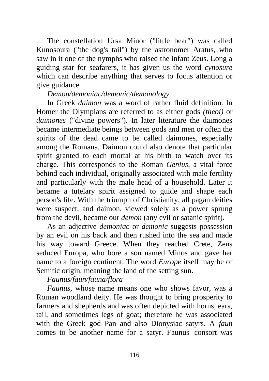The constellation Ursa Minor ("little bear") was called Kunosoura ("the dog's tail") by the astronomer Aratus, who saw in it one of the nymphs who raised the infant Zeus. Long a guiding star for seafarers, it has given us the word *cynosure*  which can describe anything that serves to focus attention or give guidance.

#### *Demon/demoniac/demonic/demonology*

In Greek *daimon* was a word of rather fluid definition. In Homer the Olympians are referred to as either gods *(theoi)* or *daimones* ("divine powers"). In later literature the daimones became intermediate beings between gods and men or often the spirits of the dead came to be called daimones, especially among the Romans. Daimon could also denote that particular spirit granted to each mortal at his birth to watch over its charge. This corresponds to the Roman *Genius,* a vital force behind each individual, originally associated with male fertility and particularly with the male head of a household. Later it became a tutelary spirit assigned to guide and shape each person's life. With the triumph of Christianity, all pagan deities were suspect, and daimon, viewed solely as a power sprung from the devil, became our *demon* (any evil or satanic spirit).

As an adjective *demoniac* or *demonic* suggests possession by an evil on his back and then rushed into the sea and made his way toward Greece. When they reached Crete, Zeus seduced Europa, who bore a son named Minos and gave her name to a foreign continent. The word *Europe* itself may be of Semitic origin, meaning the land of the setting sun.

#### *Faunus/faun/fauna/flora*

*Faunus,* whose name means one who shows favor, was a Roman woodland deity. He was thought to bring prosperity to farmers and shepherds and was often depicted with horns, ears, tail, and sometimes legs of goat; therefore he was associated with the Greek god Pan and also Dionysiac satyrs. A *faun*  comes to be another name for a satyr. Faunus' consort was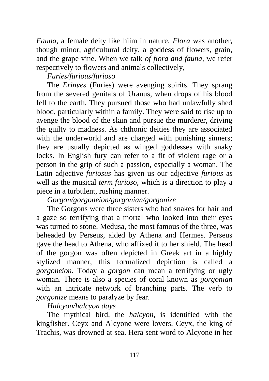*Fauna,* a female deity like hiim in nature. *Flora* was another, though minor, agricultural deity, a goddess of flowers, grain, and the grape vine. When we talk *of flora and fauna,* we refer respectively to flowers and animals collectively,

## *Furies/furious/furioso* ^

The *Erinyes* (Furies) were avenging spirits. They sprang from the severed genitals of Uranus, when drops of his blood fell to the earth. They pursued those who had unlawfully shed blood, particularly within a family. They were said to rise up to avenge the blood of the slain and pursue the murderer, driving the guilty to madness. As chthonic deities they are associated with the underworld and are charged with punishing sinners; they are usually depicted as winged goddesses with snaky locks. In English fury can refer to a fit of violent rage or a person in the grip of such a passion, especially a woman. The Latin adjective *furiosus* has given us our adjective *furious* as well as the musical *term furioso,* which is a direction to play a piece in a turbulent, rushing manner.

*Gorgon/gorgoneion/gorgonian/gorgonize*

The Gorgons were three sisters who had snakes for hair and a gaze so terrifying that a mortal who looked into their eyes was turned to stone. Medusa, the most famous of the three, was beheaded by Perseus, aided by Athena and Hermes. Perseus gave the head to Athena, who affixed it to her shield. The head of the gorgon was often depicted in Greek art in a highly stylized manner; this formalized depiction is called a *gorgoneion.* Today a *gorgon* can mean a terrifying or ugly woman. There is also a species of coral known as *gorgonian*  with an intricate network of branching parts. The verb to *gorgonize* means to paralyze by fear.

# *Halcyon/halcyon days*

The mythical bird, the *halcyon,* is identified with the kingfisher. Ceyx and Alcyone were lovers. Ceyx, the king of Trachis, was drowned at sea. Hera sent word to Alcyone in her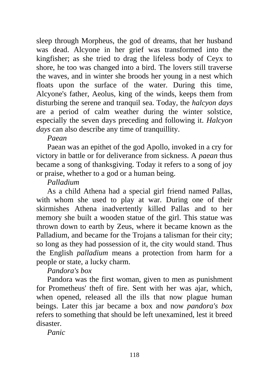sleep through Morpheus, the god of dreams, that her husband was dead. Alcyone in her grief was transformed into the kingfisher; as she tried to drag the lifeless body of Ceyx to shore, he too was changed into a bird. The lovers still traverse the waves, and in winter she broods her young in a nest which floats upon the surface of the water. During this time, Alcyone's father, Aeolus, king of the winds, keeps them from disturbing the serene and tranquil sea. Today, the *halcyon days*  are a period of calm weather during the winter solstice, especially the seven days preceding and following it. *Halcyon*  days can also describe any time of tranquillity.

#### *Paean*

Paean was an epithet of the god Apollo, invoked in a cry for victory in battle or for deliverance from sickness. A *paean* thus became a song of thanksgiving. Today it refers to a song of joy or praise, whether to a god or a human being.

## *Palladium*

As a child Athena had a special girl friend named Pallas, with whom she used to play at war. During one of their skirmishes Athena inadvertently killed Pallas and to her memory she built a wooden statue of the girl. This statue was thrown down to earth by Zeus, where it became known as the Palladium, and became for the Trojans a talisman for their city; so long as they had possession of it, the city would stand. Thus the English *palladium* means a protection from harm for a people or state, a lucky charm.

## *Pandora's box*

Pandora was the first woman, given to men as punishment for Prometheus' theft of fire. Sent with her was ajar, which, when opened, released all the ills that now plague human beings. Later this jar became a box and now *pandora's box*  refers to something that should be left unexamined, lest it breed disaster.

*Panic*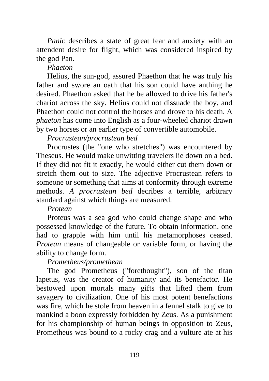*Panic* describes a state of great fear and anxiety with an attendent desire for flight, which was considered inspired by the god Pan.

#### *Phaeton*

Helius, the sun-god, assured Phaethon that he was truly his father and swore an oath that his son could have anthing he desired. Phaethon asked that he be allowed to drive his father's chariot across the sky. Helius could not dissuade the boy, and Phaethon could not control the horses and drove to his death. A *phaeton* has come into English as a four-wheeled chariot drawn by two horses or an earlier type of convertible automobile.

## *Procrustean/procrustean bed*

Procrustes (the "one who stretches") was encountered by Theseus. He would make unwitting travelers lie down on a bed. If they did not fit it exactly, he would either cut them down or stretch them out to size. The adjective Procrustean refers to someone or something that aims at conformity through extreme methods. *A procrustean bed* decribes a terrible, arbitrary standard against which things are measured.

#### *Protean*

Proteus was a sea god who could change shape and who possessed knowledge of the future. To obtain information. one had to grapple with him until his metamorphoses ceased. *Protean* means of changeable or variable form, or having the ability to change form.

#### *Prometheus/promethean*

The god Prometheus ("forethought"), son of the titan lapetus, was the creator of humanity and its benefactor. He bestowed upon mortals many gifts that lifted them from savagery to civilization. One of his most potent benefactions was fire, which he stole from heaven in a fennel stalk to give to mankind a boon expressly forbidden by Zeus. As a punishment for his championship of human beings in opposition to Zeus, Prometheus was bound to a rocky crag and a vulture ate at his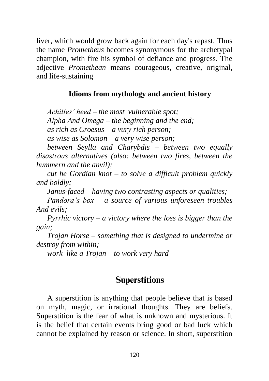liver, which would grow back again for each day's repast. Thus the name *Prometheus* becomes synonymous for the archetypal champion, with fire his symbol of defiance and progress. The adjective *Promethean* means courageous, creative, original, and life-sustaining

#### **Idioms from mythology and ancient history**

*Achilles' heed – the most vulnerable spot; Alpha And Omega – the beginning and the end; as rich as Croesus – a vury rich person; as wise as Solomon – a very wise person;*

*between Seylla and Charybdis – between two equally disastrous alternatives (also: between two fires, between the hummern and the anvil);*

*cut he Gordian knot – to solve a difficult problem quickly and boldly;*

*Janus-faced – having two contrasting aspects or qualities;*

*Pandora's box – a source of various unforeseen troubles And evils;*

*Pyrrhic victory – a victory where the loss is bigger than the gain;*

*Trojan Horse – something that is designed to undermine or destroy from within;*

*work like a Trojan – to work very hard*

# **Superstitions**

A superstition is anything that people believe that is based on myth, magic, or irrational thoughts. They are beliefs. Superstition is the fear of what is unknown and mysterious. It is the belief that certain events bring good or bad luck which cannot be explained by reason or science. In short, superstition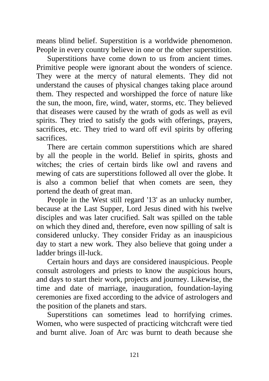means blind belief. Superstition is a worldwide phenomenon. People in every country believe in one or the other superstition.

Superstitions have come down to us from ancient times. Primitive people were ignorant about the wonders of science. They were at the mercy of natural elements. They did not understand the causes of physical changes taking place around them. They respected and worshipped the force of nature like the sun, the moon, fire, wind, water, storms, etc. They believed that diseases were caused by the wrath of gods as well as evil spirits. They tried to satisfy the gods with offerings, prayers, sacrifices, etc. They tried to ward off evil spirits by offering sacrifices.

There are certain common superstitions which are shared by all the people in the world. Belief in spirits, ghosts and witches; the cries of certain birds like owl and ravens and mewing of cats are superstitions followed all over the globe. It is also a common belief that when comets are seen, they portend the death of great man.

People in the West still regard '13' as an unlucky number, because at the Last Supper, Lord Jesus dined with his twelve disciples and was later crucified. Salt was spilled on the table on which they dined and, therefore, even now spilling of salt is considered unlucky. They consider Friday as an inauspicious day to start a new work. They also believe that going under a ladder brings ill-luck.

Certain hours and days are considered inauspicious. People consult astrologers and priests to know the auspicious hours, and days to start their work, projects and journey. Likewise, the time and date of marriage, inauguration, foundation-laying ceremonies are fixed according to the advice of astrologers and the position of the planets and stars.

Superstitions can sometimes lead to horrifying crimes. Women, who were suspected of practicing witchcraft were tied and burnt alive. Joan of Arc was burnt to death because she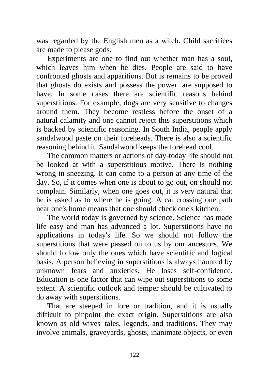was regarded by the English men as a witch. Child sacrifices are made to please gods.

Experiments are one to find out whether man has a soul, which leaves him when he dies. People are said to have confronted ghosts and apparitions. But is remains to be proved that ghosts do exists and possess the power. are supposed to have. In some cases there are scientific reasons behind superstitions. For example, dogs are very sensitive to changes around them. They become restless before the onset of a natural calamity and one cannot reject this superstitions which is backed by scientific reasoning. In South India, people apply sandalwood paste on their foreheads. There is also a scientific reasoning behind it. Sandalwood keeps the forehead cool.

The common matters or actions of day-today life should not be looked at with a superstitious motive. There is nothing wrong in sneezing. It can come to a person at any time of the day. So, if it comes when one is about to go out, on should not complain. Similarly, when one goes out, it is very natural that he is asked as to where he is going. A cat crossing one path near one's home means that one should check one's kitchen.

The world today is governed by science. Science has made life easy and man has advanced a lot. Superstitions have no applications in today's life. So we should not follow the superstitions that were passed on to us by our ancestors. We should follow only the ones which have scientific and logical basis. A person believing in superstitions is always haunted by unknown fears and anxieties. He loses self-confidence. Education is one factor that can wipe out superstitions to some extent. A scientific outlook and temper should be cultivated to do away with superstitions.

That are steeped in lore or tradition, and it is usually difficult to pinpoint the exact origin. Superstitions are also known as old wives' tales, legends, and traditions. They may involve animals, graveyards, ghosts, inanimate objects, or even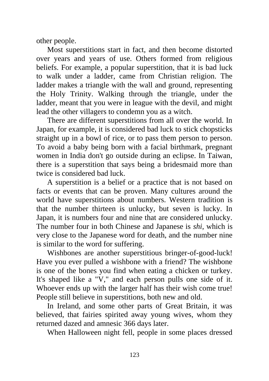other people.

Most superstitions start in fact, and then become distorted over years and years of use. Others formed from religious beliefs. For example, a popular superstition, that it is bad luck to walk under a ladder, came from Christian religion. The ladder makes a triangle with the wall and ground, representing the Holy Trinity. Walking through the triangle, under the ladder, meant that you were in league with the devil, and might lead the other villagers to condemn you as a witch.

There are different superstitions from all over the world. In Japan, for example, it is considered bad luck to stick chopsticks straight up in a bowl of rice, or to pass them person to person. To avoid a baby being born with a facial birthmark, pregnant women in India don't go outside during an eclipse. In Taiwan, there is a superstition that says being a bridesmaid more than twice is considered bad luck.

A superstition is a belief or a practice that is not based on facts or events that can be proven. Many cultures around the world have superstitions about numbers. Western tradition is that the number thirteen is unlucky, but seven is lucky. In Japan, it is numbers four and nine that are considered unlucky. The number four in both Chinese and Japanese is *shi,* which is very close to the Japanese word for death, and the number nine is similar to the word for suffering.

Wishbones are another superstitious bringer-of-good-luck! Have you ever pulled a wishbone with a friend? The wishbone is one of the bones you find when eating a chicken or turkey. It's shaped like a "V," and each person pulls one side of it. Whoever ends up with the larger half has their wish come true! People still believe in superstitions, both new and old.

In Ireland, and some other parts of Great Britain, it was believed, that fairies spirited away young wives, whom they returned dazed and amnesic 366 days later.

When Halloween night fell, people in some places dressed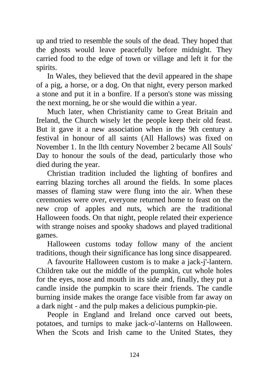up and tried to resemble the souls of the dead. They hoped that the ghosts would leave peacefully before midnight. They carried food to the edge of town or village and left it for the spirits.

In Wales, they believed that the devil appeared in the shape of a pig, a horse, or a dog. On that night, every person marked a stone and put it in a bonfire. If a person's stone was missing the next morning, he or she would die within a year.

Much later, when Christianity came to Great Britain and Ireland, the Church wisely let the people keep their old feast. But it gave it a new association when in the 9th century a festival in honour of all saints (All Hallows) was fixed on November 1. In the llth century November 2 became All Souls' Day to honour the souls of the dead, particularly those who died during the year.

Christian tradition included the lighting of bonfires and earring blazing torches all around the fields. In some places masses of flaming staw were flung into the air. When these ceremonies were over, everyone returned home to feast on the new crop of apples and nuts, which are the traditional Halloween foods. On that night, people related their experience with strange noises and spooky shadows and played traditional games.

Halloween customs today follow many of the ancient traditions, though their significance has long since disappeared.

A favourite Halloween custom is to make a jack-j'-lantern. Children take out the middle of the pumpkin, cut whole holes for the eyes, nose and mouth in its side and, finally, they put a candle inside the pumpkin to scare their friends. The candle burning inside makes the orange face visible from far away on a dark night - and the pulp makes a delicious pumpkin-pie.

People in England and Ireland once carved out beets, potatoes, and turnips to make jack-o'-lanterns on Halloween. When the Scots and Irish came to the United States, they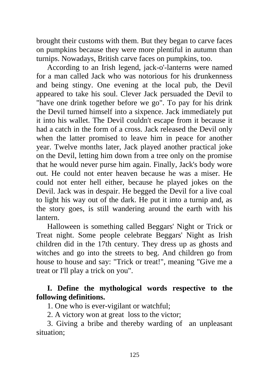brought their customs with them. But they began to carve faces on pumpkins because they were more plentiful in autumn than turnips. Nowadays, British carve faces on pumpkins, too.

According to an Irish legend, jack-o'-lanterns were named for a man called Jack who was notorious for his drunkenness and being stingy. One evening at the local pub, the Devil appeared to take his soul. Clever Jack persuaded the Devil to "have one drink together before we go". To pay for his drink the Devil turned himself into a sixpence. Jack immediately put it into his wallet. The Devil couldn't escape from it because it had a catch in the form of a cross. Jack released the Devil only when the latter promised to leave him in peace for another year. Twelve months later, Jack played another practical joke on the Devil, letting him down from a tree only on the promise that he would never purse him again. Finally, Jack's body wore out. He could not enter heaven because he was a miser. He could not enter hell either, because he played jokes on the Devil. Jack was in despair. He begged the Devil for a live coal to light his way out of the dark. He put it into a turnip and, as the story goes, is still wandering around the earth with his lantern.

Halloween is something called Beggars' Night or Trick or Treat night. Some people celebrate Beggars' Night as Irish children did in the 17th century. They dress up as ghosts and witches and go into the streets to beg. And children go from house to house and say: "Trick or treat!", meaning "Give me a treat or I'll play a trick on you".

#### **I. Define the mythological words respective to the following definitions.**

1. One who is ever-vigilant or watchful;

2. A victory won at great loss to the victor;

3. Giving a bribe and thereby warding of an unpleasant situation;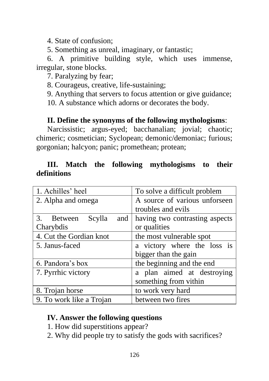4. State of confusion;

5. Something as unreal, imaginary, or fantastic;

6. A primitive building style, which uses immense, irregular, stone blocks.

7. Paralyzing by fear;

8. Courageus, creative, life-sustaining;

9. Anything that servers to focus attention or give guidance;

10. A substance which adorns or decorates the body.

# **II. Define the synonyms of the following mythologisms**:

Narcissistic; argus-eyed; bacchanalian; jovial; chaotic; chimeric; cosmetician; Syclopean; demonic/demoniac; furious; gorgonian; halcyon; panic; promethean; protean;

## **III. Match the following mythologisms to their definitions**

| 1. Achilles' heel              | To solve a difficult problem   |
|--------------------------------|--------------------------------|
| 2. Alpha and omega             | A source of various unforseen  |
|                                | troubles and evils             |
| 3.<br>Scylla<br>and<br>Between | having two contrasting aspects |
| Charybdis                      | or qualities                   |
| 4. Cut the Gordian knot        | the most vulnerable spot       |
| 5. Janus-faced                 | a victory where the loss is    |
|                                | bigger than the gain           |
| 6. Pandora's box               | the beginning and the end      |
| 7. Pyrrhic victory             | a plan aimed at destroying     |
|                                | something from vithin          |
| 8. Trojan horse                | to work very hard              |
| 9. To work like a Trojan       | between two fires              |

# **IV. Answer the following questions**

- 1. How did superstitions appear?
- 2. Why did people try to satisfy the gods with sacrifices?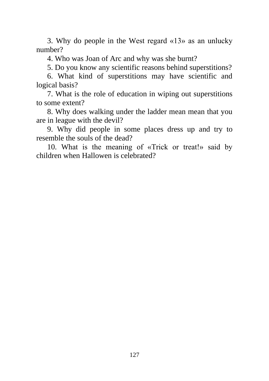3. Why do people in the West regard «13» as an unlucky number?

4. Who was Joan of Arc and why was she burnt?

5. Do you know any scientific reasons behind superstitions?

6. What kind of superstitions may have scientific and logical basis?

7. What is the role of education in wiping out superstitions to some extent?

8. Why does walking under the ladder mean mean that you are in league with the devil?

9. Why did people in some places dress up and try to resemble the souls of the dead?

10. What is the meaning of «Trick or treat!» said by children when Hallowen is celebrated?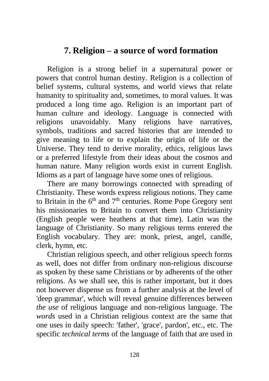# **7. Religion – a source of word formation**

Religion is a strong belief in a supernatural power or powers that control human destiny. Religion is a collection of belief systems, cultural systems, and world views that relate humanity to spirituality and, sometimes, to moral values. It was produced a long time ago. Religion is an important part of human culture and ideology. Language is connected with religions unavoidably. Many religions have narratives, symbols, traditions and sacred histories that are intended to give meaning to life or to explain the origin of life or the Universe. They tend to derive morality, ethics, religious laws or a preferred lifestyle from their ideas about the cosmos and human nature. Many religion words exist in current English. Idioms as a part of language have some ones of religious.

There are many borrowings connected with spreading of Christianity. These words express religious notions. They came to Britain in the  $6<sup>th</sup>$  and  $7<sup>th</sup>$  centuries. Rome Pope Gregory sent his missionaries to Britain to convert them into Christianity (English people were heathens at that time). Latin was the language of Christianity. So many religious terms entered the English vocabulary. They are: monk, priest, angel, candle, clerk, hymn, etc.

Christian religious speech, and other religious speech forms as well, does not differ from ordinary non-religious discourse as spoken by these same Christians or by adherents of the other religions. As we shall see, this is rather important, but it does not however dispense us from a further analysis at the level of 'deep grammar', which will reveal genuine differences between *the use* of religious language and non-religious language. The *words* used in a Christian religious context are the same that one uses in daily speech: 'father', 'grace', pardon', etc., etc. The specific *technical terms* of the language of faith that are used in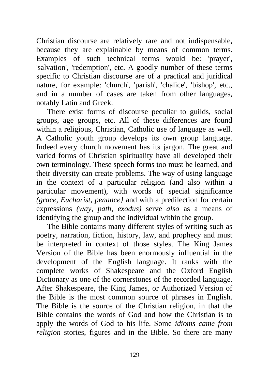Christian discourse are relatively rare and not indispensable, because they are explainable by means of common terms. Examples of such technical terms would be: 'prayer', 'salvation', 'redemption', etc. A goodly number of these terms specific to Christian discourse are of a practical and juridical nature, for example: 'church', 'parish', 'chalice', 'bishop', etc., and in a number of cases are taken from other languages, notably Latin and Greek.

There exist forms of discourse peculiar to guilds, social groups, age groups, etc. All of these differences are found within a religious, Christian, Catholic use of language as well. A Catholic youth group develops its own group language. Indeed every church movement has its jargon. The great and varied forms of Christian spirituality have all developed their own terminology. These speech forms too must be learned, and their diversity can create problems. The way of using language in the context of a particular religion (and also within a particular movement), with words of special significance *(grace, Eucharist, penance}* and with a predilection for certain expressions *(way, path, exodus)* serve *also* as a means of identifying the group and the individual within the group.

The Bible contains many different styles of writing such as poetry, narration, fiction, history, law, and prophecy and must be interpreted in context of those styles. The King James Version of the Bible has been enormously influential in the development of the English language. It ranks with the complete works of Shakespeare and the Oxford English Dictionary as one of the cornerstones of the recorded language. After Shakespeare, the King James, or Authorized Version of the Bible is the most common source of phrases in English. The Bible is the source of the Christian religion, in that the Bible contains the words of God and how the Christian is to apply the words of God to his life. Some *idioms came from religion* stories, figures and in the Bible. So there are many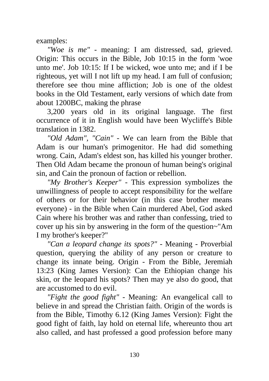examples:

*"Woe is me"* - meaning: I am distressed, sad, grieved. Origin: This occurs in the Bible, Job 10:15 in the form 'woe unto me'. Job 10:15: If I be wicked, woe unto me; and if I be righteous, yet will I not lift up my head. I am full of confusion; therefore see thou mine affliction; Job is one of the oldest books in the Old Testament, early versions of which date from about 1200BC, making the phrase

3,200 years old in its original language. The first occurrence of it in English would have been Wycliffe's Bible translation in 1382.

*"Old Adam", "Cain"* - We can learn from the Bible that Adam is our human's primogenitor. He had did something wrong. Cain, Adam's eldest son, has killed his younger brother. Then Old Adam became the pronoun of human being's original sin, and Cain the pronoun of faction or rebellion.

*"My Brother's Keeper"* - This expression symbolizes the unwillingness of people to accept responsibility for the welfare of others or for their behavior (in this case brother means everyone) - in the Bible when Cain murdered Abel, God asked Cain where his brother was and rather than confessing, tried to cover up his sin by answering in the form of the question~"Am I my brother's keeper?"

*"Can a leopard change its spots?"* - Meaning - Proverbial question, querying the ability of any person or creature to change its innate being. Origin - From the Bible, Jeremiah 13:23 (King James Version): Can the Ethiopian change his skin, or the leopard his spots? Then may ye also do good, that are accustomed to do evil.

*"Fight the good fight"* - Meaning: An evangelical call to believe in and spread the Christian faith. Origin of the words is from the Bible, Timothy 6.12 (King James Version): Fight the good fight of faith, lay hold on eternal life, whereunto thou art also called, and hast professed a good profession before many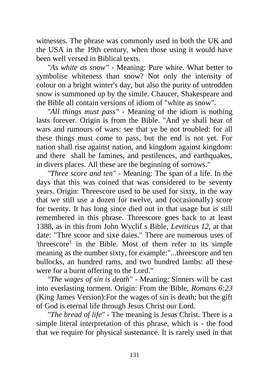witnesses. The phrase was commonly used in both the UK and the USA in the 19th century, when those using it would have been well versed in Biblical texts.

*"As white as snow"* - Meaning: Pure white. What better to symbolise whiteness than snow? Not only the intensity of colour on a bright winter's day, but also the purity of untrodden snow is summoned up by the simile. Chaucer, Shakespeare and the Bible all contain versions of idiom of "white as snow".

*"All things must pass"* - Meaning of the idiom is nothing lasts forever. Origin is from the Bible. "And ye shall hear of wars and rumours of wars: see that ye be not troubled: for all these things must come to pass, but the end is not yet. For nation shall rise against nation, and kingdom against kingdom: and there shall be famines, and pestilences, and earthquakes, in divers places. All these are the beginning of sorrows."

*"Three score and ten"* - Meaning: The span of a life. In the days that this was coined that was considered to be seventy years. Origin: Threescore used to be used for sixty, in the way that we still use a dozen for twelve, and (occasionally) score for twenty. It has long since died out in that usage but is still remembered in this phrase. Threescore goes back to at least 1388, as in this from John Wyclif s Bible, *Leviticus 12,* at that date: "Thre scoor and sixe daies." There are numerous uses of 'threescore<sup>1</sup> in the Bible. Most of them refer to its simple meaning as the number sixty, for example:"...threescore and ten bullocks, an hundred rams, and two hundred lambs: all these were for a burnt offering to the Lord."

*"The wages of sin is death"* - Meaning: Sinners will be cast into everlasting torment. Origin: From the Bible, *Romans 6:23*  (King James Version):For the wages of sin is death; but the gift of God is eternal life through Jesus Christ our Lord.

*"The bread of life"* - The meaning is Jesus Christ. There is a simple literal interpretation of this phrase, which is - the food that we require for physical sustenance. It is rarely used in that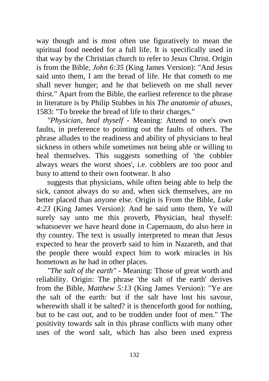way though and is most often use figuratively to mean the spiritual food needed for a full life. It is specifically used in that way by the Christian church to refer to Jesus Christ. Origin is from the Bible, *John 6:35* (King James Version): "And Jesus said unto them, I am the bread of life. He that cometh to me shall never hunger; and he that believeth on me shall never thirst." Apart from the Bible, the earliest reference to the phrase in literature is by Philip Stubbes in his *The anatomie of abuses,*  1583: "To breeke the bread of life to their charges."

*"Physician, heal thyself* - Meaning: Attend to one's own faults, in preference to pointing out the faults of others. The phrase alludes to the readiness and ability of physicians to heal sickness in others while sometimes not being able or willing to heal themselves. This suggests something of 'the cobbler always wears the worst shoes', i.e. cobblers are too poor and busy to attend to their own footwear. It also

suggests that physicians, while often being able to help the sick, cannot always do so and, when sick themselves, are no better placed than anyone else. Origin is From the Bible, *Luke 4:23* (King James Version): And he said unto them, Ye will surely say unto me this proverb, Physician, heal thyself: whatsoever we have heard done in Capernaum, do also here in thy country. The text is usually interpreted to mean that Jesus expected to hear the proverb said to him in Nazareth, and that the people there would expect him to work miracles in his hometown as he had in other places.

*"The salt of the earth"* - Meaning: Those of great worth and reliability. Origin: The phrase 'the salt of the earth' derives from the Bible, *Matthew 5:13* (King James Version): "Ye are the salt of the earth: but if the salt have lost his savour, wherewith shall it be salted? it is thenceforth good for nothing, but to be cast out, and to be trodden under foot of men." The positivity towards salt in this phrase conflicts with many other uses of the word salt, which has also been used express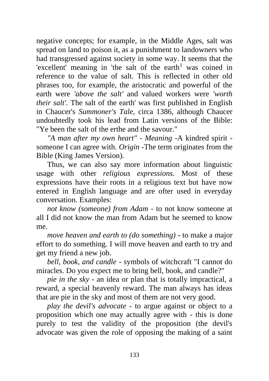negative concepts; for example, in the Middle Ages, salt was spread on land to poison it, as a punishment to landowners who had transgressed against society in some way. It seems that the 'excellent' meaning in 'the salt of the earth<sup>1</sup> was coined in reference to the value of salt. This is reflected in other old phrases too, for example, the aristocratic and powerful of the earth were *'above the salt'* and valued workers were *'worth their salt'.* The salt of the earth' was first published in English in Chaucer's *Summoner's Tale,* circa 1386, although Chaucer undoubtedly took his lead from Latin versions of the Bible: "Ye been the salt of the erthe and the savour."

*"A man after my own heart"* - *Meaning* -A kindred spirit someone I can agree with. *Origin* -The term originates from the Bible (King James Version).

Thus, we can also say more information about linguistic usage with other *religious expressions.* Most of these expressions have their roots in a religious text but have now entered in English language and are ofter used in everyday conversation. Examples:

*not know (someone) from Adam* - to not know someone at all I did not know the man from Adam but he seemed to know me.

*move heaven and earth to (do something)* **-** to make a major effort to do something. I will move heaven and earth to try and get my friend a new job.

*bell, book, and candle* - symbols of witchcraft "I cannot do miracles. Do you expect me to bring bell, book, and candle?"

*pie in the sky* - an idea or plan that is totally impractical, a reward, a special heavenly reward. The man always has ideas that are pie in the sky and most of them are not very good.

*play the devil's advocate* - to argue against or object to a proposition which one may actually agree with - this is done purely to test the validity of the proposition (the devil's advocate was given the role of opposing the making of a saint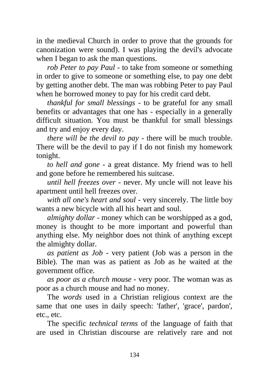in the medieval Church in order to prove that the grounds for canonization were sound). I was playing the devil's advocate when I began to ask the man questions.

*rob Peter to pay Paul* - to take from someone or something in order to give to someone or something else, to pay one debt by getting another debt. The man was robbing Peter to pay Paul when he borrowed money to pay for his credit card debt.

*thankful for small blessings* - to be grateful for any small benefits or advantages that one has - especially in a generally difficult situation. You must be thankful for small blessings and try and enjoy every day.

*there will be the devil to pay* - there will be much trouble. There will be the devil to pay if I do not finish my homework tonight.

*to hell and gone* - a great distance. My friend was to hell and gone before he remembered his suitcase.

*until hell freezes over* - never. My uncle will not leave his apartment until hell freezes over.

*with all one's heart and soul* - very sincerely. The little boy wants a new bicycle with all his heart and soul.

*almighty dollar* - money which can be worshipped as a god, money is thought to be more important and powerful than anything else. My neighbor does not think of anything except the almighty dollar.

*as patient as Job* - very patient (Job was a person in the Bible). The man was as patient as Job as he waited at the government office.

*as poor as a church mouse* - very poor. The woman was as poor as a church mouse and had no money.

The *words* used in a Christian religious context are the same that one uses in daily speech: 'father', 'grace', pardon', etc., etc.

The specific *technical terms* of the language of faith that are used in Christian discourse are relatively rare and not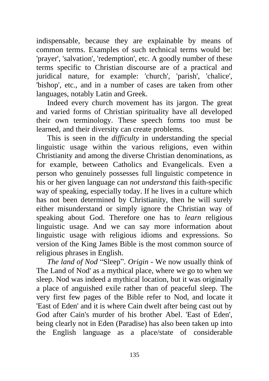indispensable, because they are explainable by means of common terms. Examples of such technical terms would be: 'prayer', 'salvation', 'redemption', etc. A goodly number of these terms specific to Christian discourse are of a practical and juridical nature, for example: 'church', 'parish', 'chalice', 'bishop', etc., and in a number of cases are taken from other languages, notably Latin and Greek.

Indeed every church movement has its jargon. The great and varied forms of Christian spirituality have all developed their own terminology. These speech forms too must be learned, and their diversity can create problems.

This is seen in the *difficulty* in understanding the special linguistic usage within the various religions, even within Christianity and among the diverse Christian denominations, as for example, between Catholics and Evangelicals. Even a person who genuinely possesses full linguistic competence in his or her given language can *not understand* this faith-specific way of speaking, especially today. If he lives in a culture which has not been determined by Christianity, then he will surely either misunderstand or simply ignore the Christian way of speaking about God. Therefore one has to *learn* religious linguistic usage. And we can say more information about linguistic usage with religious idioms and expressions. So version of the King James Bible is the most common source of religious phrases in English.

*The land of Nod* "Sleep". *Origin -* We now usually think of The Land of Nod' as a mythical place, where we go to when we sleep. Nod was indeed a mythical location, but it was originally a place of anguished exile rather than of peaceful sleep. The very first few pages of the Bible refer to Nod, and locate it 'East of Eden' and it is where Cain dwelt after being cast out by God after Cain's murder of his brother Abel. 'East of Eden', being clearly not in Eden (Paradise) has also been taken up into the English language as a place/state of considerable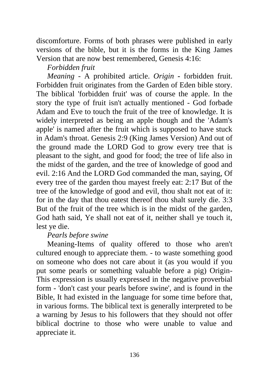discomforture. Forms of both phrases were published in early versions of the bible, but it is the forms in the King James Version that are now best remembered, Genesis 4:16:

#### *Forbidden fruit*

*Meaning* - A prohibited article. *Origin* **-** forbidden fruit. Forbidden fruit originates from the Garden of Eden bible story. The biblical 'forbidden fruit' was of course the apple. In the story the type of fruit isn't actually mentioned - God forbade Adam and Eve to touch the fruit of the tree of knowledge. It is widely interpreted as being an apple though and the 'Adam's apple' is named after the fruit which is supposed to have stuck in Adam's throat. Genesis 2:9 (King James Version) And out of the ground made the LORD God to grow every tree that is pleasant to the sight, and good for food; the tree of life also in the midst of the garden, and the tree of knowledge of good and evil. 2:16 And the LORD God commanded the man, saying, Of every tree of the garden thou mayest freely eat: 2:17 But of the tree of the knowledge of good and evil, thou shalt not eat of it: for in the day that thou eatest thereof thou shalt surely die. 3:3 But of the fruit of the tree which is in the midst of the garden, God hath said, Ye shall not eat of it, neither shall ye touch it, lest ye die.

#### *Pearls before swine*

Meaning-Items of quality offered to those who aren't cultured enough to appreciate them. - to waste something good on someone who does not care about it (as you would if you put some pearls or something valuable before a pig) Origin-This expression is usually expressed in the negative proverbial form - 'don't cast your pearls before swine', and is found in the Bible, It had existed in the language for some time before that, in various forms. The biblical text is generally interpreted to be a warning by Jesus to his followers that they should not offer biblical doctrine to those who were unable to value and appreciate it.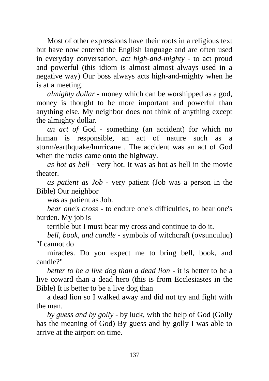Most of other expressions have their roots in a religious text but have now entered the English language and are often used in everyday conversation. *act high-and-mighty* - to act proud and powerful (this idiom is almost almost always used in a negative way) Our boss always acts high-and-mighty when he is at a meeting.

*almighty dollar* - money which can be worshipped as a god, money is thought to be more important and powerful than anything else. My neighbor does not think of anything except the almighty dollar.

*an act of* God - something (an accident) for which no human is responsible, an act of nature such as storm/earthquake/hurricane . The accident was an act of God when the rocks came onto the highway.

*as hot as hell* - very hot. It was as hot as hell in the movie theater.

*as patient as Job* - very patient (Job was a person in the Bible) Our neighbor

was as patient as Job.

*bear one's cross* - to endure one's difficulties, to bear one's burden. My job is

terrible but I must bear my cross and continue to do it.

*bell, book, and candle* - symbols of witchcraft (ovsunculuq) "I cannot do

miracles. Do you expect me to bring bell, book, and candle?"

*better to be a live dog than a dead lion* - it is better to be a live coward than a dead hero (this is from Ecclesiastes in the Bible) It is better to be a live dog than

a dead lion so I walked away and did not try and fight with the man.

*by guess and by golly* - by luck, with the help of God (Golly has the meaning of God) By guess and by golly I was able to arrive at the airport on time.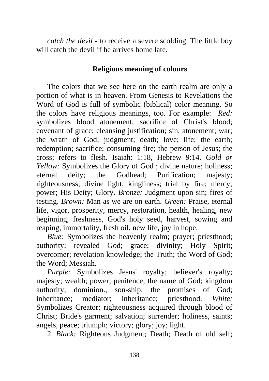*catch the devil* - to receive a severe scolding. The little boy will catch the devil if he arrives home late.

#### **Religious meaning of colours**

The colors that we see here on the earth realm are only a portion of what is in heaven. From Genesis to Revelations the Word of God is full of symbolic (biblical) color meaning. So the colors have religious meanings, too. For example: *Red:* symbolizes blood atonement; sacrifice of Christ's blood; covenant of grace; cleansing justification; sin, atonement; war; the wrath of God; judgment; death; love; life; the earth; redemption; sacrifice; consuming fire; the person of Jesus; the cross; refers to flesh. Isaiah: 1:18, Hebrew 9:14. *Gold or Yellow:* Symbolizes the Glory of God ; divine nature; holiness; eternal deity; the Godhead; Purification; majesty; righteousness; divine light; kingliness; trial by fire; mercy; power; His Deity; Glory. *Bronze:* Judgment upon sin; fires of testing. *Brown:* Man as we are on earth. *Green:* Praise, eternal life, vigor, prosperity, mercy, restoration, health, healing, new beginning, freshness, God's holy seed, harvest, sowing and reaping, immortality, fresh oil, new life, joy in hope.

*Blue:* Symbolizes the heavenly realm; prayer; priesthood; authority; revealed God; grace; divinity; Holy Spirit; overcomer; revelation knowledge; the Truth; the Word of God; the Word; Messiah.

*Purple:* Symbolizes Jesus' royalty; believer's royalty; majesty; wealth; power; penitence; the name of God; kingdom authority; dominion., son-ship; the promises of God; inheritance; mediator; inheritance; priesthood. *White:* Symbolizes Creator; righteousness acquired through blood of Christ; Bride's garment; salvation; surrender; holiness, saints; angels, peace; triumph; victory; glory; joy; light.

2. *Black:* Righteous Judgment; Death; Death of old self;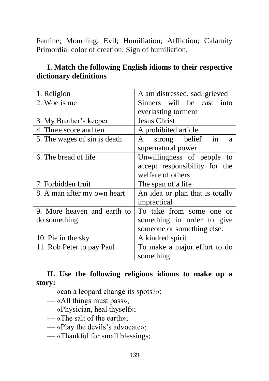Famine; Mourning; Evil; Humiliation; Affliction; Calamity Primordial color of creation; Sign of humiliation.

# **I. Match the following English idioms to their respective dictionary definitions**

| 1. Religion                  | A am distressed, sad, grieved         |
|------------------------------|---------------------------------------|
| 2. Woe is me                 | Sinners will be cast into             |
|                              | everlasting torment                   |
| 3. My Brother's keeper       | <b>Jesus Christ</b>                   |
| 4. Three score and ten       | A prohibited article                  |
| 5. The wages of sin is death | strong belief in<br>$\mathbf{A}$<br>a |
|                              | supernatural power                    |
| 6. The bread of life         | Unwillingness of people<br>to         |
|                              | accept responsibility for the         |
|                              | welfare of others                     |
| 7. Forbidden fruit           | The span of a life                    |
| 8. A man after my own heart  | An idea or plan that is totally       |
|                              | impractical                           |
| 9. More heaven and earth to  | To take from some one or              |
| do something                 | something in order to give            |
|                              | someone or something else.            |
| 10. Pie in the sky           | A kindred spirit                      |
| 11. Rob Peter to pay Paul    | To make a major effort to do          |
|                              | something                             |

**II. Use the following religious idioms to make up a story:**

- «can a leopard change its spots?»;
- «All things must pass»;
- «Physician, heal thyself»;
- «The salt of the earth»;
- «Play the devils's advocate»;
- «Thankful for small blessings;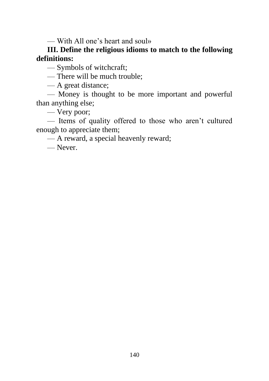— With All one's heart and soul»

#### **III. Define the religious idioms to match to the following definitions:**

— Symbols of witchcraft;

— There will be much trouble;

— A great distance;

— Money is thought to be more important and powerful than anything else;

— Very poor;

— Items of quality offered to those who aren't cultured enough to appreciate them;

— A reward, a special heavenly reward;

— Never.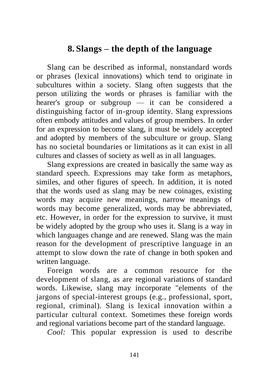# **8. Slangs – the depth of the language**

Slang can be described as informal, nonstandard words or phrases (lexical innovations) which tend to originate in subcultures within a society. Slang often suggests that the person utilizing the words or phrases is familiar with the hearer's group or subgroup — it can be considered a distinguishing factor of in-group identity. Slang expressions often embody attitudes and values of group members. In order for an expression to become slang, it must be widely accepted and adopted by members of the subculture or group. Slang has no societal boundaries or limitations as it can exist in all cultures and classes of society as well as in all languages.

Slang expressions are created in basically the same way as standard speech. Expressions may take form as metaphors, similes, and other figures of speech. In addition, it is noted that the words used as slang may be new coinages, existing words may acquire new meanings, narrow meanings of words may become generalized, words may be abbreviated, etc. However, in order for the expression to survive, it must be widely adopted by the group who uses it. Slang is a way in which languages change and are renewed. Slang was the main reason for the development of prescriptive language in an attempt to slow down the rate of change in both spoken and written language.

Foreign words are a common resource for the development of slang, as are regional variations of standard words. Likewise, slang may incorporate "elements of the jargons of special-interest groups (e.g., professional, sport, regional, criminal). Slang is lexical innovation within a particular cultural context. Sometimes these foreign words and regional variations become part of the standard language.

*Cool:* This popular expression is used to describe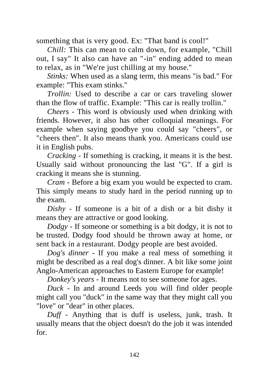something that is very good. Ex: "That band is cool!"

*Chill:* This can mean to calm down, for example, "Chill out, I say" It also can have an "-in" ending added to mean to relax, as in "We're just chilling at my house."

*Stinks:* When used as a slang term, this means "is bad." For example: "This exam stinks."

*Trollin:* Used to describe a car or cars traveling slower than the flow of traffic. Example: "This car is really trollin."

*Cheers* - This word is obviously used when drinking with friends. However, it also has other colloquial meanings. For example when saying goodbye you could say "cheers", or "cheers then". It also means thank you. Americans could use it in English pubs.

*Cracking* - If something is cracking, it means it is the best. Usually said without pronouncing the last "G". If a girl is cracking it means she is stunning.

*Cram* - Before a big exam you would be expected to cram. This simply means to study hard in the period running up to the exam.

*Dishy* - If someone is a bit of a dish or a bit dishy it means they are attractive or good looking.

*Dodgy* - If someone or something is a bit dodgy, it is not to be trusted. Dodgy food should be thrown away at home, or sent back in a restaurant. Dodgy people are best avoided.

*Dog's dinner* - If you make a real mess of something it might be described as a real dog's dinner. A bit like some joint Anglo-American approaches to Eastern Europe for example!

*Donkey's years* - It means not to see someone for ages.

*Duck* - In and around Leeds you will find older people might call you "duck" in the same way that they might call you "love" or "dear" in other places.

*Duff* - Anything that is duff is useless, junk, trash. It usually means that the object doesn't do the job it was intended for.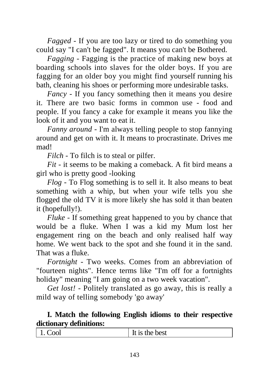*Fagged* - If you are too lazy or tired to do something you could say "I can't be fagged". It means you can't be Bothered.

*Fagging* - Fagging is the practice of making new boys at boarding schools into slaves for the older boys. If you are fagging for an older boy you might find yourself running his bath, cleaning his shoes or performing more undesirable tasks.

*Fancy* - If you fancy something then it means you desire it. There are two basic forms in common use - food and people. If you fancy a cake for example it means you like the look of it and you want to eat it.

*Fanny around* - I'm always telling people to stop fannying around and get on with it. It means to procrastinate. Drives me mad!

*Filch* - To filch is to steal or pilfer.

*Fit* - it seems to be making a comeback. A fit bird means a girl who is pretty good -looking

*Flog* - To Flog something is to sell it. It also means to beat something with a whip, but when your wife tells you she flogged the old TV it is more likely she has sold it than beaten it (hopefully!).

*Fluke* - If something great happened to you by chance that would be a fluke. When I was a kid my Mum lost her engagement ring on the beach and only realised half way home. We went back to the spot and she found it in the sand. That was a fluke.

*Fortnight* - Two weeks. Comes from an abbreviation of "fourteen nights". Hence terms like "I'm off for a fortnights holiday" meaning "I am going on a two week vacation".

*Get lost!* - Politely translated as go away, this is really a mild way of telling somebody 'go away'

## **I. Match the following English idioms to their respective dictionary definitions:**

|--|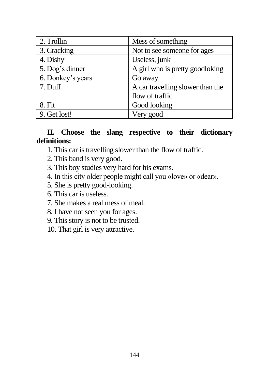| 2. Trollin        | Mess of something                |
|-------------------|----------------------------------|
| 3. Cracking       | Not to see someone for ages      |
| 4. Dishy          | Useless, junk                    |
| 5. Dog's dinner   | A girl who is pretty goodloking  |
| 6. Donkey's years | Go away                          |
| 7. Duff           | A car travelling slower than the |
|                   | flow of traffic                  |
| 8. Fit            | Good looking                     |
| 9. Get lost!      | Very good                        |

#### **II. Choose the slang respective to their dictionary definitions:**

- 1. This car is travelling slower than the flow of traffic.
- 2. This band is very good.
- 3. This boy studies very hard for his exams.
- 4. In this city older people might call you «love» or «dear».
- 5. She is pretty good-looking.
- 6. This car is useless.
- 7. She makes a real mess of meal.
- 8. I have not seen you for ages.
- 9. This story is not to be trusted.
- 10. That girl is very attractive.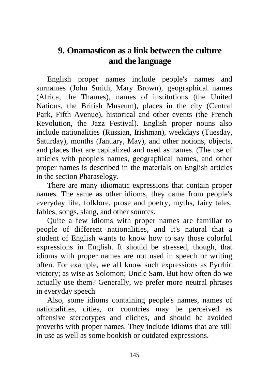# **9. Onamasticon as a link between the culture and the language**

English proper names include people's names and surnames (John Smith, Mary Brown), geographical names (Africa, the Thames), names of institutions (the United Nations, the British Museum), places in the city (Central Park, Fifth Avenue), historical and other events (the French Revolution, the Jazz Festival). English proper nouns also include nationalities (Russian, Irishman), weekdays (Tuesday, Saturday), months (January, May), and other notions, objects, and places that are capitalized and used as names. (The use of articles with people's names, geographical names, and other proper names is described in the materials on English articles in the section Pharaselogy.

There are many idiomatic expressions that contain proper names. The same as other idioms, they came from people's everyday life, folklore, prose and poetry, myths, fairy tales, fables, songs, slang, and other sources.

Quite a few idioms with proper names are familiar to people of different nationalities, and it's natural that a student of English wants to know how to say those colorful expressions in English. It should be stressed, though, that idioms with proper names are not used in speech or writing often. For example, we all know such expressions as Pyrrhic victory; as wise as Solomon; Uncle Sam. But how often do we actually use them? Generally, we prefer more neutral phrases in everyday speech

Also, some idioms containing people's names, names of nationalities, cities, or countries may be perceived as offensive stereotypes and cliches, and should be avoided proverbs with proper names. They include idioms that are still in use as well as some bookish or outdated expressions.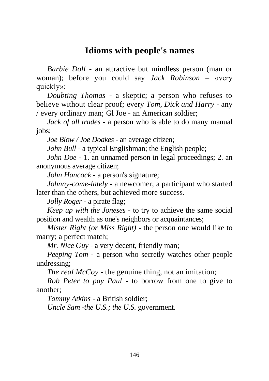# **Idioms with people's names**

*Barbie Doll* - an attractive but mindless person (man or woman); before you could say *Jack Robinson* – «very quickly»;

*Doubting Thomas* - a skeptic; a person who refuses to believe without clear proof; every *Tom, Dick and Harry* - any / every ordinary man; Gl Joe - an American soldier;

*Jack of all trades* - a person who is able to do many manual jobs;

*Joe Blow / Joe Doakes* - an average citizen;

*John Bull* - a typical Englishman; the English people;

*John Doe* - 1. an unnamed person in legal proceedings; 2. an anonymous average citizen;

*John Hancock* - a person's signature;

*Johnny-come-lately* - a newcomer; a participant who started later than the others, but achieved more success.

*Jolly Roger* - a pirate flag;

*Keep up with the Joneses* - to try to achieve the same social position and wealth as one's neighbors or acquaintances;

*Mister Right (or Miss Right)* - the person one would like to marry; a perfect match;

*Mr. Nice Guy* - a very decent, friendly man;

*Peeping Tom* - a person who secretly watches other people undressing;

*The real McCoy* - the genuine thing, not an imitation;

*Rob Peter to pay Paul* - to borrow from one to give to another;

*Tommy Atkins* - a British soldier;

*Uncle Sam -the U.S.; the U.S.* government.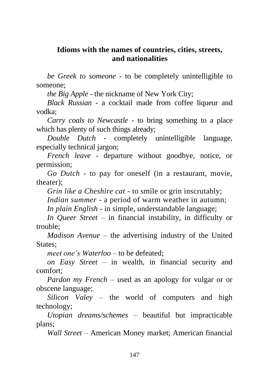### **Idioms with the names of countries, cities, streets, and nationalities**

*be Greek to someone* - to be completely unintelligible to someone;

*the Big Apple* - the nickname of New York City;

*Black Russian* - a cocktail made from coffee liqueur and vodka;

*Carry coals to Newcastle* - to bring something to a place which has plenty of such things already;

*Double Dutch* - completely unintelligible language, especially technical jargon;

*French leave* - departure without goodbye, notice, or permission;

*Go Dutch* - to pay for oneself (in a restaurant, movie, theater);

*Grin like a Cheshire cat* - to smile or grin inscrutably;

*Indian summer* - a period of warm weather in autumn;

*In plain English* - in simple, understandable language;

*In Queer Street* – in financial instability, in difficulty or trouble;

*Madison Avenue* – the advertising industry of the United States;

*meet one's Waterloo* – to be defeated;

*on Easy Street* – in wealth, in financial security and comfort;

*Pardon my French* – used as an apology for vulgar or or obscene language;

*Silicon Valey* – the world of computers and high technology;

*Utopian dreams/schemes* – beautiful but impracticable plans;

*Wall Street* – American Money market; American financial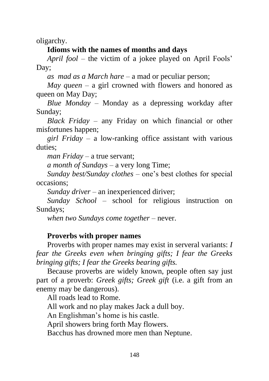oligarchy.

### **Idioms with the names of months and days**

*April fool* – the victim of a jokee played on April Fools' Dav:

*as mad as a March hare* – a mad or peculiar person;

*May queen* – a girl crowned with flowers and honored as queen on May Day;

*Blue Monday* – Monday as a depressing workday after Sunday;

*Black Friday* – any Friday on which financial or other misfortunes happen:

*girl Friday* – a low-ranking office assistant with various duties;

*man Friday* – a true servant;

*a month of Sundays* – a very long Time;

*Sunday best/Sunday clothes* – one's best clothes for special occasions;

*Sunday driver* – an inexperienced diriver;

*Sunday School* – school for religious instruction on Sundays;

*when two Sundays come together* – never.

## **Proverbs with proper names**

Proverbs with proper names may exist in serveral variants: *I fear the Greeks even when bringing gifts; I fear the Greeks bringing gifts; I fear the Greeks bearing gifts.* 

Because proverbs are widely known, people often say just part of a proverb: *Greek gifts; Greek gift* (i.e. a gift from an enemy may be dangerous).

All roads lead to Rome.

All work and no play makes Jack a dull boy.

An Englishman's home is his castle.

April showers bring forth May flowers.

Bacchus has drowned more men than Neptune.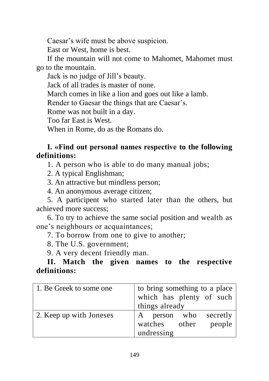Caesar's wife must be above suspicion.

East or West, home is best.

If the mountain will not come to Mahomet, Mahomet must go to the mountain.

Jack is no judge of Jill's beauty. Jack of all trades is master of none. March comes in like a lion and goes out like a lamb. Render to Gaesar the things that are Caesar's. Rome was not built in a day. Too far East is West. When in Rome, do as the Romans do.

## **I. «Find out personal names respective to the following definitions:**

1. A person who is able to do many manual jobs;

- 2. A typical Englishman;
- 3. An attractive but mindless person;

4. An anonymous average citizen;

5. A participent who started later than the others, but achieved more success;

6. To try to achieve the same social position and wealth as one's neighbours or acquaintances;

7. To borrow from one to give to another;

8. The U.S. government;

9. A very decent friendly man.

### **II. Match the given names to the respective definitions:**

| 1. Be Greek to some one | to bring something to a place<br>which has plenty of such<br>things already |
|-------------------------|-----------------------------------------------------------------------------|
| 2. Keep up with Joneses | secretly<br>A person who<br>watches other<br>people<br>undressing           |